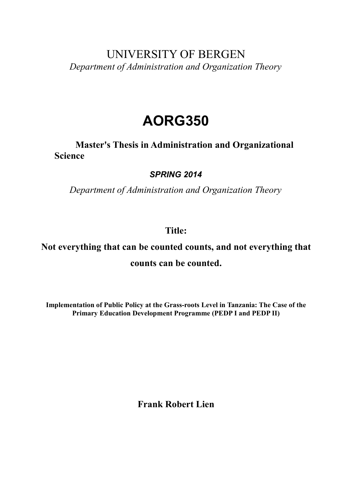## UNIVERSITY OF BERGEN *Department of Administration and Organization Theory*

# **AORG350**

**Master's Thesis in Administration and Organizational Science**

## *SPRING 2014*

*Department of Administration and Organization Theory*

## **Title:**

## **Not everything that can be counted counts, and not everything that counts can be counted.**

**Implementation of Public Policy at the Grass-roots Level in Tanzania: The Case of the Primary Education Development Programme (PEDP I and PEDP II)**

**Frank Robert Lien**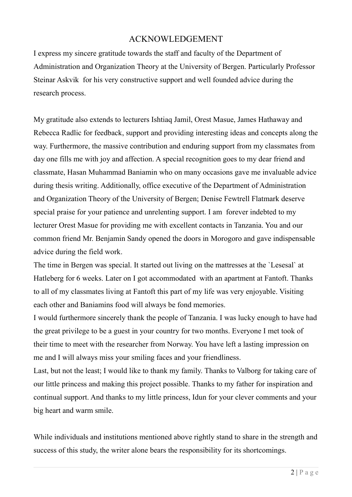## ACKNOWLEDGEMENT

I express my sincere gratitude towards the staff and faculty of the Department of Administration and Organization Theory at the University of Bergen. Particularly Professor Steinar Askvik for his very constructive support and well founded advice during the research process.

My gratitude also extends to lecturers Ishtiaq Jamil, Orest Masue, James Hathaway and Rebecca Radlic for feedback, support and providing interesting ideas and concepts along the way. Furthermore, the massive contribution and enduring support from my classmates from day one fills me with joy and affection. A special recognition goes to my dear friend and classmate, Hasan Muhammad Baniamin who on many occasions gave me invaluable advice during thesis writing. Additionally, office executive of the Department of Administration and Organization Theory of the University of Bergen; Denise Fewtrell Flatmark deserve special praise for your patience and unrelenting support. I am forever indebted to my lecturer Orest Masue for providing me with excellent contacts in Tanzania. You and our common friend Mr. Benjamin Sandy opened the doors in Morogoro and gave indispensable advice during the field work.

The time in Bergen was special. It started out living on the mattresses at the `Lesesal` at Hatleberg for 6 weeks. Later on I got accommodated with an apartment at Fantoft. Thanks to all of my classmates living at Fantoft this part of my life was very enjoyable. Visiting each other and Baniamins food will always be fond memories.

I would furthermore sincerely thank the people of Tanzania. I was lucky enough to have had the great privilege to be a guest in your country for two months. Everyone I met took of their time to meet with the researcher from Norway. You have left a lasting impression on me and I will always miss your smiling faces and your friendliness.

Last, but not the least; I would like to thank my family. Thanks to Valborg for taking care of our little princess and making this project possible. Thanks to my father for inspiration and continual support. And thanks to my little princess, Idun for your clever comments and your big heart and warm smile.

While individuals and institutions mentioned above rightly stand to share in the strength and success of this study, the writer alone bears the responsibility for its shortcomings.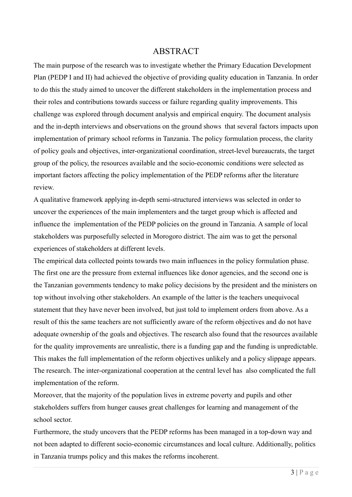#### **ABSTRACT**

The main purpose of the research was to investigate whether the Primary Education Development Plan (PEDP I and II) had achieved the objective of providing quality education in Tanzania. In order to do this the study aimed to uncover the different stakeholders in the implementation process and their roles and contributions towards success or failure regarding quality improvements. This challenge was explored through document analysis and empirical enquiry. The document analysis and the in-depth interviews and observations on the ground shows that several factors impacts upon implementation of primary school reforms in Tanzania. The policy formulation process, the clarity of policy goals and objectives, inter-organizational coordination, street-level bureaucrats, the target group of the policy, the resources available and the socio-economic conditions were selected as important factors affecting the policy implementation of the PEDP reforms after the literature review.

A qualitative framework applying in-depth semi-structured interviews was selected in order to uncover the experiences of the main implementers and the target group which is affected and influence the implementation of the PEDP policies on the ground in Tanzania. A sample of local stakeholders was purposefully selected in Morogoro district. The aim was to get the personal experiences of stakeholders at different levels.

The empirical data collected points towards two main influences in the policy formulation phase. The first one are the pressure from external influences like donor agencies, and the second one is the Tanzanian governments tendency to make policy decisions by the president and the ministers on top without involving other stakeholders. An example of the latter is the teachers unequivocal statement that they have never been involved, but just told to implement orders from above. As a result of this the same teachers are not sufficiently aware of the reform objectives and do not have adequate ownership of the goals and objectives. The research also found that the resources available for the quality improvements are unrealistic, there is a funding gap and the funding is unpredictable. This makes the full implementation of the reform objectives unlikely and a policy slippage appears. The research. The inter-organizational cooperation at the central level has also complicated the full implementation of the reform.

Moreover, that the majority of the population lives in extreme poverty and pupils and other stakeholders suffers from hunger causes great challenges for learning and management of the school sector.

Furthermore, the study uncovers that the PEDP reforms has been managed in a top-down way and not been adapted to different socio-economic circumstances and local culture. Additionally, politics in Tanzania trumps policy and this makes the reforms incoherent.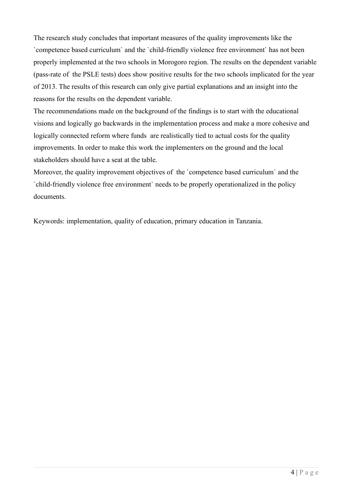The research study concludes that important measures of the quality improvements like the `competence based curriculum` and the `child-friendly violence free environment` has not been properly implemented at the two schools in Morogoro region. The results on the dependent variable (pass-rate of the PSLE tests) does show positive results for the two schools implicated for the year of 2013. The results of this research can only give partial explanations and an insight into the reasons for the results on the dependent variable.

The recommendations made on the background of the findings is to start with the educational visions and logically go backwards in the implementation process and make a more cohesive and logically connected reform where funds are realistically tied to actual costs for the quality improvements. In order to make this work the implementers on the ground and the local stakeholders should have a seat at the table.

Moreover, the quality improvement objectives of the 'competence based curriculum' and the `child-friendly violence free environment` needs to be properly operationalized in the policy documents.

Keywords: implementation, quality of education, primary education in Tanzania.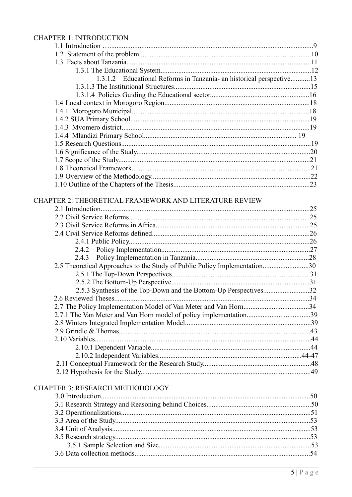#### **CHAPTER 1: INTRODUCTION**

| 1.3.1.2 Educational Reforms in Tanzania- an historical perspective13      |  |
|---------------------------------------------------------------------------|--|
|                                                                           |  |
|                                                                           |  |
|                                                                           |  |
|                                                                           |  |
|                                                                           |  |
|                                                                           |  |
|                                                                           |  |
|                                                                           |  |
|                                                                           |  |
|                                                                           |  |
|                                                                           |  |
|                                                                           |  |
|                                                                           |  |
|                                                                           |  |
| CHAPTER 2: THEORETICAL FRAMEWORK AND LITERATURE REVIEW                    |  |
|                                                                           |  |
|                                                                           |  |
|                                                                           |  |
|                                                                           |  |
|                                                                           |  |
|                                                                           |  |
|                                                                           |  |
| 2.5 Theoretical Approaches to the Study of Public Policy Implementation30 |  |
|                                                                           |  |
|                                                                           |  |
|                                                                           |  |
|                                                                           |  |
|                                                                           |  |
| 2.7.1 The Van Meter and Van Horn model of policy implementation39         |  |
|                                                                           |  |
|                                                                           |  |
|                                                                           |  |
|                                                                           |  |
|                                                                           |  |
|                                                                           |  |
|                                                                           |  |
| <b>CHAPTER 3: RESEARCH METHODOLOGY</b>                                    |  |
|                                                                           |  |
|                                                                           |  |
|                                                                           |  |
|                                                                           |  |
|                                                                           |  |
|                                                                           |  |
|                                                                           |  |
|                                                                           |  |
|                                                                           |  |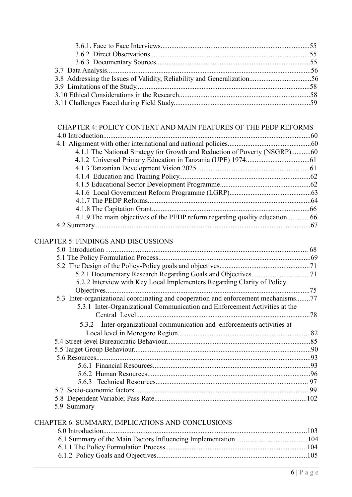| 4.1.1 The National Strategy for Growth and Reduction of Poverty (NSGRP)60<br>4.1.9 The main objectives of the PEDP reform regarding quality education66<br><b>CHAPTER 5: FINDINGS AND DISCUSSIONS</b> | CHAPTER 4: POLICY CONTEXT AND MAIN FEATURES OF THE PEDP REFORMS |  |
|-------------------------------------------------------------------------------------------------------------------------------------------------------------------------------------------------------|-----------------------------------------------------------------|--|
|                                                                                                                                                                                                       |                                                                 |  |
|                                                                                                                                                                                                       |                                                                 |  |
|                                                                                                                                                                                                       |                                                                 |  |
|                                                                                                                                                                                                       |                                                                 |  |
|                                                                                                                                                                                                       |                                                                 |  |
|                                                                                                                                                                                                       |                                                                 |  |
|                                                                                                                                                                                                       |                                                                 |  |
|                                                                                                                                                                                                       |                                                                 |  |
|                                                                                                                                                                                                       |                                                                 |  |
|                                                                                                                                                                                                       |                                                                 |  |
|                                                                                                                                                                                                       |                                                                 |  |
|                                                                                                                                                                                                       |                                                                 |  |
|                                                                                                                                                                                                       |                                                                 |  |
|                                                                                                                                                                                                       |                                                                 |  |

#### CHAPTER 5: FINDINGS AND DISCUSSIONS

|                                                                                    | 68  |
|------------------------------------------------------------------------------------|-----|
|                                                                                    |     |
|                                                                                    |     |
|                                                                                    |     |
| 5.2.2 Interview with Key Local Implementers Regarding Clarity of Policy            |     |
| Objectives                                                                         | .75 |
| 5.3 Inter-organizational coordinating and cooperation and enforcement mechanisms77 |     |
| 5.3.1 Inter-Organizational Communication and Enforcement Activities at the         |     |
|                                                                                    | .78 |
| 5.3.2 Inter-organizational communication and enforcements activities at            |     |
|                                                                                    |     |
|                                                                                    |     |
|                                                                                    |     |
|                                                                                    |     |
|                                                                                    |     |
|                                                                                    |     |
|                                                                                    |     |
|                                                                                    |     |
|                                                                                    |     |
| 5.9 Summary                                                                        |     |
|                                                                                    |     |

#### CHAPTER 6: SUMMARY, IMPLICATIONS AND CONCLUSIONS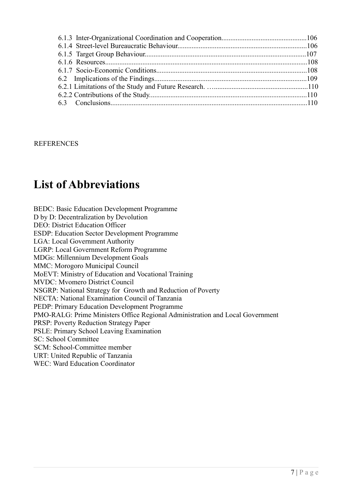#### **REFERENCES**

## **List of Abbreviations**

BEDC: Basic Education Development Programme D by D: Decentralization by Devolution DEO: District Education Officer ESDP: Education Sector Development Programme LGA: Local Government Authority LGRP: Local Government Reform Programme MDGs: Millennium Development Goals MMC: Morogoro Municipal Council MoEVT: Ministry of Education and Vocational Training MVDC: Mvomero District Council NSGRP: National Strategy for Growth and Reduction of Poverty NECTA: National Examination Council of Tanzania PEDP: Primary Education Development Programme PMO-RALG: Prime Ministers Office Regional Administration and Local Government PRSP: Poverty Reduction Strategy Paper PSLE: Primary School Leaving Examination SC: School Committee SCM: School-Committee member URT: United Republic of Tanzania WEC: Ward Education Coordinator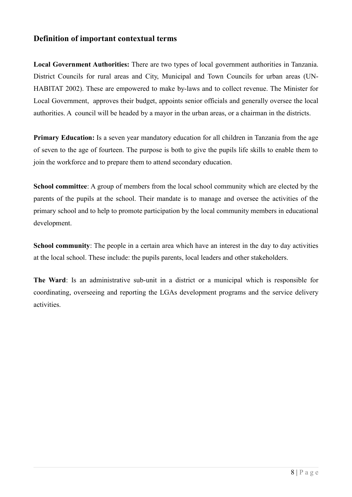#### **Definition of important contextual terms**

**Local Government Authorities:** There are two types of local government authorities in Tanzania. District Councils for rural areas and City, Municipal and Town Councils for urban areas (UN-HABITAT 2002). These are empowered to make by-laws and to collect revenue. The Minister for Local Government, approves their budget, appoints senior officials and generally oversee the local authorities. A council will be headed by a mayor in the urban areas, or a chairman in the districts.

**Primary Education:** Is a seven year mandatory education for all children in Tanzania from the age of seven to the age of fourteen. The purpose is both to give the pupils life skills to enable them to join the workforce and to prepare them to attend secondary education.

**School committee**: A group of members from the local school community which are elected by the parents of the pupils at the school. Their mandate is to manage and oversee the activities of the primary school and to help to promote participation by the local community members in educational development.

**School community**: The people in a certain area which have an interest in the day to day activities at the local school. These include: the pupils parents, local leaders and other stakeholders.

**The Ward**: Is an administrative sub-unit in a district or a municipal which is responsible for coordinating, overseeing and reporting the LGAs development programs and the service delivery activities.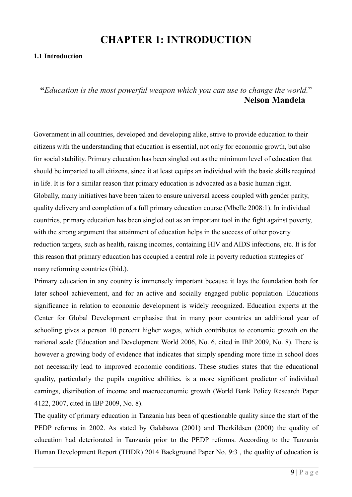## **CHAPTER 1: INTRODUCTION**

#### **1.1 Introduction**

#### **"***Education is the most powerful weapon which you can use to change the world.*"  **Nelson Mandela**

Government in all countries, developed and developing alike, strive to provide education to their citizens with the understanding that education is essential, not only for economic growth, but also for social stability. Primary education has been singled out as the minimum level of education that should be imparted to all citizens, since it at least equips an individual with the basic skills required in life. It is for a similar reason that primary education is advocated as a basic human right. Globally, many initiatives have been taken to ensure universal access coupled with gender parity, quality delivery and completion of a full primary education course (Mbelle 2008:1). In individual countries, primary education has been singled out as an important tool in the fight against poverty, with the strong argument that attainment of education helps in the success of other poverty reduction targets, such as health, raising incomes, containing HIV and AIDS infections, etc. It is for this reason that primary education has occupied a central role in poverty reduction strategies of many reforming countries (ibid.).

Primary education in any country is immensely important because it lays the foundation both for later school achievement, and for an active and socially engaged public population. Educations significance in relation to economic development is widely recognized. Education experts at the Center for Global Development emphasise that in many poor countries an additional year of schooling gives a person 10 percent higher wages, which contributes to economic growth on the national scale (Education and Development World 2006, No. 6, cited in IBP 2009, No. 8). There is however a growing body of evidence that indicates that simply spending more time in school does not necessarily lead to improved economic conditions. These studies states that the educational quality, particularly the pupils cognitive abilities, is a more significant predictor of individual earnings, distribution of income and macroeconomic growth (World Bank Policy Research Paper 4122, 2007, cited in IBP 2009, No. 8).

The quality of primary education in Tanzania has been of questionable quality since the start of the PEDP reforms in 2002. As stated by Galabawa (2001) and Therkildsen (2000) the quality of education had deteriorated in Tanzania prior to the PEDP reforms. According to the Tanzania Human Development Report (THDR) 2014 Background Paper No. 9:3 , the quality of education is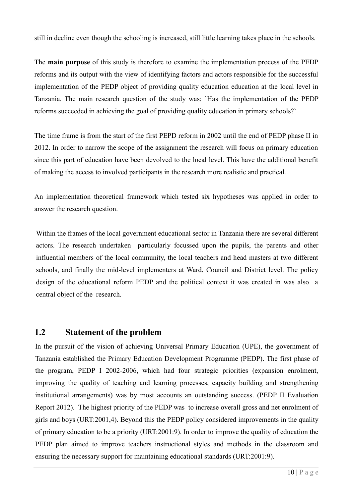still in decline even though the schooling is increased, still little learning takes place in the schools.

The **main purpose** of this study is therefore to examine the implementation process of the PEDP reforms and its output with the view of identifying factors and actors responsible for the successful implementation of the PEDP object of providing quality education education at the local level in Tanzania. The main research question of the study was: `Has the implementation of the PEDP reforms succeeded in achieving the goal of providing quality education in primary schools?`

The time frame is from the start of the first PEPD reform in 2002 until the end of PEDP phase II in 2012. In order to narrow the scope of the assignment the research will focus on primary education since this part of education have been devolved to the local level. This have the additional benefit of making the access to involved participants in the research more realistic and practical.

An implementation theoretical framework which tested six hypotheses was applied in order to answer the research question.

Within the frames of the local government educational sector in Tanzania there are several different actors. The research undertaken particularly focussed upon the pupils, the parents and other influential members of the local community, the local teachers and head masters at two different schools, and finally the mid-level implementers at Ward, Council and District level. The policy design of the educational reform PEDP and the political context it was created in was also a central object of the research.

## **1.2 Statement of the problem**

In the pursuit of the vision of achieving Universal Primary Education (UPE), the government of Tanzania established the Primary Education Development Programme (PEDP). The first phase of the program, PEDP I 2002-2006, which had four strategic priorities (expansion enrolment, improving the quality of teaching and learning processes, capacity building and strengthening institutional arrangements) was by most accounts an outstanding success. (PEDP II Evaluation Report 2012). The highest priority of the PEDP was to increase overall gross and net enrolment of girls and boys (URT:2001,4). Beyond this the PEDP policy considered improvements in the quality of primary education to be a priority (URT:2001:9). In order to improve the quality of education the PEDP plan aimed to improve teachers instructional styles and methods in the classroom and ensuring the necessary support for maintaining educational standards (URT:2001:9).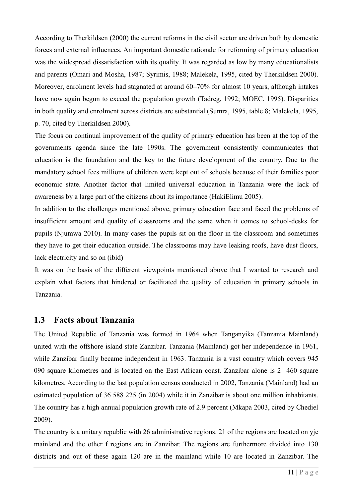According to Therkildsen (2000) the current reforms in the civil sector are driven both by domestic forces and external influences. An important domestic rationale for reforming of primary education was the widespread dissatisfaction with its quality. It was regarded as low by many educationalists and parents (Omari and Mosha, 1987; Syrimis, 1988; Malekela, 1995, cited by Therkildsen 2000). Moreover, enrolment levels had stagnated at around 60–70% for almost 10 years, although intakes have now again begun to exceed the population growth (Tadreg, 1992; MOEC, 1995). Disparities in both quality and enrolment across districts are substantial (Sumra, 1995, table 8; Malekela, 1995, p. 70, cited by Therkildsen 2000).

The focus on continual improvement of the quality of primary education has been at the top of the governments agenda since the late 1990s. The government consistently communicates that education is the foundation and the key to the future development of the country. Due to the mandatory school fees millions of children were kept out of schools because of their families poor economic state. Another factor that limited universal education in Tanzania were the lack of awareness by a large part of the citizens about its importance (HakiElimu 2005).

In addition to the challenges mentioned above, primary education face and faced the problems of insufficient amount and quality of classrooms and the same when it comes to school-desks for pupils (Njumwa 2010). In many cases the pupils sit on the floor in the classroom and sometimes they have to get their education outside. The classrooms may have leaking roofs, have dust floors, lack electricity and so on (ibid**)**

It was on the basis of the different viewpoints mentioned above that I wanted to research and explain what factors that hindered or facilitated the quality of education in primary schools in Tanzania.

## **1.3 Facts about Tanzania**

The United Republic of Tanzania was formed in 1964 when Tanganyika (Tanzania Mainland) united with the offshore island state Zanzibar. Tanzania (Mainland) got her independence in 1961, while Zanzibar finally became independent in 1963. Tanzania is a vast country which covers 945 090 square kilometres and is located on the East African coast. Zanzibar alone is 2 460 square kilometres. According to the last population census conducted in 2002, Tanzania (Mainland) had an estimated population of 36 588 225 (in 2004) while it in Zanzibar is about one million inhabitants. The country has a high annual population growth rate of 2.9 percent (Mkapa 2003, cited by Chediel 2009).

The country is a unitary republic with 26 administrative regions. 21 of the regions are located on yje mainland and the other f regions are in Zanzibar. The regions are furthermore divided into 130 districts and out of these again 120 are in the mainland while 10 are located in Zanzibar. The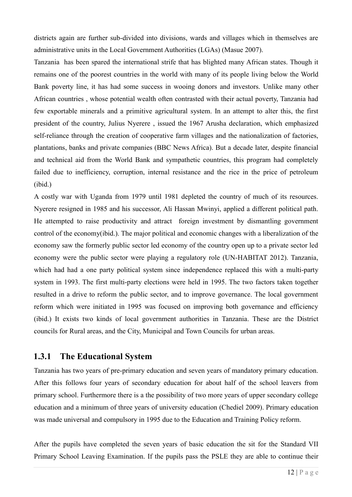districts again are further sub-divided into divisions, wards and villages which in themselves are administrative units in the Local Government Authorities (LGAs) (Masue 2007).

Tanzania has been spared the international strife that has blighted many African states. Though it remains one of the poorest countries in the world with many of its people living below the World Bank poverty line, it has had some success in wooing donors and investors. Unlike many other African countries , whose potential wealth often contrasted with their actual poverty, Tanzania had few exportable minerals and a primitive agricultural system. In an attempt to alter this, the first president of the country, Julius Nyerere , issued the 1967 Arusha declaration, which emphasized self-reliance through the creation of cooperative farm villages and the nationalization of factories, plantations, banks and private companies (BBC News Africa). But a decade later, despite financial and technical aid from the World Bank and sympathetic countries, this program had completely failed due to inefficiency, corruption, internal resistance and the rice in the price of petroleum (ibid.)

A costly war with Uganda from 1979 until 1981 depleted the country of much of its resources. Nyerere resigned in 1985 and his successor, Ali Hassan Mwinyi, applied a different political path. He attempted to raise productivity and attract foreign investment by dismantling government control of the economy(ibid.). The major political and economic changes with a liberalization of the economy saw the formerly public sector led economy of the country open up to a private sector led economy were the public sector were playing a regulatory role (UN-HABITAT 2012). Tanzania, which had had a one party political system since independence replaced this with a multi-party system in 1993. The first multi-party elections were held in 1995. The two factors taken together resulted in a drive to reform the public sector, and to improve governance. The local government reform which were initiated in 1995 was focused on improving both governance and efficiency (ibid.) It exists two kinds of local government authorities in Tanzania. These are the District councils for Rural areas, and the City, Municipal and Town Councils for urban areas.

#### **1.3.1 The Educational System**

Tanzania has two years of pre-primary education and seven years of mandatory primary education. After this follows four years of secondary education for about half of the school leavers from primary school. Furthermore there is a the possibility of two more years of upper secondary college education and a minimum of three years of university education (Chediel 2009). Primary education was made universal and compulsory in 1995 due to the Education and Training Policy reform.

After the pupils have completed the seven years of basic education the sit for the Standard VII Primary School Leaving Examination. If the pupils pass the PSLE they are able to continue their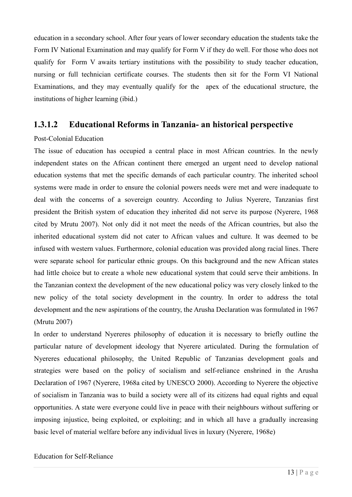education in a secondary school. After four years of lower secondary education the students take the Form IV National Examination and may qualify for Form V if they do well. For those who does not qualify for Form V awaits tertiary institutions with the possibility to study teacher education, nursing or full technician certificate courses. The students then sit for the Form VI National Examinations, and they may eventually qualify for the apex of the educational structure, the institutions of higher learning (ibid.)

#### **1.3.1.2 Educational Reforms in Tanzania- an historical perspective**

#### Post-Colonial Education

The issue of education has occupied a central place in most African countries. In the newly independent states on the African continent there emerged an urgent need to develop national education systems that met the specific demands of each particular country. The inherited school systems were made in order to ensure the colonial powers needs were met and were inadequate to deal with the concerns of a sovereign country. According to Julius Nyerere, Tanzanias first president the British system of education they inherited did not serve its purpose (Nyerere, 1968 cited by Mrutu 2007). Not only did it not meet the needs of the African countries, but also the inherited educational system did not cater to African values and culture. It was deemed to be infused with western values. Furthermore, colonial education was provided along racial lines. There were separate school for particular ethnic groups. On this background and the new African states had little choice but to create a whole new educational system that could serve their ambitions. In the Tanzanian context the development of the new educational policy was very closely linked to the new policy of the total society development in the country. In order to address the total development and the new aspirations of the country, the Arusha Declaration was formulated in 1967 (Mrutu 2007)

In order to understand Nyereres philosophy of education it is necessary to briefly outline the particular nature of development ideology that Nyerere articulated. During the formulation of Nyereres educational philosophy, the United Republic of Tanzanias development goals and strategies were based on the policy of socialism and self-reliance enshrined in the Arusha Declaration of 1967 (Nyerere, 1968a cited by UNESCO 2000). According to Nyerere the objective of socialism in Tanzania was to build a society were all of its citizens had equal rights and equal opportunities. A state were everyone could live in peace with their neighbours without suffering or imposing injustice, being exploited, or exploiting; and in which all have a gradually increasing basic level of material welfare before any individual lives in luxury (Nyerere, 1968e)

#### Education for Self-Reliance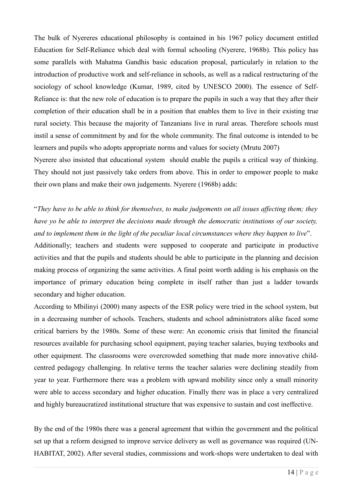The bulk of Nyereres educational philosophy is contained in his 1967 policy document entitled Education for Self-Reliance which deal with formal schooling (Nyerere, 1968b). This policy has some parallels with Mahatma Gandhis basic education proposal, particularly in relation to the introduction of productive work and self-reliance in schools, as well as a radical restructuring of the sociology of school knowledge (Kumar, 1989, cited by UNESCO 2000). The essence of Self-Reliance is: that the new role of education is to prepare the pupils in such a way that they after their completion of their education shall be in a position that enables them to live in their existing true rural society. This because the majority of Tanzanians live in rural areas. Therefore schools must instil a sense of commitment by and for the whole community. The final outcome is intended to be learners and pupils who adopts appropriate norms and values for society (Mrutu 2007)

Nyerere also insisted that educational system should enable the pupils a critical way of thinking. They should not just passively take orders from above. This in order to empower people to make their own plans and make their own judgements. Nyerere (1968b) adds:

## "*They have to be able to think for themselves, to make judgements on all issues affecting them; they have yo be able to interpret the decisions made through the democratic institutions of our society, and to implement them in the light of the peculiar local circumstances where they happen to live*".

Additionally; teachers and students were supposed to cooperate and participate in productive activities and that the pupils and students should be able to participate in the planning and decision making process of organizing the same activities. A final point worth adding is his emphasis on the importance of primary education being complete in itself rather than just a ladder towards secondary and higher education.

According to Mbilinyi (2000) many aspects of the ESR policy were tried in the school system, but in a decreasing number of schools. Teachers, students and school administrators alike faced some critical barriers by the 1980s. Some of these were: An economic crisis that limited the financial resources available for purchasing school equipment, paying teacher salaries, buying textbooks and other equipment. The classrooms were overcrowded something that made more innovative childcentred pedagogy challenging. In relative terms the teacher salaries were declining steadily from year to year. Furthermore there was a problem with upward mobility since only a small minority were able to access secondary and higher education. Finally there was in place a very centralized and highly bureaucratized institutional structure that was expensive to sustain and cost ineffective.

By the end of the 1980s there was a general agreement that within the government and the political set up that a reform designed to improve service delivery as well as governance was required (UN-HABITAT, 2002). After several studies, commissions and work-shops were undertaken to deal with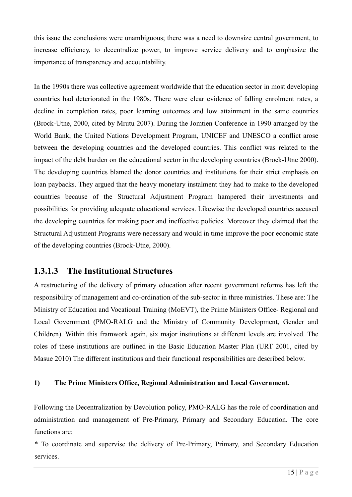this issue the conclusions were unambiguous; there was a need to downsize central government, to increase efficiency, to decentralize power, to improve service delivery and to emphasize the importance of transparency and accountability.

In the 1990s there was collective agreement worldwide that the education sector in most developing countries had deteriorated in the 1980s. There were clear evidence of falling enrolment rates, a decline in completion rates, poor learning outcomes and low attainment in the same countries (Brock-Utne, 2000, cited by Mrutu 2007). During the Jomtien Conference in 1990 arranged by the World Bank, the United Nations Development Program, UNICEF and UNESCO a conflict arose between the developing countries and the developed countries. This conflict was related to the impact of the debt burden on the educational sector in the developing countries (Brock-Utne 2000). The developing countries blamed the donor countries and institutions for their strict emphasis on loan paybacks. They argued that the heavy monetary instalment they had to make to the developed countries because of the Structural Adjustment Program hampered their investments and possibilities for providing adequate educational services. Likewise the developed countries accused the developing countries for making poor and ineffective policies. Moreover they claimed that the Structural Adjustment Programs were necessary and would in time improve the poor economic state of the developing countries (Brock-Utne, 2000).

## **1.3.1.3 The Institutional Structures**

A restructuring of the delivery of primary education after recent government reforms has left the responsibility of management and co-ordination of the sub-sector in three ministries. These are: The Ministry of Education and Vocational Training (MoEVT), the Prime Ministers Office- Regional and Local Government (PMO-RALG and the Ministry of Community Development, Gender and Children). Within this framwork again, six major institutions at different levels are involved. The roles of these institutions are outlined in the Basic Education Master Plan (URT 2001, cited by Masue 2010) The different institutions and their functional responsibilities are described below.

#### **1) The Prime Ministers Office, Regional Administration and Local Government.**

Following the Decentralization by Devolution policy, PMO-RALG has the role of coordination and administration and management of Pre-Primary, Primary and Secondary Education. The core functions are:

\* To coordinate and supervise the delivery of Pre-Primary, Primary, and Secondary Education services.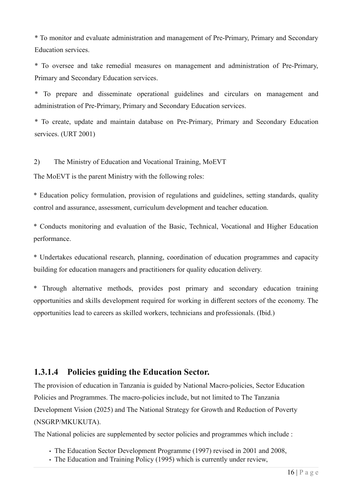\* To monitor and evaluate administration and management of Pre-Primary, Primary and Secondary Education services.

\* To oversee and take remedial measures on management and administration of Pre-Primary, Primary and Secondary Education services.

\* To prepare and disseminate operational guidelines and circulars on management and administration of Pre-Primary, Primary and Secondary Education services.

\* To create, update and maintain database on Pre-Primary, Primary and Secondary Education services. (URT 2001)

#### 2) The Ministry of Education and Vocational Training, MoEVT

The MoEVT is the parent Ministry with the following roles:

\* Education policy formulation, provision of regulations and guidelines, setting standards, quality control and assurance, assessment, curriculum development and teacher education.

\* Conducts monitoring and evaluation of the Basic, Technical, Vocational and Higher Education performance.

\* Undertakes educational research, planning, coordination of education programmes and capacity building for education managers and practitioners for quality education delivery.

\* Through alternative methods, provides post primary and secondary education training opportunities and skills development required for working in different sectors of the economy. The opportunities lead to careers as skilled workers, technicians and professionals. (Ibid.)

#### **1.3.1.4 Policies guiding the Education Sector.**

The provision of education in Tanzania is guided by National Macro-policies, Sector Education Policies and Programmes. The macro-policies include, but not limited to The Tanzania Development Vision (2025) and The National Strategy for Growth and Reduction of Poverty (NSGRP/MKUKUTA).

The National policies are supplemented by sector policies and programmes which include :

- The Education Sector Development Programme (1997) revised in 2001 and 2008,
- The Education and Training Policy (1995) which is currently under review,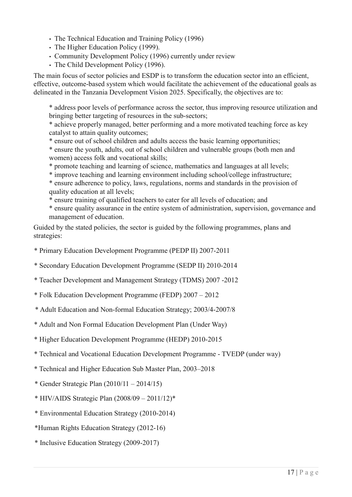- The Technical Education and Training Policy (1996)
- The Higher Education Policy (1999).
- Community Development Policy (1996) currently under review
- The Child Development Policy (1996).

The main focus of sector policies and ESDP is to transform the education sector into an efficient, effective, outcome-based system which would facilitate the achievement of the educational goals as delineated in the Tanzania Development Vision 2025. Specifically, the objectives are to:

\* address poor levels of performance across the sector, thus improving resource utilization and bringing better targeting of resources in the sub-sectors;

\* achieve properly managed, better performing and a more motivated teaching force as key catalyst to attain quality outcomes;

\* ensure out of school children and adults access the basic learning opportunities;

\* ensure the youth, adults, out of school children and vulnerable groups (both men and women) access folk and vocational skills;

- \* promote teaching and learning of science, mathematics and languages at all levels;
- \* improve teaching and learning environment including school/college infrastructure;
- \* ensure adherence to policy, laws, regulations, norms and standards in the provision of quality education at all levels;

\* ensure training of qualified teachers to cater for all levels of education; and

\* ensure quality assurance in the entire system of administration, supervision, governance and management of education.

Guided by the stated policies, the sector is guided by the following programmes, plans and strategies:

\* Primary Education Development Programme (PEDP II) 2007-2011

\* Secondary Education Development Programme (SEDP II) 2010-2014

\* Teacher Development and Management Strategy (TDMS) 2007 -2012

\* Folk Education Development Programme (FEDP) 2007 – 2012

\* Adult Education and Non-formal Education Strategy; 2003/4-2007/8

\* Adult and Non Formal Education Development Plan (Under Way)

\* Higher Education Development Programme (HEDP) 2010-2015

- \* Technical and Vocational Education Development Programme TVEDP (under way)
- \* Technical and Higher Education Sub Master Plan, 2003–2018
- \* Gender Strategic Plan (2010/11 2014/15)
- \* HIV/AIDS Strategic Plan (2008/09 2011/12)\*
- \* Environmental Education Strategy (2010-2014)
- \*Human Rights Education Strategy (2012-16)
- \* Inclusive Education Strategy (2009-2017)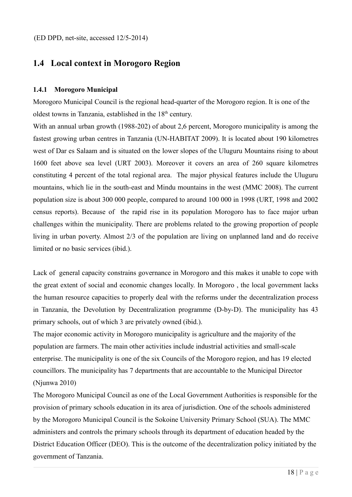## **1.4 Local context in Morogoro Region**

#### **1.4.1 Morogoro Municipal**

Morogoro Municipal Council is the regional head-quarter of the Morogoro region. It is one of the oldest towns in Tanzania, established in the 18<sup>th</sup> century.

With an annual urban growth (1988-202) of about 2.6 percent, Morogoro municipality is among the fastest growing urban centres in Tanzania (UN-HABITAT 2009). It is located about 190 kilometres west of Dar es Salaam and is situated on the lower slopes of the Uluguru Mountains rising to about 1600 feet above sea level (URT 2003). Moreover it covers an area of 260 square kilometres constituting 4 percent of the total regional area. The major physical features include the Uluguru mountains, which lie in the south-east and Mindu mountains in the west (MMC 2008). The current population size is about 300 000 people, compared to around 100 000 in 1998 (URT, 1998 and 2002 census reports). Because of the rapid rise in its population Morogoro has to face major urban challenges within the municipality. There are problems related to the growing proportion of people living in urban poverty. Almost 2/3 of the population are living on unplanned land and do receive limited or no basic services (ibid.).

Lack of general capacity constrains governance in Morogoro and this makes it unable to cope with the great extent of social and economic changes locally. In Morogoro , the local government lacks the human resource capacities to properly deal with the reforms under the decentralization process in Tanzania, the Devolution by Decentralization programme (D-by-D). The municipality has 43 primary schools, out of which 3 are privately owned (ibid.).

The major economic activity in Morogoro municipality is agriculture and the majority of the population are farmers. The main other activities include industrial activities and small-scale enterprise. The municipality is one of the six Councils of the Morogoro region, and has 19 elected councillors. The municipality has 7 departments that are accountable to the Municipal Director (Njunwa 2010)

The Morogoro Municipal Council as one of the Local Government Authorities is responsible for the provision of primary schools education in its area of jurisdiction. One of the schools administered by the Morogoro Municipal Council is the Sokoine University Primary School (SUA). The MMC administers and controls the primary schools through its department of education headed by the District Education Officer (DEO). This is the outcome of the decentralization policy initiated by the government of Tanzania.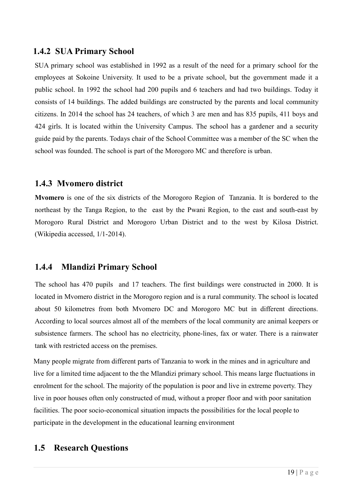#### **1.4.2 SUA Primary School**

SUA primary school was established in 1992 as a result of the need for a primary school for the employees at Sokoine University. It used to be a private school, but the government made it a public school. In 1992 the school had 200 pupils and 6 teachers and had two buildings. Today it consists of 14 buildings. The added buildings are constructed by the parents and local community citizens. In 2014 the school has 24 teachers, of which 3 are men and has 835 pupils, 411 boys and 424 girls. It is located within the University Campus. The school has a gardener and a security guide paid by the parents. Todays chair of the School Committee was a member of the SC when the school was founded. The school is part of the Morogoro MC and therefore is urban.

## **1.4.3 Mvomero district**

**Mvomero** is one of the six districts of the Morogoro Region of Tanzania. It is bordered to the northeast by the Tanga Region, to the east by the Pwani Region, to the east and south-east by Morogoro Rural District and Morogoro Urban District and to the west by Kilosa District. (Wikipedia accessed, 1/1-2014).

## **1.4.4 Mlandizi Primary School**

The school has 470 pupils and 17 teachers. The first buildings were constructed in 2000. It is located in Mvomero district in the Morogoro region and is a rural community. The school is located about 50 kilometres from both Mvomero DC and Morogoro MC but in different directions. According to local sources almost all of the members of the local community are animal keepers or subsistence farmers. The school has no electricity, phone-lines, fax or water. There is a rainwater tank with restricted access on the premises.

Many people migrate from different parts of Tanzania to work in the mines and in agriculture and live for a limited time adjacent to the the Mlandizi primary school. This means large fluctuations in enrolment for the school. The majority of the population is poor and live in extreme poverty. They live in poor houses often only constructed of mud, without a proper floor and with poor sanitation facilities. The poor socio-economical situation impacts the possibilities for the local people to participate in the development in the educational learning environment

## **1.5 Research Questions**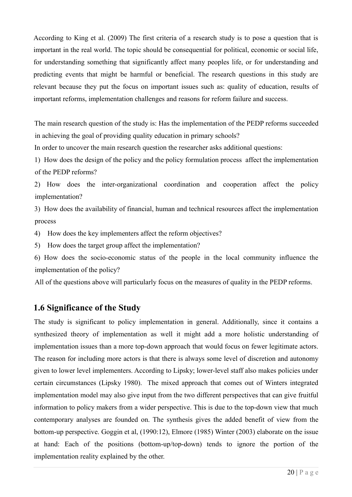According to King et al. (2009) The first criteria of a research study is to pose a question that is important in the real world. The topic should be consequential for political, economic or social life, for understanding something that significantly affect many peoples life, or for understanding and predicting events that might be harmful or beneficial. The research questions in this study are relevant because they put the focus on important issues such as: quality of education, results of important reforms, implementation challenges and reasons for reform failure and success.

The main research question of the study is: Has the implementation of the PEDP reforms succeeded in achieving the goal of providing quality education in primary schools?

In order to uncover the main research question the researcher asks additional questions:

1) How does the design of the policy and the policy formulation process affect the implementation of the PEDP reforms?

2) How does the inter-organizational coordination and cooperation affect the policy implementation?

3) How does the availability of financial, human and technical resources affect the implementation process

4) How does the key implementers affect the reform objectives?

5) How does the target group affect the implementation?

6) How does the socio-economic status of the people in the local community influence the implementation of the policy?

All of the questions above will particularly focus on the measures of quality in the PEDP reforms.

## **1.6 Significance of the Study**

The study is significant to policy implementation in general. Additionally, since it contains a synthesized theory of implementation as well it might add a more holistic understanding of implementation issues than a more top-down approach that would focus on fewer legitimate actors. The reason for including more actors is that there is always some level of discretion and autonomy given to lower level implementers. According to Lipsky; lower-level staff also makes policies under certain circumstances (Lipsky 1980). The mixed approach that comes out of Winters integrated implementation model may also give input from the two different perspectives that can give fruitful information to policy makers from a wider perspective. This is due to the top-down view that much contemporary analyses are founded on. The synthesis gives the added benefit of view from the bottom-up perspective. Goggin et al, (1990:12), Elmore (1985) Winter (2003) elaborate on the issue at hand: Each of the positions (bottom-up/top-down) tends to ignore the portion of the implementation reality explained by the other.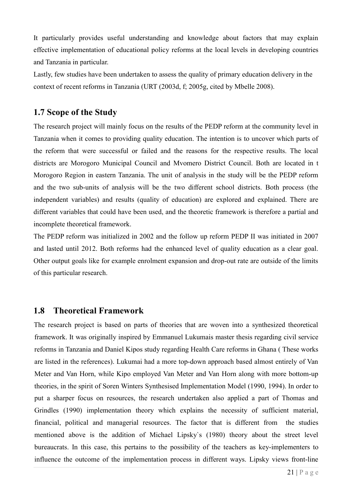It particularly provides useful understanding and knowledge about factors that may explain effective implementation of educational policy reforms at the local levels in developing countries and Tanzania in particular.

Lastly, few studies have been undertaken to assess the quality of primary education delivery in the context of recent reforms in Tanzania (URT (2003d, f; 2005g, cited by Mbelle 2008).

## **1.7 Scope of the Study**

The research project will mainly focus on the results of the PEDP reform at the community level in Tanzania when it comes to providing quality education. The intention is to uncover which parts of the reform that were successful or failed and the reasons for the respective results. The local districts are Morogoro Municipal Council and Mvomero District Council. Both are located in t Morogoro Region in eastern Tanzania. The unit of analysis in the study will be the PEDP reform and the two sub-units of analysis will be the two different school districts. Both process (the independent variables) and results (quality of education) are explored and explained. There are different variables that could have been used, and the theoretic framework is therefore a partial and incomplete theoretical framework.

The PEDP reform was initialized in 2002 and the follow up reform PEDP II was initiated in 2007 and lasted until 2012. Both reforms had the enhanced level of quality education as a clear goal. Other output goals like for example enrolment expansion and drop-out rate are outside of the limits of this particular research.

#### **1.8 Theoretical Framework**

The research project is based on parts of theories that are woven into a synthesized theoretical framework. It was originally inspired by Emmanuel Lukumais master thesis regarding civil service reforms in Tanzania and Daniel Kipos study regarding Health Care reforms in Ghana ( These works are listed in the references). Lukumai had a more top-down approach based almost entirely of Van Meter and Van Horn, while Kipo employed Van Meter and Van Horn along with more bottom-up theories, in the spirit of Soren Winters Synthesised Implementation Model (1990, 1994). In order to put a sharper focus on resources, the research undertaken also applied a part of Thomas and Grindles (1990) implementation theory which explains the necessity of sufficient material, financial, political and managerial resources. The factor that is different from the studies mentioned above is the addition of Michael Lipsky`s (1980) theory about the street level bureaucrats. In this case, this pertains to the possibility of the teachers as key-implementers to influence the outcome of the implementation process in different ways. Lipsky views front-line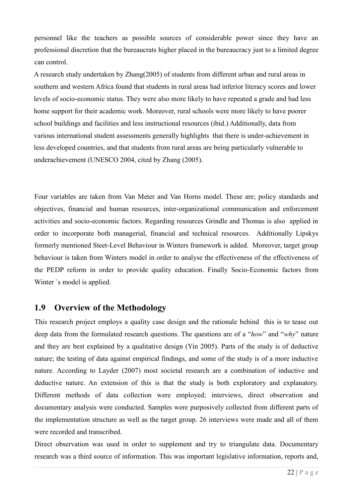personnel like the teachers as possible sources of considerable power since they have an professional discretion that the bureaucrats higher placed in the bureaucracy just to a limited degree can control.

A research study undertaken by Zhang(2005) of students from different urban and rural areas in southern and western Africa found that students in rural areas had inferior literacy scores and lower levels of socio-economic status. They were also more likely to have repeated a grade and had less home support for their academic work. Moreover, rural schools were more likely to have poorer school buildings and facilities and less instructional resources (ibid.) Additionally, data from various international student assessments generally highlights that there is under-achievement in less developed countries, and that students from rural areas are being particularly vulnerable to underachievement (UNESCO 2004, cited by Zhang (2005).

Four variables are taken from Van Meter and Van Horns model. These are; policy standards and objectives, financial and human resources, inter-organizational communication and enforcement activities and socio-economic factors. Regarding resources Grindle and Thomas is also applied in order to incorporate both managerial, financial and technical resources. Additionally Lipskys formerly mentioned Steet-Level Behaviour in Winters framework is added. Moreover, target group behaviour is taken from Winters model in order to analyse the effectiveness of the effectiveness of the PEDP reform in order to provide quality education. Finally Socio-Economic factors from Winter `s model is applied.

#### **1.9 Overview of the Methodology**

This research project employs a quality case design and the rationale behind this is to tease out deep data from the formulated research questions. The questions are of a "*how*" and "*why*" nature and they are best explained by a qualitative design (Yin 2005). Parts of the study is of deductive nature; the testing of data against empirical findings, and some of the study is of a more inductive nature. According to Layder (2007) most societal research are a combination of inductive and deductive nature. An extension of this is that the study is both exploratory and explanatory. Different methods of data collection were employed; interviews, direct observation and documentary analysis were conducted. Samples were purposively collected from different parts of the implementation structure as well as the target group. 26 interviews were made and all of them were recorded and transcribed.

Direct observation was used in order to supplement and try to triangulate data. Documentary research was a third source of information. This was important legislative information, reports and,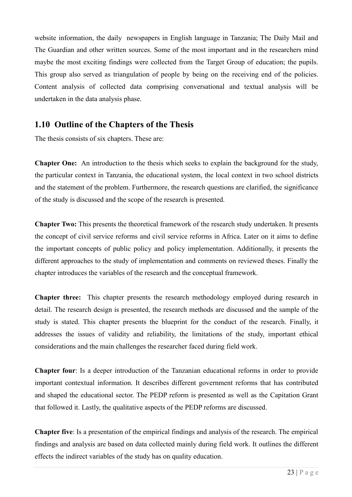website information, the daily newspapers in English language in Tanzania; The Daily Mail and The Guardian and other written sources. Some of the most important and in the researchers mind maybe the most exciting findings were collected from the Target Group of education; the pupils. This group also served as triangulation of people by being on the receiving end of the policies. Content analysis of collected data comprising conversational and textual analysis will be undertaken in the data analysis phase.

#### **1.10 Outline of the Chapters of the Thesis**

The thesis consists of six chapters. These are:

**Chapter One:** An introduction to the thesis which seeks to explain the background for the study, the particular context in Tanzania, the educational system, the local context in two school districts and the statement of the problem. Furthermore, the research questions are clarified, the significance of the study is discussed and the scope of the research is presented.

**Chapter Two:** This presents the theoretical framework of the research study undertaken. It presents the concept of civil service reforms and civil service reforms in Africa. Later on it aims to define the important concepts of public policy and policy implementation. Additionally, it presents the different approaches to the study of implementation and comments on reviewed theses. Finally the chapter introduces the variables of the research and the conceptual framework.

**Chapter three:** This chapter presents the research methodology employed during research in detail. The research design is presented, the research methods are discussed and the sample of the study is stated. This chapter presents the blueprint for the conduct of the research. Finally, it addresses the issues of validity and reliability, the limitations of the study, important ethical considerations and the main challenges the researcher faced during field work.

**Chapter four**: Is a deeper introduction of the Tanzanian educational reforms in order to provide important contextual information. It describes different government reforms that has contributed and shaped the educational sector. The PEDP reform is presented as well as the Capitation Grant that followed it. Lastly, the qualitative aspects of the PEDP reforms are discussed.

**Chapter five**: Is a presentation of the empirical findings and analysis of the research. The empirical findings and analysis are based on data collected mainly during field work. It outlines the different effects the indirect variables of the study has on quality education.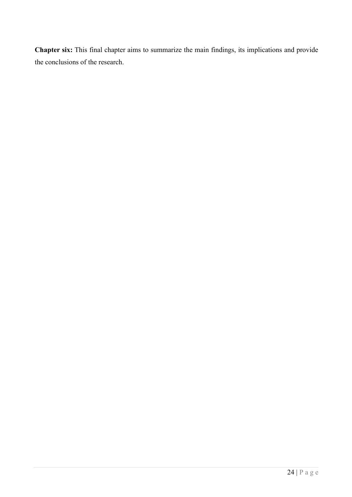**Chapter six:** This final chapter aims to summarize the main findings, its implications and provide the conclusions of the research.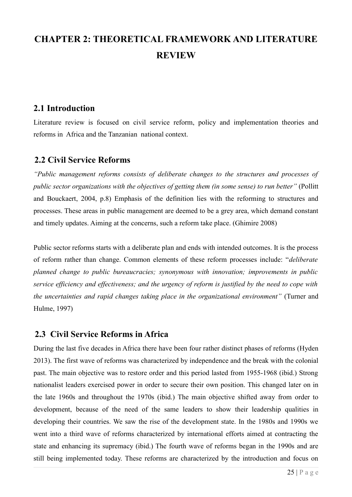## **CHAPTER 2: THEORETICAL FRAMEWORK AND LITERATURE REVIEW**

## **2.1 Introduction**

Literature review is focused on civil service reform, policy and implementation theories and reforms in Africa and the Tanzanian national context.

## **2.2 Civil Service Reforms**

*"Public management reforms consists of deliberate changes to the structures and processes of public sector organizations with the objectives of getting them (in some sense) to run better"* (Pollitt and Bouckaert, 2004, p.8) Emphasis of the definition lies with the reforming to structures and processes. These areas in public management are deemed to be a grey area, which demand constant and timely updates. Aiming at the concerns, such a reform take place. (Ghimire 2008)

Public sector reforms starts with a deliberate plan and ends with intended outcomes. It is the process of reform rather than change. Common elements of these reform processes include: "*deliberate planned change to public bureaucracies; synonymous with innovation; improvements in public service efficiency and effectiveness; and the urgency of reform is justified by the need to cope with the uncertainties and rapid changes taking place in the organizational environment"* (Turner and Hulme, 1997)

## **2.3 Civil Service Reforms in Africa**

During the last five decades in Africa there have been four rather distinct phases of reforms (Hyden 2013). The first wave of reforms was characterized by independence and the break with the colonial past. The main objective was to restore order and this period lasted from 1955-1968 (ibid.) Strong nationalist leaders exercised power in order to secure their own position. This changed later on in the late 1960s and throughout the 1970s (ibid.) The main objective shifted away from order to development, because of the need of the same leaders to show their leadership qualities in developing their countries. We saw the rise of the development state. In the 1980s and 1990s we went into a third wave of reforms characterized by international efforts aimed at contracting the state and enhancing its supremacy (ibid.) The fourth wave of reforms began in the 1990s and are still being implemented today. These reforms are characterized by the introduction and focus on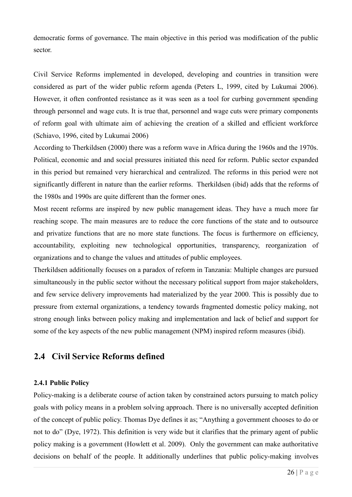democratic forms of governance. The main objective in this period was modification of the public sector.

Civil Service Reforms implemented in developed, developing and countries in transition were considered as part of the wider public reform agenda (Peters L, 1999, cited by Lukumai 2006). However, it often confronted resistance as it was seen as a tool for curbing government spending through personnel and wage cuts. It is true that, personnel and wage cuts were primary components of reform goal with ultimate aim of achieving the creation of a skilled and efficient workforce (Schiavo, 1996, cited by Lukumai 2006)

According to Therkildsen (2000) there was a reform wave in Africa during the 1960s and the 1970s. Political, economic and and social pressures initiated this need for reform. Public sector expanded in this period but remained very hierarchical and centralized. The reforms in this period were not significantly different in nature than the earlier reforms. Therkildsen (ibid) adds that the reforms of the 1980s and 1990s are quite different than the former ones.

Most recent reforms are inspired by new public management ideas. They have a much more far reaching scope. The main measures are to reduce the core functions of the state and to outsource and privatize functions that are no more state functions. The focus is furthermore on efficiency, accountability, exploiting new technological opportunities, transparency, reorganization of organizations and to change the values and attitudes of public employees.

Therkildsen additionally focuses on a paradox of reform in Tanzania: Multiple changes are pursued simultaneously in the public sector without the necessary political support from major stakeholders, and few service delivery improvements had materialized by the year 2000. This is possibly due to pressure from external organizations, a tendency towards fragmented domestic policy making, not strong enough links between policy making and implementation and lack of belief and support for some of the key aspects of the new public management (NPM) inspired reform measures (ibid).

#### **2.4 Civil Service Reforms defined**

#### **2.4.1 Public Policy**

Policy-making is a deliberate course of action taken by constrained actors pursuing to match policy goals with policy means in a problem solving approach. There is no universally accepted definition of the concept of public policy. Thomas Dye defines it as; "Anything a government chooses to do or not to do" (Dye, 1972). This definition is very wide but it clarifies that the primary agent of public policy making is a government (Howlett et al. 2009). Only the government can make authoritative decisions on behalf of the people. It additionally underlines that public policy-making involves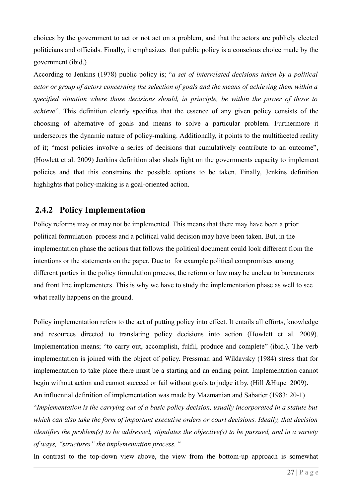choices by the government to act or not act on a problem, and that the actors are publicly elected politicians and officials. Finally, it emphasizes that public policy is a conscious choice made by the government (ibid.)

According to Jenkins (1978) public policy is; "*a set of interrelated decisions taken by a political actor or group of actors concerning the selection of goals and the means of achieving them within a specified situation where those decisions should, in principle, be within the power of those to achieve*". This definition clearly specifies that the essence of any given policy consists of the choosing of alternative of goals and means to solve a particular problem. Furthermore it underscores the dynamic nature of policy-making. Additionally, it points to the multifaceted reality of it; "most policies involve a series of decisions that cumulatively contribute to an outcome", (Howlett et al. 2009) Jenkins definition also sheds light on the governments capacity to implement policies and that this constrains the possible options to be taken. Finally, Jenkins definition highlights that policy-making is a goal-oriented action.

## **2.4.2 Policy Implementation**

Policy reforms may or may not be implemented. This means that there may have been a prior political formulation process and a political valid decision may have been taken. But, in the implementation phase the actions that follows the political document could look different from the intentions or the statements on the paper. Due to for example political compromises among different parties in the policy formulation process, the reform or law may be unclear to bureaucrats and front line implementers. This is why we have to study the implementation phase as well to see what really happens on the ground.

Policy implementation refers to the act of putting policy into effect. It entails all efforts, knowledge and resources directed to translating policy decisions into action (Howlett et al. 2009). Implementation means; "to carry out, accomplish, fulfil, produce and complete" (ibid.). The verb implementation is joined with the object of policy. Pressman and Wildavsky (1984) stress that for implementation to take place there must be a starting and an ending point. Implementation cannot begin without action and cannot succeed or fail without goals to judge it by. (Hill &Hupe 2009)**.** An influential definition of implementation was made by Mazmanian and Sabatier (1983: 20-1)

"*Implementation is the carrying out of a basic policy decision, usually incorporated in a statute but which can also take the form of important executive orders or court decisions. Ideally, that decision identifies the problem(s) to be addressed, stipulates the objective(s) to be pursued, and in a variety of ways, "structures" the implementation process.* "

In contrast to the top-down view above, the view from the bottom-up approach is somewhat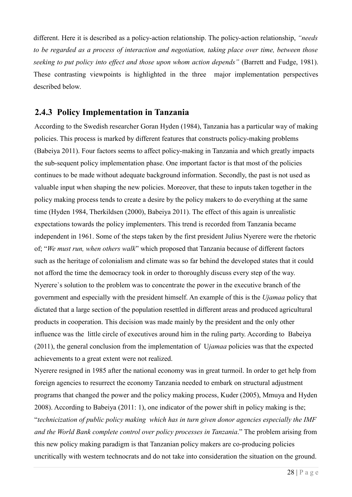different. Here it is described as a policy-action relationship. The policy-action relationship, *"needs to be regarded as a process of interaction and negotiation, taking place over time, between those seeking to put policy into effect and those upon whom action depends"* (Barrett and Fudge, 1981). These contrasting viewpoints is highlighted in the three major implementation perspectives described below.

#### **2.4.3 Policy Implementation in Tanzania**

According to the Swedish researcher Goran Hyden (1984), Tanzania has a particular way of making policies. This process is marked by different features that constructs policy-making problems (Babeiya 2011). Four factors seems to affect policy-making in Tanzania and which greatly impacts the sub-sequent policy implementation phase. One important factor is that most of the policies continues to be made without adequate background information. Secondly, the past is not used as valuable input when shaping the new policies. Moreover, that these to inputs taken together in the policy making process tends to create a desire by the policy makers to do everything at the same time (Hyden 1984, Therkildsen (2000), Babeiya 2011). The effect of this again is unrealistic expectations towards the policy implementers. This trend is recorded from Tanzania became independent in 1961. Some of the steps taken by the first president Julius Nyerere were the rhetoric of; "*We must run, when others walk*" which proposed that Tanzania because of different factors such as the heritage of colonialism and climate was so far behind the developed states that it could not afford the time the democracy took in order to thoroughly discuss every step of the way. Nyerere`s solution to the problem was to concentrate the power in the executive branch of the government and especially with the president himself. An example of this is the *Ujamaa* policy that dictated that a large section of the population resettled in different areas and produced agricultural products in cooperation. This decision was made mainly by the president and the only other influence was the little circle of executives around him in the ruling party. According to Babeiya (2011), the general conclusion from the implementation of U*jamaa* policies was that the expected achievements to a great extent were not realized.

Nyerere resigned in 1985 after the national economy was in great turmoil. In order to get help from foreign agencies to resurrect the economy Tanzania needed to embark on structural adjustment programs that changed the power and the policy making process, Kuder (2005), Mmuya and Hyden 2008). According to Babeiya (2011: 1), one indicator of the power shift in policy making is the; "*technicization of public policy making which has in turn given donor agencies especially the IMF and the World Bank complete control over policy processes in Tanzania*." The problem arising from this new policy making paradigm is that Tanzanian policy makers are co-producing policies uncritically with western technocrats and do not take into consideration the situation on the ground.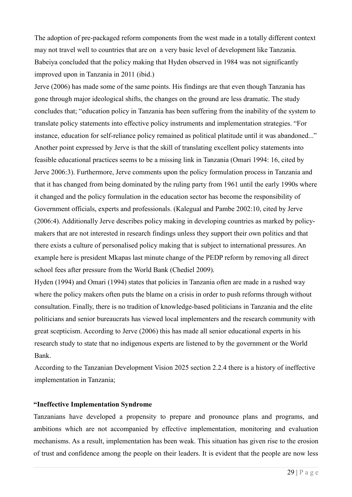The adoption of pre-packaged reform components from the west made in a totally different context may not travel well to countries that are on a very basic level of development like Tanzania. Babeiya concluded that the policy making that Hyden observed in 1984 was not significantly improved upon in Tanzania in 2011 (ibid.)

Jerve (2006) has made some of the same points. His findings are that even though Tanzania has gone through major ideological shifts, the changes on the ground are less dramatic. The study concludes that; "education policy in Tanzania has been suffering from the inability of the system to translate policy statements into effective policy instruments and implementation strategies. "For instance, education for self-reliance policy remained as political platitude until it was abandoned..." Another point expressed by Jerve is that the skill of translating excellent policy statements into feasible educational practices seems to be a missing link in Tanzania (Omari 1994: 16, cited by Jerve 2006:3). Furthermore, Jerve comments upon the policy formulation process in Tanzania and that it has changed from being dominated by the ruling party from 1961 until the early 1990s where it changed and the policy formulation in the education sector has become the responsibility of Government officials, experts and professionals. (Kalegual and Pambe 2002:10, cited by Jerve (2006:4). Additionally Jerve describes policy making in developing countries as marked by policymakers that are not interested in research findings unless they support their own politics and that there exists a culture of personalised policy making that is subject to international pressures. An example here is president Mkapas last minute change of the PEDP reform by removing all direct school fees after pressure from the World Bank (Chediel 2009).

Hyden (1994) and Omari (1994) states that policies in Tanzania often are made in a rushed way where the policy makers often puts the blame on a crisis in order to push reforms through without consultation. Finally, there is no tradition of knowledge-based politicians in Tanzania and the elite politicians and senior bureaucrats has viewed local implementers and the research community with great scepticism. According to Jerve (2006) this has made all senior educational experts in his research study to state that no indigenous experts are listened to by the government or the World Bank.

According to the Tanzanian Development Vision 2025 section 2.2.4 there is a history of ineffective implementation in Tanzania;

#### **"Ineffective Implementation Syndrome**

Tanzanians have developed a propensity to prepare and pronounce plans and programs, and ambitions which are not accompanied by effective implementation, monitoring and evaluation mechanisms. As a result, implementation has been weak. This situation has given rise to the erosion of trust and confidence among the people on their leaders. It is evident that the people are now less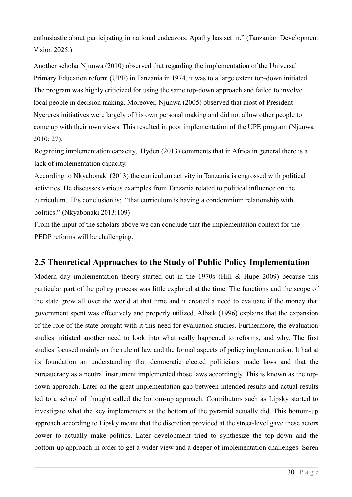enthusiastic about participating in national endeavors. Apathy has set in." (Tanzanian Development Vision 2025.)

Another scholar Njunwa (2010) observed that regarding the implementation of the Universal Primary Education reform (UPE) in Tanzania in 1974, it was to a large extent top-down initiated. The program was highly criticized for using the same top-down approach and failed to involve local people in decision making. Moreover, Njunwa (2005) observed that most of President Nyereres initiatives were largely of his own personal making and did not allow other people to come up with their own views. This resulted in poor implementation of the UPE program (Njunwa 2010: 27).

Regarding implementation capacity, Hyden (2013) comments that in Africa in general there is a lack of implementation capacity.

According to Nkyabonaki (2013) the curriculum activity in Tanzania is engrossed with political activities. He discusses various examples from Tanzania related to political influence on the curriculum.. His conclusion is; "that curriculum is having a condomnium relationship with politics." (Nkyabonaki 2013:109)

From the input of the scholars above we can conclude that the implementation context for the PEDP reforms will be challenging.

## **2.5 Theoretical Approaches to the Study of Public Policy Implementation**

Modern day implementation theory started out in the 1970s (Hill & Hupe 2009) because this particular part of the policy process was little explored at the time. The functions and the scope of the state grew all over the world at that time and it created a need to evaluate if the money that government spent was effectively and properly utilized. Albæk (1996) explains that the expansion of the role of the state brought with it this need for evaluation studies. Furthermore, the evaluation studies initiated another need to look into what really happened to reforms, and why. The first studies focused mainly on the rule of law and the formal aspects of policy implementation. It had at its foundation an understanding that democratic elected politicians made laws and that the bureaucracy as a neutral instrument implemented those laws accordingly. This is known as the topdown approach. Later on the great implementation gap between intended results and actual results led to a school of thought called the bottom-up approach. Contributors such as Lipsky started to investigate what the key implementers at the bottom of the pyramid actually did. This bottom-up approach according to Lipsky meant that the discretion provided at the street-level gave these actors power to actually make politics. Later development tried to synthesize the top-down and the bottom-up approach in order to get a wider view and a deeper of implementation challenges. Søren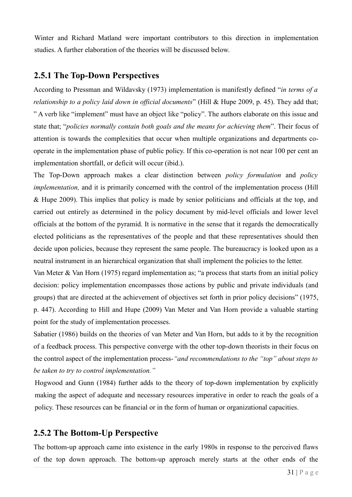Winter and Richard Matland were important contributors to this direction in implementation studies. A further elaboration of the theories will be discussed below.

#### **2.5.1 The Top-Down Perspectives**

According to Pressman and Wildavsky (1973) implementation is manifestly defined "*in terms of a relationship to a policy laid down in official documents*" (Hill & Hupe 2009, p. 45). They add that; " A verb like "implement" must have an object like "policy". The authors elaborate on this issue and state that; "*policies normally contain both goals and the means for achieving them*". Their focus of attention is towards the complexities that occur when multiple organizations and departments cooperate in the implementation phase of public policy. If this co-operation is not near 100 per cent an implementation shortfall, or deficit will occur (ibid.).

The Top-Down approach makes a clear distinction between *policy formulation* and *policy implementation*, and it is primarily concerned with the control of the implementation process (Hill & Hupe 2009). This implies that policy is made by senior politicians and officials at the top, and carried out entirely as determined in the policy document by mid-level officials and lower level officials at the bottom of the pyramid. It is normative in the sense that it regards the democratically elected politicians as the representatives of the people and that these representatives should then decide upon policies, because they represent the same people. The bureaucracy is looked upon as a neutral instrument in an hierarchical organization that shall implement the policies to the letter.

Van Meter & Van Horn (1975) regard implementation as; "a process that starts from an initial policy decision: policy implementation encompasses those actions by public and private individuals (and groups) that are directed at the achievement of objectives set forth in prior policy decisions" (1975, p. 447). According to Hill and Hupe (2009) Van Meter and Van Horn provide a valuable starting point for the study of implementation processes.

Sabatier (1986) builds on the theories of van Meter and Van Horn, but adds to it by the recognition of a feedback process. This perspective converge with the other top-down theorists in their focus on the control aspect of the implementation process-*"and recommendations to the "top" about steps to be taken to try to control implementation."*

Hogwood and Gunn (1984) further adds to the theory of top-down implementation by explicitly making the aspect of adequate and necessary resources imperative in order to reach the goals of a policy. These resources can be financial or in the form of human or organizational capacities.

## **2.5.2 The Bottom-Up Perspective**

The bottom-up approach came into existence in the early 1980s in response to the perceived flaws of the top down approach. The bottom-up approach merely starts at the other ends of the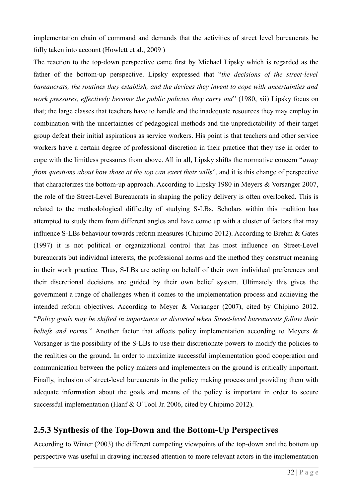implementation chain of command and demands that the activities of street level bureaucrats be fully taken into account (Howlett et al., 2009 )

The reaction to the top-down perspective came first by Michael Lipsky which is regarded as the father of the bottom-up perspective. Lipsky expressed that "*the decisions of the street-level bureaucrats, the routines they establish, and the devices they invent to cope with uncertainties and work pressures, effectively become the public policies they carry out*" (1980, xii) Lipsky focus on that; the large classes that teachers have to handle and the inadequate resources they may employ in combination with the uncertainties of pedagogical methods and the unpredictability of their target group defeat their initial aspirations as service workers. His point is that teachers and other service workers have a certain degree of professional discretion in their practice that they use in order to cope with the limitless pressures from above. All in all, Lipsky shifts the normative concern "*away from questions about how those at the top can exert their wills*", and it is this change of perspective that characterizes the bottom-up approach. According to Lipsky 1980 in Meyers & Vorsanger 2007, the role of the Street-Level Bureaucrats in shaping the policy delivery is often overlooked. This is related to the methodological difficulty of studying S-LBs. Scholars within this tradition has attempted to study them from different angles and have come up with a cluster of factors that may influence S-LBs behaviour towards reform measures (Chipimo 2012). According to Brehm & Gates (1997) it is not political or organizational control that has most influence on Street-Level bureaucrats but individual interests, the professional norms and the method they construct meaning in their work practice. Thus, S-LBs are acting on behalf of their own individual preferences and their discretional decisions are guided by their own belief system. Ultimately this gives the government a range of challenges when it comes to the implementation process and achieving the intended reform objectives. According to Meyer & Vorsanger (2007), cited by Chipimo 2012. "*Policy goals may be shifted in importance or distorted when Street-level bureaucrats follow their beliefs and norms.*" Another factor that affects policy implementation according to Meyers & Vorsanger is the possibility of the S-LBs to use their discretionate powers to modify the policies to the realities on the ground. In order to maximize successful implementation good cooperation and communication between the policy makers and implementers on the ground is critically important. Finally, inclusion of street-level bureaucrats in the policy making process and providing them with adequate information about the goals and means of the policy is important in order to secure successful implementation (Hanf & O`Tool Jr. 2006, cited by Chipimo 2012).

## **2.5.3 Synthesis of the Top-Down and the Bottom-Up Perspectives**

According to Winter (2003) the different competing viewpoints of the top-down and the bottom up perspective was useful in drawing increased attention to more relevant actors in the implementation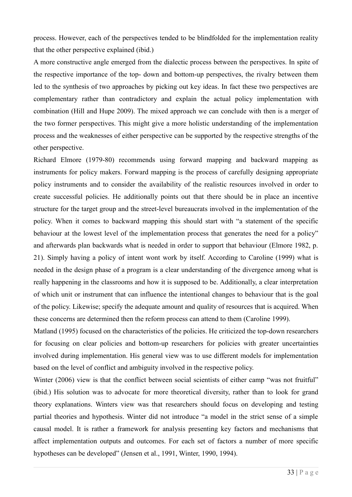process. However, each of the perspectives tended to be blindfolded for the implementation reality that the other perspective explained (ibid.)

A more constructive angle emerged from the dialectic process between the perspectives. In spite of the respective importance of the top- down and bottom-up perspectives, the rivalry between them led to the synthesis of two approaches by picking out key ideas. In fact these two perspectives are complementary rather than contradictory and explain the actual policy implementation with combination (Hill and Hupe 2009). The mixed approach we can conclude with then is a merger of the two former perspectives. This might give a more holistic understanding of the implementation process and the weaknesses of either perspective can be supported by the respective strengths of the other perspective.

Richard Elmore (1979-80) recommends using forward mapping and backward mapping as instruments for policy makers. Forward mapping is the process of carefully designing appropriate policy instruments and to consider the availability of the realistic resources involved in order to create successful policies. He additionally points out that there should be in place an incentive structure for the target group and the street-level bureaucrats involved in the implementation of the policy. When it comes to backward mapping this should start with "a statement of the specific behaviour at the lowest level of the implementation process that generates the need for a policy" and afterwards plan backwards what is needed in order to support that behaviour (Elmore 1982, p. 21). Simply having a policy of intent wont work by itself. According to Caroline (1999) what is needed in the design phase of a program is a clear understanding of the divergence among what is really happening in the classrooms and how it is supposed to be. Additionally, a clear interpretation of which unit or instrument that can influence the intentional changes to behaviour that is the goal of the policy. Likewise; specify the adequate amount and quality of resources that is acquired. When these concerns are determined then the reform process can attend to them (Caroline 1999).

Matland (1995) focused on the characteristics of the policies. He criticized the top-down researchers for focusing on clear policies and bottom-up researchers for policies with greater uncertainties involved during implementation. His general view was to use different models for implementation based on the level of conflict and ambiguity involved in the respective policy.

Winter (2006) view is that the conflict between social scientists of either camp "was not fruitful" (ibid.) His solution was to advocate for more theoretical diversity, rather than to look for grand theory explanations. Winters view was that researchers should focus on developing and testing partial theories and hypothesis. Winter did not introduce "a model in the strict sense of a simple causal model. It is rather a framework for analysis presenting key factors and mechanisms that affect implementation outputs and outcomes. For each set of factors a number of more specific hypotheses can be developed" (Jensen et al., 1991, Winter, 1990, 1994).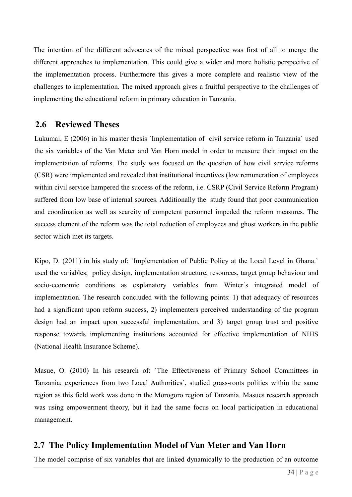The intention of the different advocates of the mixed perspective was first of all to merge the different approaches to implementation. This could give a wider and more holistic perspective of the implementation process. Furthermore this gives a more complete and realistic view of the challenges to implementation. The mixed approach gives a fruitful perspective to the challenges of implementing the educational reform in primary education in Tanzania.

#### **2.6 Reviewed Theses**

Lukumai, E (2006) in his master thesis `Implementation of civil service reform in Tanzania` used the six variables of the Van Meter and Van Horn model in order to measure their impact on the implementation of reforms. The study was focused on the question of how civil service reforms (CSR) were implemented and revealed that institutional incentives (low remuneration of employees within civil service hampered the success of the reform, i.e. CSRP (Civil Service Reform Program) suffered from low base of internal sources. Additionally the study found that poor communication and coordination as well as scarcity of competent personnel impeded the reform measures. The success element of the reform was the total reduction of employees and ghost workers in the public sector which met its targets.

Kipo, D. (2011) in his study of: `Implementation of Public Policy at the Local Level in Ghana.` used the variables; policy design, implementation structure, resources, target group behaviour and socio-economic conditions as explanatory variables from Winter's integrated model of implementation. The research concluded with the following points: 1) that adequacy of resources had a significant upon reform success, 2) implementers perceived understanding of the program design had an impact upon successful implementation, and 3) target group trust and positive response towards implementing institutions accounted for effective implementation of NHIS (National Health Insurance Scheme).

Masue, O. (2010) In his research of: 'The Effectiveness of Primary School Committees in Tanzania; experiences from two Local Authorities`, studied grass-roots politics within the same region as this field work was done in the Morogoro region of Tanzania. Masues research approach was using empowerment theory, but it had the same focus on local participation in educational management.

## **2.7 The Policy Implementation Model of Van Meter and Van Horn**

The model comprise of six variables that are linked dynamically to the production of an outcome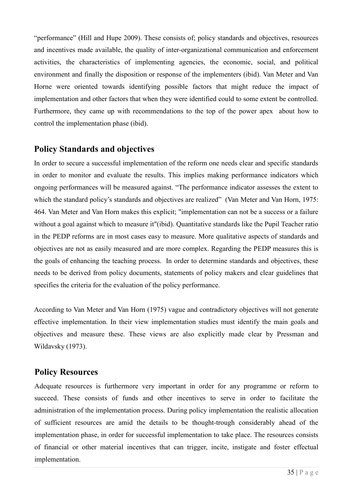"performance" (Hill and Hupe 2009). These consists of; policy standards and objectives, resources and incentives made available, the quality of inter-organizational communication and enforcement activities, the characteristics of implementing agencies, the economic, social, and political environment and finally the disposition or response of the implementers (ibid). Van Meter and Van Horne were oriented towards identifying possible factors that might reduce the impact of implementation and other factors that when they were identified could to some extent be controlled. Furthermore, they came up with recommendations to the top of the power apex about how to control the implementation phase (ibid).

## **Policy Standards and objectives**

In order to secure a successful implementation of the reform one needs clear and specific standards in order to monitor and evaluate the results. This implies making performance indicators which ongoing performances will be measured against. "The performance indicator assesses the extent to which the standard policy's standards and objectives are realized" (Van Meter and Van Horn, 1975: 464. Van Meter and Van Horn makes this explicit; "implementation can not be a success or a failure without a goal against which to measure it"(ibid). Quantitative standards like the Pupil Teacher ratio in the PEDP reforms are in most cases easy to measure. More qualitative aspects of standards and objectives are not as easily measured and are more complex. Regarding the PEDP measures this is the goals of enhancing the teaching process. In order to determine standards and objectives, these needs to be derived from policy documents, statements of policy makers and clear guidelines that specifies the criteria for the evaluation of the policy performance.

According to Van Meter and Van Horn (1975) vague and contradictory objectives will not generate effective implementation. In their view implementation studies must identify the main goals and objectives and measure these. These views are also explicitly made clear by Pressman and Wildavsky (1973).

#### **Policy Resources**

Adequate resources is furthermore very important in order for any programme or reform to succeed. These consists of funds and other incentives to serve in order to facilitate the administration of the implementation process. During policy implementation the realistic allocation of sufficient resources are amid the details to be thought-trough considerably ahead of the implementation phase, in order for successful implementation to take place. The resources consists of financial or other material incentives that can trigger, incite, instigate and foster effectual implementation.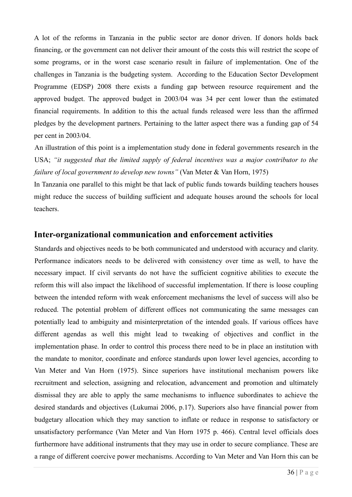A lot of the reforms in Tanzania in the public sector are donor driven. If donors holds back financing, or the government can not deliver their amount of the costs this will restrict the scope of some programs, or in the worst case scenario result in failure of implementation. One of the challenges in Tanzania is the budgeting system. According to the Education Sector Development Programme (EDSP) 2008 there exists a funding gap between resource requirement and the approved budget. The approved budget in 2003/04 was 34 per cent lower than the estimated financial requirements. In addition to this the actual funds released were less than the affirmed pledges by the development partners. Pertaining to the latter aspect there was a funding gap of 54 per cent in 2003/04.

An illustration of this point is a implementation study done in federal governments research in the USA; *"it suggested that the limited supply of federal incentives was a major contributor to the failure of local government to develop new towns"* (Van Meter & Van Horn, 1975)

In Tanzania one parallel to this might be that lack of public funds towards building teachers houses might reduce the success of building sufficient and adequate houses around the schools for local teachers.

#### **Inter-organizational communication and enforcement activities**

Standards and objectives needs to be both communicated and understood with accuracy and clarity. Performance indicators needs to be delivered with consistency over time as well, to have the necessary impact. If civil servants do not have the sufficient cognitive abilities to execute the reform this will also impact the likelihood of successful implementation. If there is loose coupling between the intended reform with weak enforcement mechanisms the level of success will also be reduced. The potential problem of different offices not communicating the same messages can potentially lead to ambiguity and misinterpretation of the intended goals. If various offices have different agendas as well this might lead to tweaking of objectives and conflict in the implementation phase. In order to control this process there need to be in place an institution with the mandate to monitor, coordinate and enforce standards upon lower level agencies, according to Van Meter and Van Horn (1975). Since superiors have institutional mechanism powers like recruitment and selection, assigning and relocation, advancement and promotion and ultimately dismissal they are able to apply the same mechanisms to influence subordinates to achieve the desired standards and objectives (Lukumai 2006, p.17). Superiors also have financial power from budgetary allocation which they may sanction to inflate or reduce in response to satisfactory or unsatisfactory performance (Van Meter and Van Horn 1975 p. 466). Central level officials does furthermore have additional instruments that they may use in order to secure compliance. These are a range of different coercive power mechanisms. According to Van Meter and Van Horn this can be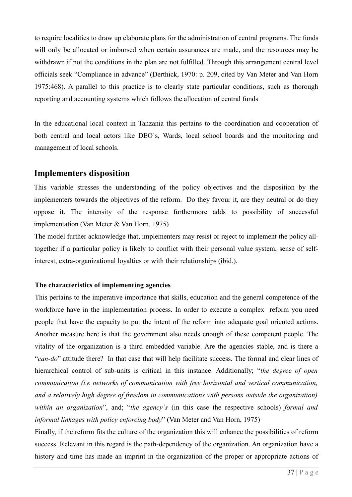to require localities to draw up elaborate plans for the administration of central programs. The funds will only be allocated or imbursed when certain assurances are made, and the resources may be withdrawn if not the conditions in the plan are not fulfilled. Through this arrangement central level officials seek "Compliance in advance" (Derthick, 1970: p. 209, cited by Van Meter and Van Horn 1975:468). A parallel to this practice is to clearly state particular conditions, such as thorough reporting and accounting systems which follows the allocation of central funds

In the educational local context in Tanzania this pertains to the coordination and cooperation of both central and local actors like DEO`s, Wards, local school boards and the monitoring and management of local schools.

#### **Implementers disposition**

This variable stresses the understanding of the policy objectives and the disposition by the implementers towards the objectives of the reform. Do they favour it, are they neutral or do they oppose it. The intensity of the response furthermore adds to possibility of successful implementation (Van Meter & Van Horn, 1975)

The model further acknowledge that, implementers may resist or reject to implement the policy alltogether if a particular policy is likely to conflict with their personal value system, sense of selfinterest, extra-organizational loyalties or with their relationships (ibid.).

#### **The characteristics of implementing agencies**

This pertains to the imperative importance that skills, education and the general competence of the workforce have in the implementation process. In order to execute a complex reform you need people that have the capacity to put the intent of the reform into adequate goal oriented actions. Another measure here is that the government also needs enough of these competent people. The vitality of the organization is a third embedded variable. Are the agencies stable, and is there a "*can-do*" attitude there? In that case that will help facilitate success. The formal and clear lines of hierarchical control of sub-units is critical in this instance. Additionally; "*the degree of open communication (i.e networks of communication with free horizontal and vertical communication, and a relatively high degree of freedom in communications with persons outside the organization) within an organization*", and; "*the agency`s* (in this case the respective schools) *formal and informal linkages with policy enforcing body*" (Van Meter and Van Horn, 1975)

Finally, if the reform fits the culture of the organization this will enhance the possibilities of reform success. Relevant in this regard is the path-dependency of the organization. An organization have a history and time has made an imprint in the organization of the proper or appropriate actions of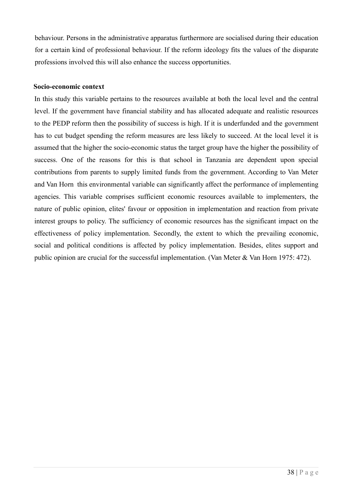behaviour. Persons in the administrative apparatus furthermore are socialised during their education for a certain kind of professional behaviour. If the reform ideology fits the values of the disparate professions involved this will also enhance the success opportunities.

#### **Socio-economic context**

In this study this variable pertains to the resources available at both the local level and the central level. If the government have financial stability and has allocated adequate and realistic resources to the PEDP reform then the possibility of success is high. If it is underfunded and the government has to cut budget spending the reform measures are less likely to succeed. At the local level it is assumed that the higher the socio-economic status the target group have the higher the possibility of success. One of the reasons for this is that school in Tanzania are dependent upon special contributions from parents to supply limited funds from the government. According to Van Meter and Van Horn this environmental variable can significantly affect the performance of implementing agencies. This variable comprises sufficient economic resources available to implementers, the nature of public opinion, elites' favour or opposition in implementation and reaction from private interest groups to policy. The sufficiency of economic resources has the significant impact on the effectiveness of policy implementation. Secondly, the extent to which the prevailing economic, social and political conditions is affected by policy implementation. Besides, elites support and public opinion are crucial for the successful implementation. (Van Meter & Van Horn 1975: 472).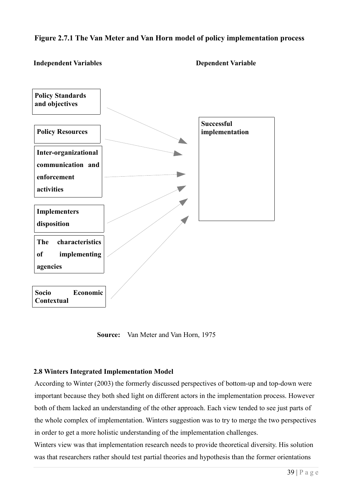#### **Figure 2.7.1 The Van Meter and Van Horn model of policy implementation process**

#### **Independent Variables Dependent Variable**



 **Source:** Van Meter and Van Horn, 1975

#### **2.8 Winters Integrated Implementation Model**

According to Winter (2003) the formerly discussed perspectives of bottom-up and top-down were important because they both shed light on different actors in the implementation process. However both of them lacked an understanding of the other approach. Each view tended to see just parts of the whole complex of implementation. Winters suggestion was to try to merge the two perspectives in order to get a more holistic understanding of the implementation challenges.

Winters view was that implementation research needs to provide theoretical diversity. His solution was that researchers rather should test partial theories and hypothesis than the former orientations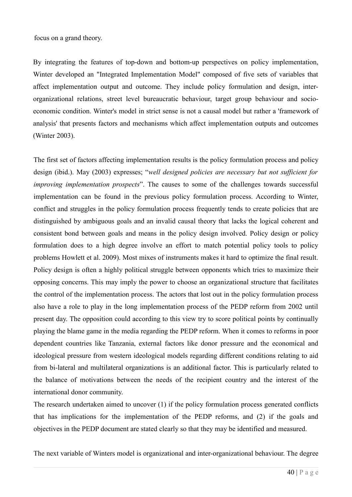focus on a grand theory.

By integrating the features of top-down and bottom-up perspectives on policy implementation, Winter developed an "Integrated Implementation Model" composed of five sets of variables that affect implementation output and outcome. They include policy formulation and design, interorganizational relations, street level bureaucratic behaviour, target group behaviour and socioeconomic condition. Winter's model in strict sense is not a causal model but rather a 'framework of analysis' that presents factors and mechanisms which affect implementation outputs and outcomes (Winter 2003).

The first set of factors affecting implementation results is the policy formulation process and policy design (ibid.). May (2003) expresses; "*well designed policies are necessary but not sufficient for improving implementation prospects*". The causes to some of the challenges towards successful implementation can be found in the previous policy formulation process. According to Winter, conflict and struggles in the policy formulation process frequently tends to create policies that are distinguished by ambiguous goals and an invalid causal theory that lacks the logical coherent and consistent bond between goals and means in the policy design involved. Policy design or policy formulation does to a high degree involve an effort to match potential policy tools to policy problems Howlett et al. 2009). Most mixes of instruments makes it hard to optimize the final result. Policy design is often a highly political struggle between opponents which tries to maximize their opposing concerns. This may imply the power to choose an organizational structure that facilitates the control of the implementation process. The actors that lost out in the policy formulation process also have a role to play in the long implementation process of the PEDP reform from 2002 until present day. The opposition could according to this view try to score political points by continually playing the blame game in the media regarding the PEDP reform. When it comes to reforms in poor dependent countries like Tanzania, external factors like donor pressure and the economical and ideological pressure from western ideological models regarding different conditions relating to aid from bi-lateral and multilateral organizations is an additional factor. This is particularly related to the balance of motivations between the needs of the recipient country and the interest of the international donor community.

The research undertaken aimed to uncover (1) if the policy formulation process generated conflicts that has implications for the implementation of the PEDP reforms, and (2) if the goals and objectives in the PEDP document are stated clearly so that they may be identified and measured.

The next variable of Winters model is organizational and inter-organizational behaviour. The degree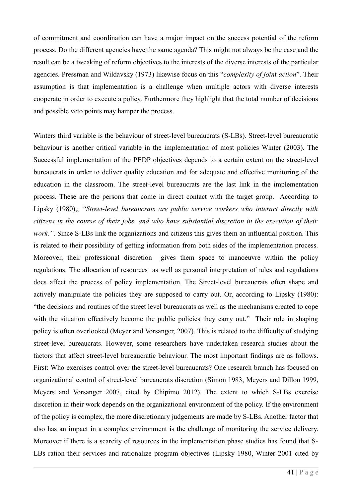of commitment and coordination can have a major impact on the success potential of the reform process. Do the different agencies have the same agenda? This might not always be the case and the result can be a tweaking of reform objectives to the interests of the diverse interests of the particular agencies. Pressman and Wildavsky (1973) likewise focus on this "*complexity of join*t *action*". Their assumption is that implementation is a challenge when multiple actors with diverse interests cooperate in order to execute a policy. Furthermore they highlight that the total number of decisions and possible veto points may hamper the process.

Winters third variable is the behaviour of street-level bureaucrats (S-LBs). Street-level bureaucratic behaviour is another critical variable in the implementation of most policies Winter (2003). The Successful implementation of the PEDP objectives depends to a certain extent on the street-level bureaucrats in order to deliver quality education and for adequate and effective monitoring of the education in the classroom. The street-level bureaucrats are the last link in the implementation process. These are the persons that come in direct contact with the target group. According to Lipsky (1980),; *"Street-level bureaucrats are public service workers who interact directly with citizens in the course of their jobs, and who have substantial discretion in the execution of their work.*". Since S-LBs link the organizations and citizens this gives them an influential position. This is related to their possibility of getting information from both sides of the implementation process. Moreover, their professional discretion gives them space to manoeuvre within the policy regulations. The allocation of resources as well as personal interpretation of rules and regulations does affect the process of policy implementation. The Street-level bureaucrats often shape and actively manipulate the policies they are supposed to carry out. Or, according to Lipsky (1980): "the decisions and routines of the street level bureaucrats as well as the mechanisms created to cope with the situation effectively become the public policies they carry out." Their role in shaping policy is often overlooked (Meyer and Vorsanger, 2007). This is related to the difficulty of studying street-level bureaucrats. However, some researchers have undertaken research studies about the factors that affect street-level bureaucratic behaviour. The most important findings are as follows. First: Who exercises control over the street-level bureaucrats? One research branch has focused on organizational control of street-level bureaucrats discretion (Simon 1983, Meyers and Dillon 1999, Meyers and Vorsanger 2007, cited by Chipimo 2012). The extent to which S-LBs exercise discretion in their work depends on the organizational environment of the policy. If the environment of the policy is complex, the more discretionary judgements are made by S-LBs. Another factor that also has an impact in a complex environment is the challenge of monitoring the service delivery. Moreover if there is a scarcity of resources in the implementation phase studies has found that S-LBs ration their services and rationalize program objectives (Lipsky 1980, Winter 2001 cited by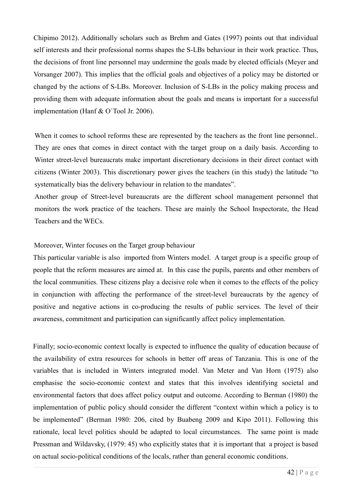Chipimo 2012). Additionally scholars such as Brehm and Gates (1997) points out that individual self interests and their professional norms shapes the S-LBs behaviour in their work practice. Thus, the decisions of front line personnel may undermine the goals made by elected officials (Meyer and Vorsanger 2007). This implies that the official goals and objectives of a policy may be distorted or changed by the actions of S-LBs. Moreover. Inclusion of S-LBs in the policy making process and providing them with adequate information about the goals and means is important for a successful implementation (Hanf & O`Tool Jr. 2006).

When it comes to school reforms these are represented by the teachers as the front line personnel... They are ones that comes in direct contact with the target group on a daily basis. According to Winter street-level bureaucrats make important discretionary decisions in their direct contact with citizens (Winter 2003). This discretionary power gives the teachers (in this study) the latitude "to systematically bias the delivery behaviour in relation to the mandates".

Another group of Street-level bureaucrats are the different school management personnel that monitors the work practice of the teachers. These are mainly the School Inspectorate, the Head Teachers and the WECs.

#### Moreover, Winter focuses on the Target group behaviour

This particular variable is also imported from Winters model. A target group is a specific group of people that the reform measures are aimed at. In this case the pupils, parents and other members of the local communities. These citizens play a decisive role when it comes to the effects of the policy in conjunction with affecting the performance of the street-level bureaucrats by the agency of positive and negative actions in co-producing the results of public services. The level of their awareness, commitment and participation can significantly affect policy implementation.

Finally; socio-economic context locally is expected to influence the quality of education because of the availability of extra resources for schools in better off areas of Tanzania. This is one of the variables that is included in Winters integrated model. Van Meter and Van Horn (1975) also emphasise the socio-economic context and states that this involves identifying societal and environmental factors that does affect policy output and outcome. According to Berman (1980) the implementation of public policy should consider the different "context within which a policy is to be implemented" (Berman 1980: 206, cited by Buabeng 2009 and Kipo 2011). Following this rationale, local level politics should be adapted to local circumstances. The same point is made Pressman and Wildavsky, (1979: 45) who explicitly states that it is important that a project is based on actual socio-political conditions of the locals, rather than general economic conditions.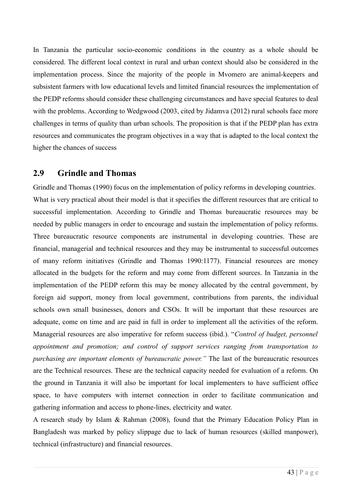In Tanzania the particular socio-economic conditions in the country as a whole should be considered. The different local context in rural and urban context should also be considered in the implementation process. Since the majority of the people in Mvomero are animal-keepers and subsistent farmers with low educational levels and limited financial resources the implementation of the PEDP reforms should consider these challenging circumstances and have special features to deal with the problems. According to Wedgwood (2003, cited by Jidamva (2012) rural schools face more challenges in terms of quality than urban schools. The proposition is that if the PEDP plan has extra resources and communicates the program objectives in a way that is adapted to the local context the higher the chances of success

#### **2.9 Grindle and Thomas**

Grindle and Thomas (1990) focus on the implementation of policy reforms in developing countries. What is very practical about their model is that it specifies the different resources that are critical to successful implementation. According to Grindle and Thomas bureaucratic resources may be needed by public managers in order to encourage and sustain the implementation of policy reforms. Three bureaucratic resource components are instrumental in developing countries. These are financial, managerial and technical resources and they may be instrumental to successful outcomes of many reform initiatives (Grindle and Thomas 1990:1177). Financial resources are money allocated in the budgets for the reform and may come from different sources. In Tanzania in the implementation of the PEDP reform this may be money allocated by the central government, by foreign aid support, money from local government, contributions from parents, the individual schools own small businesses, donors and CSOs. It will be important that these resources are adequate, come on time and are paid in full in order to implement all the activities of the reform. Managerial resources are also imperative for reform success (ibid.). "*Control of budget, personnel appointment and promotion; and control of support services ranging from transportation to purchasing are important elements of bureaucratic power."* The last of the bureaucratic resources are the Technical resources. These are the technical capacity needed for evaluation of a reform. On the ground in Tanzania it will also be important for local implementers to have sufficient office space, to have computers with internet connection in order to facilitate communication and gathering information and access to phone-lines, electricity and water.

A research study by Islam & Rahman (2008), found that the Primary Education Policy Plan in Bangladesh was marked by policy slippage due to lack of human resources (skilled manpower), technical (infrastructure) and financial resources.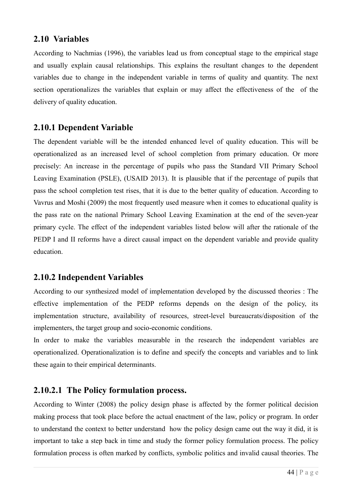#### **2.10 Variables**

According to Nachmias (1996), the variables lead us from conceptual stage to the empirical stage and usually explain causal relationships. This explains the resultant changes to the dependent variables due to change in the independent variable in terms of quality and quantity. The next section operationalizes the variables that explain or may affect the effectiveness of the of the delivery of quality education.

## **2.10.1 Dependent Variable**

The dependent variable will be the intended enhanced level of quality education. This will be operationalized as an increased level of school completion from primary education. Or more precisely: An increase in the percentage of pupils who pass the Standard VII Primary School Leaving Examination (PSLE), (USAID 2013). It is plausible that if the percentage of pupils that pass the school completion test rises, that it is due to the better quality of education. According to Vavrus and Moshi (2009) the most frequently used measure when it comes to educational quality is the pass rate on the national Primary School Leaving Examination at the end of the seven-year primary cycle. The effect of the independent variables listed below will after the rationale of the PEDP I and II reforms have a direct causal impact on the dependent variable and provide quality education.

## **2.10.2 Independent Variables**

According to our synthesized model of implementation developed by the discussed theories : The effective implementation of the PEDP reforms depends on the design of the policy, its implementation structure, availability of resources, street-level bureaucrats/disposition of the implementers, the target group and socio-economic conditions.

In order to make the variables measurable in the research the independent variables are operationalized. Operationalization is to define and specify the concepts and variables and to link these again to their empirical determinants.

## **2.10.2.1 The Policy formulation process.**

According to Winter (2008) the policy design phase is affected by the former political decision making process that took place before the actual enactment of the law, policy or program. In order to understand the context to better understand how the policy design came out the way it did, it is important to take a step back in time and study the former policy formulation process. The policy formulation process is often marked by conflicts, symbolic politics and invalid causal theories. The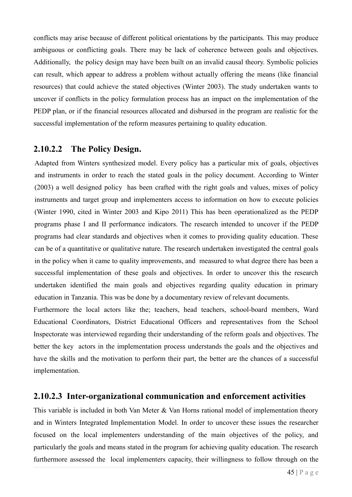conflicts may arise because of different political orientations by the participants. This may produce ambiguous or conflicting goals. There may be lack of coherence between goals and objectives. Additionally, the policy design may have been built on an invalid causal theory. Symbolic policies can result, which appear to address a problem without actually offering the means (like financial resources) that could achieve the stated objectives (Winter 2003). The study undertaken wants to uncover if conflicts in the policy formulation process has an impact on the implementation of the PEDP plan, or if the financial resources allocated and disbursed in the program are realistic for the successful implementation of the reform measures pertaining to quality education.

#### **2.10.2.2 The Policy Design.**

Adapted from Winters synthesized model. Every policy has a particular mix of goals, objectives and instruments in order to reach the stated goals in the policy document. According to Winter (2003) a well designed policy has been crafted with the right goals and values, mixes of policy instruments and target group and implementers access to information on how to execute policies (Winter 1990, cited in Winter 2003 and Kipo 2011) This has been operationalized as the PEDP programs phase I and II performance indicators. The research intended to uncover if the PEDP programs had clear standards and objectives when it comes to providing quality education. These can be of a quantitative or qualitative nature. The research undertaken investigated the central goals in the policy when it came to quality improvements, and measured to what degree there has been a successful implementation of these goals and objectives. In order to uncover this the research undertaken identified the main goals and objectives regarding quality education in primary education in Tanzania. This was be done by a documentary review of relevant documents.

Furthermore the local actors like the; teachers, head teachers, school-board members, Ward Educational Coordinators, District Educational Officers and representatives from the School Inspectorate was interviewed regarding their understanding of the reform goals and objectives. The better the key actors in the implementation process understands the goals and the objectives and have the skills and the motivation to perform their part, the better are the chances of a successful implementation.

#### **2.10.2.3 Inter-organizational communication and enforcement activities**

This variable is included in both Van Meter & Van Horns rational model of implementation theory and in Winters Integrated Implementation Model. In order to uncover these issues the researcher focused on the local implementers understanding of the main objectives of the policy, and particularly the goals and means stated in the program for achieving quality education. The research furthermore assessed the local implementers capacity, their willingness to follow through on the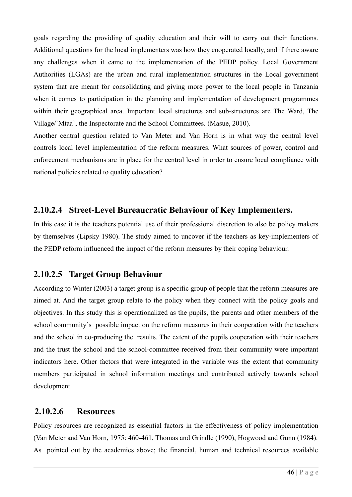goals regarding the providing of quality education and their will to carry out their functions. Additional questions for the local implementers was how they cooperated locally, and if there aware any challenges when it came to the implementation of the PEDP policy. Local Government Authorities (LGAs) are the urban and rural implementation structures in the Local government system that are meant for consolidating and giving more power to the local people in Tanzania when it comes to participation in the planning and implementation of development programmes within their geographical area. Important local structures and sub-structures are The Ward, The Village/`Mtaa`, the Inspectorate and the School Committees. (Masue, 2010).

Another central question related to Van Meter and Van Horn is in what way the central level controls local level implementation of the reform measures. What sources of power, control and enforcement mechanisms are in place for the central level in order to ensure local compliance with national policies related to quality education?

#### **2.10.2.4 Street-Level Bureaucratic Behaviour of Key Implementers.**

In this case it is the teachers potential use of their professional discretion to also be policy makers by themselves (Lipsky 1980). The study aimed to uncover if the teachers as key-implementers of the PEDP reform influenced the impact of the reform measures by their coping behaviour.

## **2.10.2.5 Target Group Behaviour**

According to Winter (2003) a target group is a specific group of people that the reform measures are aimed at. And the target group relate to the policy when they connect with the policy goals and objectives. In this study this is operationalized as the pupils, the parents and other members of the school community`s possible impact on the reform measures in their cooperation with the teachers and the school in co-producing the results. The extent of the pupils cooperation with their teachers and the trust the school and the school-committee received from their community were important indicators here. Other factors that were integrated in the variable was the extent that community members participated in school information meetings and contributed actively towards school development.

#### **2.10.2.6 Resources**

Policy resources are recognized as essential factors in the effectiveness of policy implementation (Van Meter and Van Horn, 1975: 460-461, Thomas and Grindle (1990), Hogwood and Gunn (1984). As pointed out by the academics above; the financial, human and technical resources available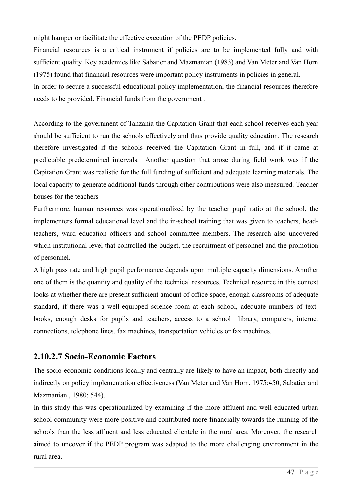might hamper or facilitate the effective execution of the PEDP policies.

Financial resources is a critical instrument if policies are to be implemented fully and with sufficient quality. Key academics like Sabatier and Mazmanian (1983) and Van Meter and Van Horn (1975) found that financial resources were important policy instruments in policies in general.

In order to secure a successful educational policy implementation, the financial resources therefore needs to be provided. Financial funds from the government .

According to the government of Tanzania the Capitation Grant that each school receives each year should be sufficient to run the schools effectively and thus provide quality education. The research therefore investigated if the schools received the Capitation Grant in full, and if it came at predictable predetermined intervals. Another question that arose during field work was if the Capitation Grant was realistic for the full funding of sufficient and adequate learning materials. The local capacity to generate additional funds through other contributions were also measured. Teacher houses for the teachers

Furthermore, human resources was operationalized by the teacher pupil ratio at the school, the implementers formal educational level and the in-school training that was given to teachers, headteachers, ward education officers and school committee members. The research also uncovered which institutional level that controlled the budget, the recruitment of personnel and the promotion of personnel.

A high pass rate and high pupil performance depends upon multiple capacity dimensions. Another one of them is the quantity and quality of the technical resources. Technical resource in this context looks at whether there are present sufficient amount of office space, enough classrooms of adequate standard, if there was a well-equipped science room at each school, adequate numbers of textbooks, enough desks for pupils and teachers, access to a school library, computers, internet connections, telephone lines, fax machines, transportation vehicles or fax machines.

## **2.10.2.7 Socio-Economic Factors**

The socio-economic conditions locally and centrally are likely to have an impact, both directly and indirectly on policy implementation effectiveness (Van Meter and Van Horn, 1975:450, Sabatier and Mazmanian , 1980: 544).

In this study this was operationalized by examining if the more affluent and well educated urban school community were more positive and contributed more financially towards the running of the schools than the less affluent and less educated clientele in the rural area. Moreover, the research aimed to uncover if the PEDP program was adapted to the more challenging environment in the rural area.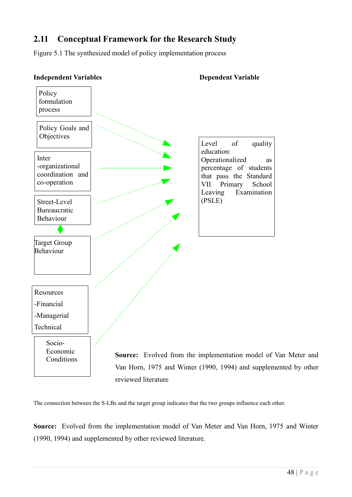## **2.11 Conceptual Framework for the Research Study**

Figure 5.1 The synthesized model of policy implementation process



The connection between the S-LBs and the target group indicates that the two groups influence each other.

**Source:** Evolved from the implementation model of Van Meter and Van Horn, 1975 and Winter (1990, 1994) and supplemented by other reviewed literature.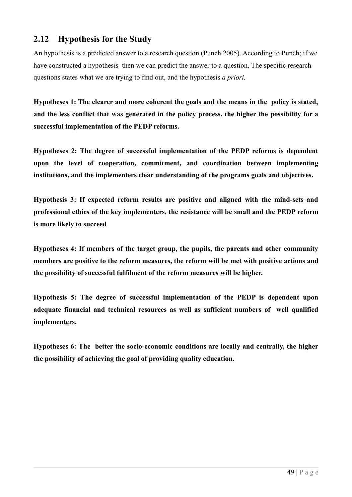## **2.12 Hypothesis for the Study**

An hypothesis is a predicted answer to a research question (Punch 2005). According to Punch; if we have constructed a hypothesis then we can predict the answer to a question. The specific research questions states what we are trying to find out, and the hypothesis *a priori.*

**Hypotheses 1: The clearer and more coherent the goals and the means in the policy is stated, and the less conflict that was generated in the policy process, the higher the possibility for a successful implementation of the PEDP reforms.**

**Hypotheses 2: The degree of successful implementation of the PEDP reforms is dependent upon the level of cooperation, commitment, and coordination between implementing institutions, and the implementers clear understanding of the programs goals and objectives.**

**Hypothesis 3: If expected reform results are positive and aligned with the mind-sets and professional ethics of the key implementers, the resistance will be small and the PEDP reform is more likely to succeed**

**Hypotheses 4: If members of the target group, the pupils, the parents and other community members are positive to the reform measures, the reform will be met with positive actions and the possibility of successful fulfilment of the reform measures will be higher.**

**Hypothesis 5: The degree of successful implementation of the PEDP is dependent upon adequate financial and technical resources as well as sufficient numbers of well qualified implementers.**

**Hypotheses 6: The better the socio-economic conditions are locally and centrally, the higher the possibility of achieving the goal of providing quality education.**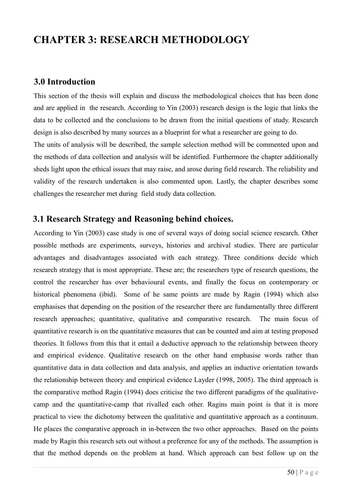# **CHAPTER 3: RESEARCH METHODOLOGY**

#### **3.0 Introduction**

This section of the thesis will explain and discuss the methodological choices that has been done and are applied in the research. According to Yin (2003) research design is the logic that links the data to be collected and the conclusions to be drawn from the initial questions of study. Research design is also described by many sources as a blueprint for what a researcher are going to do. The units of analysis will be described, the sample selection method will be commented upon and the methods of data collection and analysis will be identified. Furthermore the chapter additionally sheds light upon the ethical issues that may raise, and arose during field research. The reliability and validity of the research undertaken is also commented upon. Lastly, the chapter describes some challenges the researcher met during field study data collection.

#### **3.1 Research Strategy and Reasoning behind choices.**

According to Yin (2003) case study is one of several ways of doing social science research. Other possible methods are experiments, surveys, histories and archival studies. There are particular advantages and disadvantages associated with each strategy. Three conditions decide which research strategy that is most appropriate. These are; the researchers type of research questions, the control the researcher has over behavioural events, and finally the focus on contemporary or historical phenomena (ibid). Some of he same points are made by Ragin (1994) which also emphasises that depending on the position of the researcher there are fundamentally three different research approaches; quantitative, qualitative and comparative research. The main focus of quantitative research is on the quantitative measures that can be counted and aim at testing proposed theories. It follows from this that it entail a deductive approach to the relationship between theory and empirical evidence. Qualitative research on the other hand emphasise words rather than quantitative data in data collection and data analysis, and applies an inductive orientation towards the relationship between theory and empirical evidence Layder (1998, 2005). The third approach is the comparative method Ragin (1994) does criticise the two different paradigms of the qualitativecamp and the quantitative-camp that rivalled each other. Ragins main point is that it is more practical to view the dichotomy between the qualitative and quantitative approach as a continuum. He places the comparative approach in in-between the two other approaches. Based on the points made by Ragin this research sets out without a preference for any of the methods. The assumption is that the method depends on the problem at hand. Which approach can best follow up on the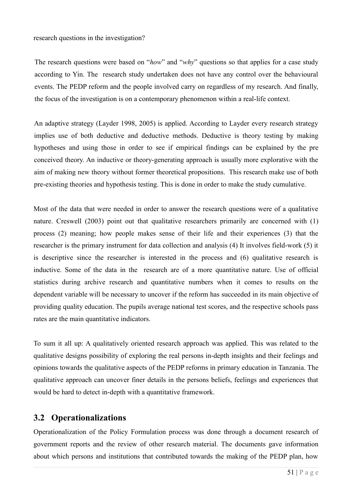The research questions were based on "*how*" and "*why*" questions so that applies for a case study according to Yin. The research study undertaken does not have any control over the behavioural events. The PEDP reform and the people involved carry on regardless of my research. And finally, the focus of the investigation is on a contemporary phenomenon within a real-life context.

An adaptive strategy (Layder 1998, 2005) is applied. According to Layder every research strategy implies use of both deductive and deductive methods. Deductive is theory testing by making hypotheses and using those in order to see if empirical findings can be explained by the pre conceived theory. An inductive or theory-generating approach is usually more explorative with the aim of making new theory without former theoretical propositions. This research make use of both pre-existing theories and hypothesis testing. This is done in order to make the study cumulative.

Most of the data that were needed in order to answer the research questions were of a qualitative nature. Creswell (2003) point out that qualitative researchers primarily are concerned with (1) process (2) meaning; how people makes sense of their life and their experiences (3) that the researcher is the primary instrument for data collection and analysis (4) It involves field-work (5) it is descriptive since the researcher is interested in the process and (6) qualitative research is inductive. Some of the data in the research are of a more quantitative nature. Use of official statistics during archive research and quantitative numbers when it comes to results on the dependent variable will be necessary to uncover if the reform has succeeded in its main objective of providing quality education. The pupils average national test scores, and the respective schools pass rates are the main quantitative indicators.

To sum it all up: A qualitatively oriented research approach was applied. This was related to the qualitative designs possibility of exploring the real persons in-depth insights and their feelings and opinions towards the qualitative aspects of the PEDP reforms in primary education in Tanzania. The qualitative approach can uncover finer details in the persons beliefs, feelings and experiences that would be hard to detect in-depth with a quantitative framework.

## **3.2 Operationalizations**

Operationalization of the Policy Formulation process was done through a document research of government reports and the review of other research material. The documents gave information about which persons and institutions that contributed towards the making of the PEDP plan, how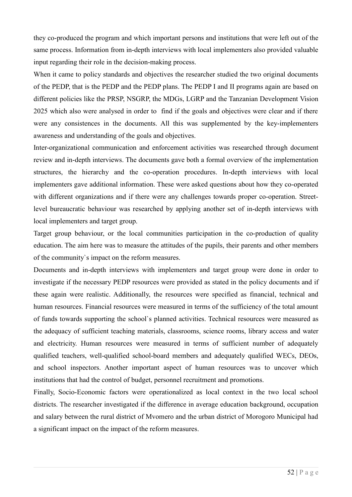they co-produced the program and which important persons and institutions that were left out of the same process. Information from in-depth interviews with local implementers also provided valuable input regarding their role in the decision-making process.

When it came to policy standards and objectives the researcher studied the two original documents of the PEDP, that is the PEDP and the PEDP plans. The PEDP I and II programs again are based on different policies like the PRSP, NSGRP, the MDGs, LGRP and the Tanzanian Development Vision 2025 which also were analysed in order to find if the goals and objectives were clear and if there were any consistences in the documents. All this was supplemented by the key-implementers awareness and understanding of the goals and objectives.

Inter-organizational communication and enforcement activities was researched through document review and in-depth interviews. The documents gave both a formal overview of the implementation structures, the hierarchy and the co-operation procedures. In-depth interviews with local implementers gave additional information. These were asked questions about how they co-operated with different organizations and if there were any challenges towards proper co-operation. Streetlevel bureaucratic behaviour was researched by applying another set of in-depth interviews with local implementers and target group.

Target group behaviour, or the local communities participation in the co-production of quality education. The aim here was to measure the attitudes of the pupils, their parents and other members of the community`s impact on the reform measures.

Documents and in-depth interviews with implementers and target group were done in order to investigate if the necessary PEDP resources were provided as stated in the policy documents and if these again were realistic. Additionally, the resources were specified as financial, technical and human resources. Financial resources were measured in terms of the sufficiency of the total amount of funds towards supporting the school`s planned activities. Technical resources were measured as the adequacy of sufficient teaching materials, classrooms, science rooms, library access and water and electricity. Human resources were measured in terms of sufficient number of adequately qualified teachers, well-qualified school-board members and adequately qualified WECs, DEOs, and school inspectors. Another important aspect of human resources was to uncover which institutions that had the control of budget, personnel recruitment and promotions.

Finally, Socio-Economic factors were operationalized as local context in the two local school districts. The researcher investigated if the difference in average education background, occupation and salary between the rural district of Mvomero and the urban district of Morogoro Municipal had a significant impact on the impact of the reform measures.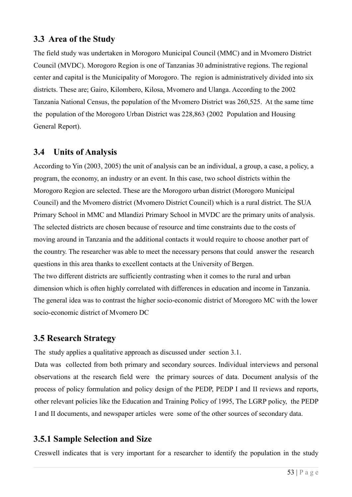## **3.3 Area of the Study**

The field study was undertaken in Morogoro Municipal Council (MMC) and in Mvomero District Council (MVDC). Morogoro Region is one of Tanzanias 30 administrative regions. The regional center and capital is the Municipality of Morogoro. The region is administratively divided into six districts. These are; Gairo, Kilombero, Kilosa, Mvomero and Ulanga. According to the 2002 Tanzania National Census, the population of the Mvomero District was 260,525. At the same time the population of the Morogoro Urban District was 228,863 (2002 Population and Housing General Report).

## **3.4 Units of Analysis**

According to Yin (2003, 2005) the unit of analysis can be an individual, a group, a case, a policy, a program, the economy, an industry or an event. In this case, two school districts within the Morogoro Region are selected. These are the Morogoro urban district (Morogoro Municipal Council) and the Mvomero district (Mvomero District Council) which is a rural district. The SUA Primary School in MMC and Mlandizi Primary School in MVDC are the primary units of analysis. The selected districts are chosen because of resource and time constraints due to the costs of moving around in Tanzania and the additional contacts it would require to choose another part of the country. The researcher was able to meet the necessary persons that could answer the research questions in this area thanks to excellent contacts at the University of Bergen.

The two different districts are sufficiently contrasting when it comes to the rural and urban dimension which is often highly correlated with differences in education and income in Tanzania. The general idea was to contrast the higher socio-economic district of Morogoro MC with the lower socio-economic district of Mvomero DC

## **3.5 Research Strategy**

The study applies a qualitative approach as discussed under section 3.1.

Data was collected from both primary and secondary sources. Individual interviews and personal observations at the research field were the primary sources of data. Document analysis of the process of policy formulation and policy design of the PEDP, PEDP I and II reviews and reports, other relevant policies like the Education and Training Policy of 1995, The LGRP policy, the PEDP I and II documents, and newspaper articles were some of the other sources of secondary data.

## **3.5.1 Sample Selection and Size**

Creswell indicates that is very important for a researcher to identify the population in the study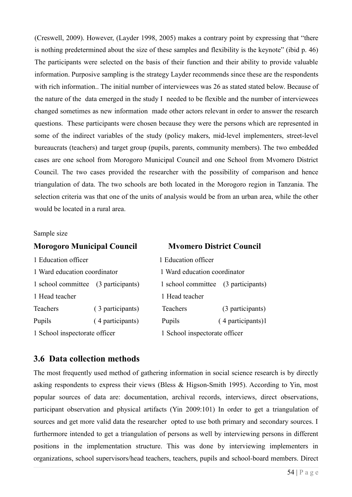(Creswell, 2009). However, (Layder 1998, 2005) makes a contrary point by expressing that "there is nothing predetermined about the size of these samples and flexibility is the keynote" (ibid p. 46) The participants were selected on the basis of their function and their ability to provide valuable information. Purposive sampling is the strategy Layder recommends since these are the respondents with rich information.. The initial number of interviewees was 26 as stated stated below. Because of the nature of the data emerged in the study I needed to be flexible and the number of interviewees changed sometimes as new information made other actors relevant in order to answer the research questions. These participants were chosen because they were the persons which are represented in some of the indirect variables of the study (policy makers, mid-level implementers, street-level bureaucrats (teachers) and target group (pupils, parents, community members). The two embedded cases are one school from Morogoro Municipal Council and one School from Mvomero District Council. The two cases provided the researcher with the possibility of comparison and hence triangulation of data. The two schools are both located in the Morogoro region in Tanzania. The selection criteria was that one of the units of analysis would be from an urban area, while the other would be located in a rural area.

#### Sample size

| <b>Morogoro Municipal Council</b> |                  | <b>Mvomero District Council</b>     |                               |  |
|-----------------------------------|------------------|-------------------------------------|-------------------------------|--|
| 1 Education officer               |                  | 1 Education officer                 |                               |  |
| 1 Ward education coordinator      |                  | 1 Ward education coordinator        |                               |  |
| 1 school committee                | (3 participants) | 1 school committee (3 participants) |                               |  |
| 1 Head teacher                    |                  | 1 Head teacher                      |                               |  |
| Teachers                          | (3 participants) | <b>Teachers</b>                     | (3 participants)              |  |
| Pupils                            | (4 participants) | Pupils                              | (4 participants)1             |  |
| 1 School inspectorate officer     |                  |                                     | 1 School inspectorate officer |  |

#### **3.6 Data collection methods**

The most frequently used method of gathering information in social science research is by directly asking respondents to express their views (Bless & Higson-Smith 1995). According to Yin, most popular sources of data are: documentation, archival records, interviews, direct observations, participant observation and physical artifacts (Yin 2009:101) In order to get a triangulation of sources and get more valid data the researcher opted to use both primary and secondary sources. I furthermore intended to get a triangulation of persons as well by interviewing persons in different positions in the implementation structure. This was done by interviewing implementers in organizations, school supervisors/head teachers, teachers, pupils and school-board members. Direct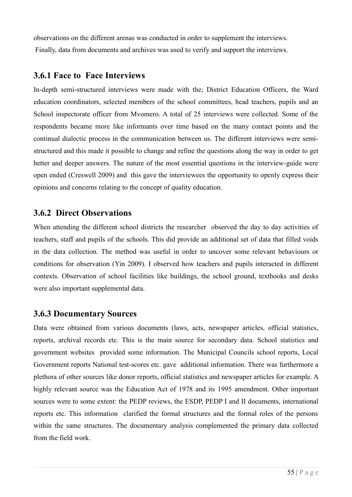observations on the different arenas was conducted in order to supplement the interviews. Finally, data from documents and archives was used to verify and support the interviews.

#### **3.6.1 Face to Face Interviews**

In-depth semi-structured interviews were made with the; District Education Officers, the Ward education coordinators, selected members of the school committees, head teachers, pupils and an School inspectorate officer from Mvomero. A total of 25 interviews were collected. Some of the respondents became more like informants over time based on the many contact points and the continual dialectic process in the communication between us. The different interviews were semistructured and this made it possible to change and refine the questions along the way in order to get better and deeper answers. The nature of the most essential questions in the interview-guide were open ended (Creswell 2009) and this gave the interviewees the opportunity to openly express their opinions and concerns relating to the concept of quality education.

## **3.6.2 Direct Observations**

When attending the different school districts the researcher observed the day to day activities of teachers, staff and pupils of the schools. This did provide an additional set of data that filled voids in the data collection. The method was useful in order to uncover some relevant behaviours or conditions for observation (Yin 2009). I observed how teachers and pupils interacted in different contexts. Observation of school facilities like buildings, the school ground, textbooks and desks were also important supplemental data.

#### **3.6.3 Documentary Sources**

Data were obtained from various documents (laws, acts, newspaper articles, official statistics, reports, archival records etc. This is the main source for secondary data. School statistics and government websites provided some information. The Municipal Councils school reports, Local Government reports National test-scores etc. gave additional information. There was furthermore a plethora of other sources like donor reports, official statistics and newspaper articles for example. A highly relevant source was the Education Act of 1978 and its 1995 amendment. Other important sources were to some extent: the PEDP reviews, the ESDP, PEDP I and II documents, international reports etc. This information clarified the formal structures and the formal roles of the persons within the same structures. The documentary analysis complemented the primary data collected from the field work.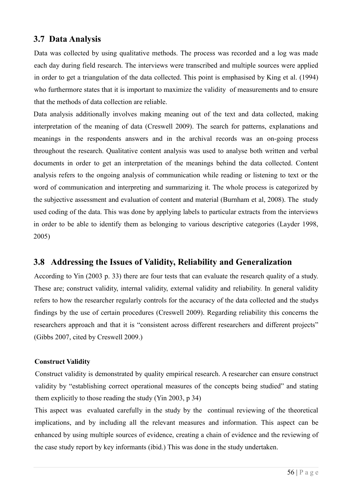## **3.7 Data Analysis**

Data was collected by using qualitative methods. The process was recorded and a log was made each day during field research. The interviews were transcribed and multiple sources were applied in order to get a triangulation of the data collected. This point is emphasised by King et al. (1994) who furthermore states that it is important to maximize the validity of measurements and to ensure that the methods of data collection are reliable.

Data analysis additionally involves making meaning out of the text and data collected, making interpretation of the meaning of data (Creswell 2009). The search for patterns, explanations and meanings in the respondents answers and in the archival records was an on-going process throughout the research. Qualitative content analysis was used to analyse both written and verbal documents in order to get an interpretation of the meanings behind the data collected. Content analysis refers to the ongoing analysis of communication while reading or listening to text or the word of communication and interpreting and summarizing it. The whole process is categorized by the subjective assessment and evaluation of content and material (Burnham et al, 2008). The study used coding of the data. This was done by applying labels to particular extracts from the interviews in order to be able to identify them as belonging to various descriptive categories (Layder 1998, 2005)

## **3.8 Addressing the Issues of Validity, Reliability and Generalization**

According to Yin (2003 p. 33) there are four tests that can evaluate the research quality of a study. These are; construct validity, internal validity, external validity and reliability. In general validity refers to how the researcher regularly controls for the accuracy of the data collected and the studys findings by the use of certain procedures (Creswell 2009). Regarding reliability this concerns the researchers approach and that it is "consistent across different researchers and different projects" (Gibbs 2007, cited by Creswell 2009.)

#### **Construct Validity**

Construct validity is demonstrated by quality empirical research. A researcher can ensure construct validity by "establishing correct operational measures of the concepts being studied" and stating them explicitly to those reading the study (Yin 2003, p 34)

This aspect was evaluated carefully in the study by the continual reviewing of the theoretical implications, and by including all the relevant measures and information. This aspect can be enhanced by using multiple sources of evidence, creating a chain of evidence and the reviewing of the case study report by key informants (ibid.) This was done in the study undertaken.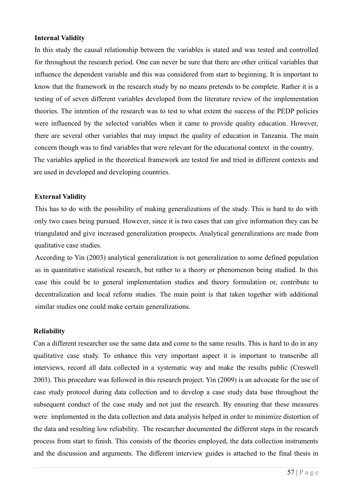#### **Internal Validity**

In this study the causal relationship between the variables is stated and was tested and controlled for throughout the research period. One can never be sure that there are other critical variables that influence the dependent variable and this was considered from start to beginning. It is important to know that the framework in the research study by no means pretends to be complete. Rather it is a testing of of seven different variables developed from the literature review of the implementation theories. The intention of the research was to test to what extent the success of the PEDP policies were influenced by the selected variables when it came to provide quality education. However, there are several other variables that may impact the quality of education in Tanzania. The main concern though was to find variables that were relevant for the educational context in the country. The variables applied in the theoretical framework are tested for and tried in different contexts and are used in developed and developing countries.

#### **External Validity**

This has to do with the possibility of making generalizations of the study. This is hard to do with only two cases being pursued. However, since it is two cases that can give information they can be triangulated and give increased generalization prospects. Analytical generalizations are made from qualitative case studies.

According to Yin (2003) analytical generalization is not generalization to some defined population as in quantitative statistical research, but rather to a theory or phenomenon being studied. In this case this could be to general implementation studies and theory formulation or, contribute to decentralization and local reform studies. The main point is that taken together with additional similar studies one could make certain generalizations.

#### **Reliability**

Can a different researcher use the same data and come to the same results. This is hard to do in any qualitative case study. To enhance this very important aspect it is important to transcribe all interviews, record all data collected in a systematic way and make the results public (Creswell 2003). This procedure was followed in this research project. Yin (2009) is an advocate for the use of case study protocol during data collection and to develop a case study data base throughout the subsequent conduct of the case study and not just the research. By ensuring that these measures were implemented in the data collection and data analysis helped in order to minimize distortion of the data and resulting low reliability. The researcher documented the different steps in the research process from start to finish. This consists of the theories employed, the data collection instruments and the discussion and arguments. The different interview guides is attached to the final thesis in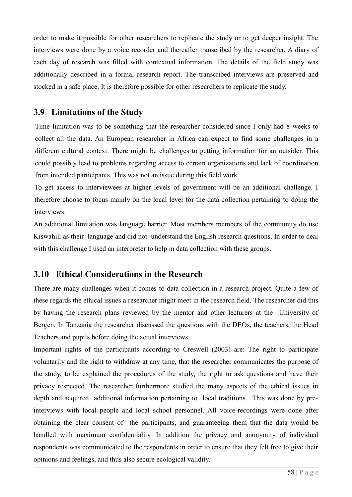order to make it possible for other researchers to replicate the study or to get deeper insight. The interviews were done by a voice recorder and thereafter transcribed by the researcher. A diary of each day of research was filled with contextual information. The details of the field study was additionally described in a formal research report. The transcribed interviews are preserved and stocked in a safe place. It is therefore possible for other researchers to replicate the study.

#### **3.9 Limitations of the Study**

Time limitation was to be something that the researcher considered since I only had 8 weeks to collect all the data. An European researcher in Africa can expect to find some challenges in a different cultural context. There might be challenges to getting information for an outsider. This could possibly lead to problems regarding access to certain organizations and lack of coordination from intended participants. This was not an issue during this field work.

To get access to interviewees at higher levels of government will be an additional challenge. I therefore choose to focus mainly on the local level for the data collection pertaining to doing the interviews.

An additional limitation was language barrier. Most members members of the community do use Kiswahili as their language and did not understand the English research questions. In order to deal with this challenge I used an interpreter to help in data collection with these groups.

## **3.10 Ethical Considerations in the Research**

There are many challenges when it comes to data collection in a research project. Quite a few of these regards the ethical issues a researcher might meet in the research field. The researcher did this by having the research plans reviewed by the mentor and other lecturers at the University of Bergen. In Tanzania the researcher discussed the questions with the DEOs, the teachers, the Head Teachers and pupils before doing the actual interviews.

Important rights of the participants according to Creswell (2003) are: The right to participate voluntarily and the right to withdraw at any time, that the researcher communicates the purpose of the study, to be explained the procedures of the study, the right to ask questions and have their privacy respected. The researcher furthermore studied the many aspects of the ethical issues in depth and acquired additional information pertaining to local traditions. This was done by preinterviews with local people and local school personnel. All voice-recordings were done after obtaining the clear consent of the participants, and guaranteeing them that the data would be handled with maximum confidentiality. In addition the privacy and anonymity of individual respondents was communicated to the respondents in order to ensure that they felt free to give their opinions and feelings, and thus also secure ecological validity.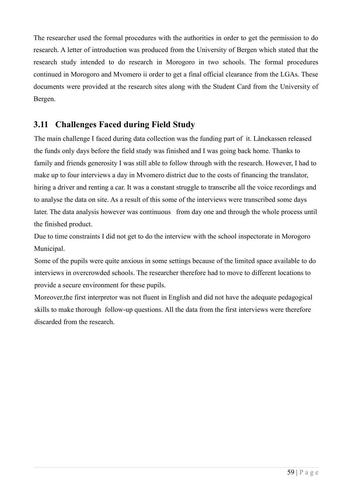The researcher used the formal procedures with the authorities in order to get the permission to do research. A letter of introduction was produced from the University of Bergen which stated that the research study intended to do research in Morogoro in two schools. The formal procedures continued in Morogoro and Mvomero ii order to get a final official clearance from the LGAs. These documents were provided at the research sites along with the Student Card from the University of Bergen.

## **3.11 Challenges Faced during Field Study**

The main challenge I faced during data collection was the funding part of it. Lånekassen released the funds only days before the field study was finished and I was going back home. Thanks to family and friends generosity I was still able to follow through with the research. However, I had to make up to four interviews a day in Mvomero district due to the costs of financing the translator, hiring a driver and renting a car. It was a constant struggle to transcribe all the voice recordings and to analyse the data on site. As a result of this some of the interviews were transcribed some days later. The data analysis however was continuous from day one and through the whole process until the finished product.

Due to time constraints I did not get to do the interview with the school inspectorate in Morogoro Municipal.

Some of the pupils were quite anxious in some settings because of the limited space available to do interviews in overcrowded schools. The researcher therefore had to move to different locations to provide a secure environment for these pupils.

Moreover,the first interpretor was not fluent in English and did not have the adequate pedagogical skills to make thorough follow-up questions. All the data from the first interviews were therefore discarded from the research.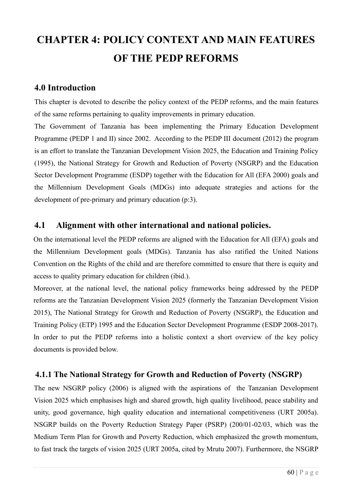# **CHAPTER 4: POLICY CONTEXT AND MAIN FEATURES OF THE PEDP REFORMS**

#### **4.0 Introduction**

This chapter is devoted to describe the policy context of the PEDP reforms, and the main features of the same reforms pertaining to quality improvements in primary education.

The Government of Tanzania has been implementing the Primary Education Development Programme (PEDP 1 and II) since 2002. According to the PEDP III document (2012) the program is an effort to translate the Tanzanian Development Vision 2025, the Education and Training Policy (1995), the National Strategy for Growth and Reduction of Poverty (NSGRP) and the Education Sector Development Programme (ESDP) together with the Education for All (EFA 2000) goals and the Millennium Development Goals (MDGs) into adequate strategies and actions for the development of pre-primary and primary education (p:3).

#### **4.1 Alignment with other international and national policies.**

On the international level the PEDP reforms are aligned with the Education for All (EFA) goals and the Millennium Development goals (MDGs). Tanzania has also ratified the United Nations Convention on the Rights of the child and are therefore committed to ensure that there is equity and access to quality primary education for children (ibid.).

Moreover, at the national level, the national policy frameworks being addressed by the PEDP reforms are the Tanzanian Development Vision 2025 (formerly the Tanzanian Development Vision 2015), The National Strategy for Growth and Reduction of Poverty (NSGRP), the Education and Training Policy (ETP) 1995 and the Education Sector Development Programme (ESDP 2008-2017). In order to put the PEDP reforms into a holistic context a short overview of the key policy documents is provided below.

#### **4.1.1 The National Strategy for Growth and Reduction of Poverty (NSGRP)**

The new NSGRP policy (2006) is aligned with the aspirations of the Tanzanian Development Vision 2025 which emphasises high and shared growth, high quality livelihood, peace stability and unity, good governance, high quality education and international competitiveness (URT 2005a). NSGRP builds on the Poverty Reduction Strategy Paper (PSRP) (200/01-02/03, which was the Medium Term Plan for Growth and Poverty Reduction, which emphasized the growth momentum, to fast track the targets of vision 2025 (URT 2005a, cited by Mrutu 2007). Furthermore, the NSGRP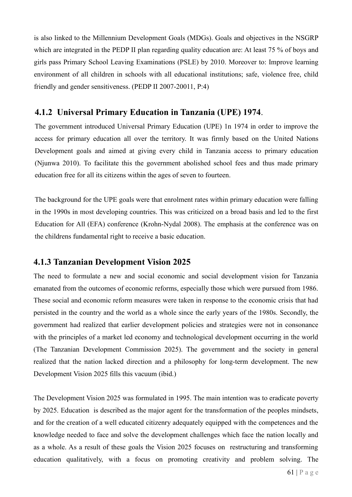is also linked to the Millennium Development Goals (MDGs). Goals and objectives in the NSGRP which are integrated in the PEDP II plan regarding quality education are: At least 75 % of boys and girls pass Primary School Leaving Examinations (PSLE) by 2010. Moreover to: Improve learning environment of all children in schools with all educational institutions; safe, violence free, child friendly and gender sensitiveness. (PEDP II 2007-20011, P:4)

## **4.1.2 Universal Primary Education in Tanzania (UPE) 1974**.

The government introduced Universal Primary Education (UPE) 1n 1974 in order to improve the access for primary education all over the territory. It was firmly based on the United Nations Development goals and aimed at giving every child in Tanzania access to primary education (Njunwa 2010). To facilitate this the government abolished school fees and thus made primary education free for all its citizens within the ages of seven to fourteen.

The background for the UPE goals were that enrolment rates within primary education were falling in the 1990s in most developing countries. This was criticized on a broad basis and led to the first Education for All (EFA) conference (Krohn-Nydal 2008). The emphasis at the conference was on the childrens fundamental right to receive a basic education.

## **4.1.3 Tanzanian Development Vision 2025**

The need to formulate a new and social economic and social development vision for Tanzania emanated from the outcomes of economic reforms, especially those which were pursued from 1986. These social and economic reform measures were taken in response to the economic crisis that had persisted in the country and the world as a whole since the early years of the 1980s. Secondly, the government had realized that earlier development policies and strategies were not in consonance with the principles of a market led economy and technological development occurring in the world (The Tanzanian Development Commission 2025). The government and the society in general realized that the nation lacked direction and a philosophy for long-term development. The new Development Vision 2025 fills this vacuum (ibid.)

The Development Vision 2025 was formulated in 1995. The main intention was to eradicate poverty by 2025. Education is described as the major agent for the transformation of the peoples mindsets, and for the creation of a well educated citizenry adequately equipped with the competences and the knowledge needed to face and solve the development challenges which face the nation locally and as a whole. As a result of these goals the Vision 2025 focuses on restructuring and transforming education qualitatively, with a focus on promoting creativity and problem solving. The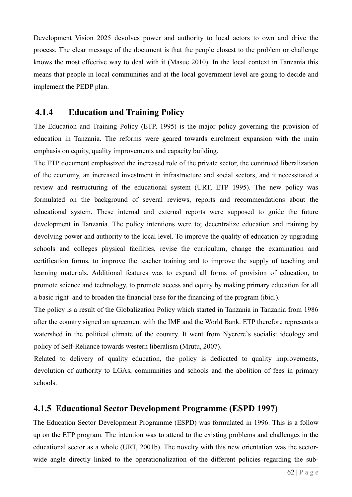Development Vision 2025 devolves power and authority to local actors to own and drive the process. The clear message of the document is that the people closest to the problem or challenge knows the most effective way to deal with it (Masue 2010). In the local context in Tanzania this means that people in local communities and at the local government level are going to decide and implement the PEDP plan.

#### **4.1.4 Education and Training Policy**

The Education and Training Policy (ETP, 1995) is the major policy governing the provision of education in Tanzania. The reforms were geared towards enrolment expansion with the main emphasis on equity, quality improvements and capacity building.

The ETP document emphasized the increased role of the private sector, the continued liberalization of the economy, an increased investment in infrastructure and social sectors, and it necessitated a review and restructuring of the educational system (URT, ETP 1995). The new policy was formulated on the background of several reviews, reports and recommendations about the educational system. These internal and external reports were supposed to guide the future development in Tanzania. The policy intentions were to; decentralize education and training by devolving power and authority to the local level. To improve the quality of education by upgrading schools and colleges physical facilities, revise the curriculum, change the examination and certification forms, to improve the teacher training and to improve the supply of teaching and learning materials. Additional features was to expand all forms of provision of education, to promote science and technology, to promote access and equity by making primary education for all a basic right and to broaden the financial base for the financing of the program (ibid.).

The policy is a result of the Globalization Policy which started in Tanzania in Tanzania from 1986 after the country signed an agreement with the IMF and the World Bank. ETP therefore represents a watershed in the political climate of the country. It went from Nyerere`s socialist ideology and policy of Self-Reliance towards western liberalism (Mrutu, 2007).

Related to delivery of quality education, the policy is dedicated to quality improvements, devolution of authority to LGAs, communities and schools and the abolition of fees in primary schools.

## **4.1.5 Educational Sector Development Programme (ESPD 1997)**

The Education Sector Development Programme (ESPD) was formulated in 1996. This is a follow up on the ETP program. The intention was to attend to the existing problems and challenges in the educational sector as a whole (URT, 2001b). The novelty with this new orientation was the sectorwide angle directly linked to the operationalization of the different policies regarding the sub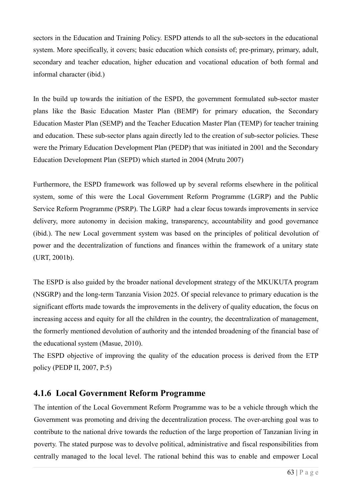sectors in the Education and Training Policy. ESPD attends to all the sub-sectors in the educational system. More specifically, it covers; basic education which consists of; pre-primary, primary, adult, secondary and teacher education, higher education and vocational education of both formal and informal character (ibid.)

In the build up towards the initiation of the ESPD, the government formulated sub-sector master plans like the Basic Education Master Plan (BEMP) for primary education, the Secondary Education Master Plan (SEMP) and the Teacher Education Master Plan (TEMP) for teacher training and education. These sub-sector plans again directly led to the creation of sub-sector policies. These were the Primary Education Development Plan (PEDP) that was initiated in 2001 and the Secondary Education Development Plan (SEPD) which started in 2004 (Mrutu 2007)

Furthermore, the ESPD framework was followed up by several reforms elsewhere in the political system, some of this were the Local Government Reform Programme (LGRP) and the Public Service Reform Programme (PSRP). The LGRP had a clear focus towards improvements in service delivery, more autonomy in decision making, transparency, accountability and good governance (ibid.). The new Local government system was based on the principles of political devolution of power and the decentralization of functions and finances within the framework of a unitary state (URT, 2001b).

The ESPD is also guided by the broader national development strategy of the MKUKUTA program (NSGRP) and the long-term Tanzania Vision 2025. Of special relevance to primary education is the significant efforts made towards the improvements in the delivery of quality education, the focus on increasing access and equity for all the children in the country, the decentralization of management, the formerly mentioned devolution of authority and the intended broadening of the financial base of the educational system (Masue, 2010).

The ESPD objective of improving the quality of the education process is derived from the ETP policy (PEDP II, 2007, P:5)

## **4.1.6 Local Government Reform Programme**

The intention of the Local Government Reform Programme was to be a vehicle through which the Government was promoting and driving the decentralization process. The over-arching goal was to contribute to the national drive towards the reduction of the large proportion of Tanzanian living in poverty. The stated purpose was to devolve political, administrative and fiscal responsibilities from centrally managed to the local level. The rational behind this was to enable and empower Local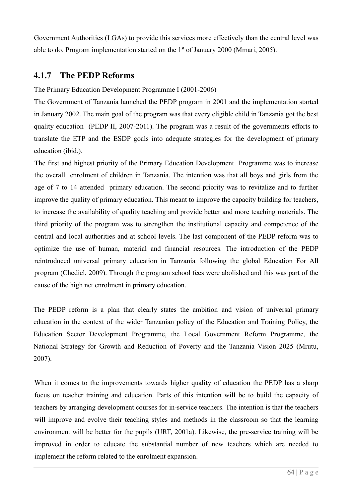Government Authorities (LGAs) to provide this services more effectively than the central level was able to do. Program implementation started on the  $1<sup>st</sup>$  of January 2000 (Mmari, 2005).

## **4.1.7 The PEDP Reforms**

#### The Primary Education Development Programme I (2001-2006)

The Government of Tanzania launched the PEDP program in 2001 and the implementation started in January 2002. The main goal of the program was that every eligible child in Tanzania got the best quality education (PEDP II, 2007-2011). The program was a result of the governments efforts to translate the ETP and the ESDP goals into adequate strategies for the development of primary education (ibid.).

The first and highest priority of the Primary Education Development Programme was to increase the overall enrolment of children in Tanzania. The intention was that all boys and girls from the age of 7 to 14 attended primary education. The second priority was to revitalize and to further improve the quality of primary education. This meant to improve the capacity building for teachers, to increase the availability of quality teaching and provide better and more teaching materials. The third priority of the program was to strengthen the institutional capacity and competence of the central and local authorities and at school levels. The last component of the PEDP reform was to optimize the use of human, material and financial resources. The introduction of the PEDP reintroduced universal primary education in Tanzania following the global Education For All program (Chediel, 2009). Through the program school fees were abolished and this was part of the cause of the high net enrolment in primary education.

The PEDP reform is a plan that clearly states the ambition and vision of universal primary education in the context of the wider Tanzanian policy of the Education and Training Policy, the Education Sector Development Programme, the Local Government Reform Programme, the National Strategy for Growth and Reduction of Poverty and the Tanzania Vision 2025 (Mrutu, 2007).

When it comes to the improvements towards higher quality of education the PEDP has a sharp focus on teacher training and education. Parts of this intention will be to build the capacity of teachers by arranging development courses for in-service teachers. The intention is that the teachers will improve and evolve their teaching styles and methods in the classroom so that the learning environment will be better for the pupils (URT, 2001a). Likewise, the pre-service training will be improved in order to educate the substantial number of new teachers which are needed to implement the reform related to the enrolment expansion.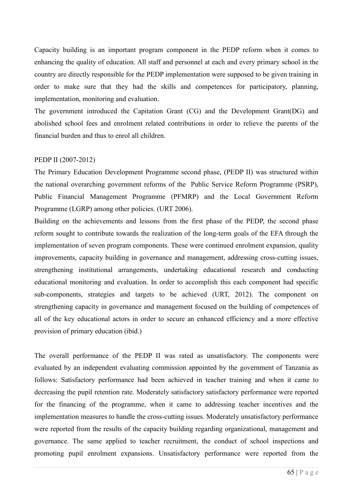Capacity building is an important program component in the PEDP reform when it comes to enhancing the quality of education. All staff and personnel at each and every primary school in the country are directly responsible for the PEDP implementation were supposed to be given training in order to make sure that they had the skills and competences for participatory, planning, implementation, monitoring and evaluation.

The government introduced the Capitation Grant (CG) and the Development Grant(DG) and abolished school fees and enrolment related contributions in order to relieve the parents of the financial burden and thus to enrol all children.

#### PEDP II (2007-2012)

The Primary Education Development Programme second phase, (PEDP II) was structured within the national overarching government reforms of the Public Service Reform Programme (PSRP), Public Financial Management Programme (PFMRP) and the Local Government Reform Programme (LGRP) among other policies. (URT 2006).

Building on the achievements and lessons from the first phase of the PEDP, the second phase reform sought to contribute towards the realization of the long-term goals of the EFA through the implementation of seven program components. These were continued enrolment expansion, quality improvements, capacity building in governance and management, addressing cross-cutting issues, strengthening institutional arrangements, undertaking educational research and conducting educational monitoring and evaluation. In order to accomplish this each component had specific sub-components, strategies and targets to be achieved (URT, 2012). The component on strengthening capacity in governance and management focused on the building of competences of all of the key educational actors in order to secure an enhanced efficiency and a more effective provision of primary education (ibid.)

The overall performance of the PEDP II was rated as unsatisfactory. The components were evaluated by an independent evaluating commission appointed by the government of Tanzania as follows: Satisfactory performance had been achieved in teacher training and when it came to decreasing the pupil retention rate. Moderately satisfactory satisfactory performance were reported for the financing of the programme, when it came to addressing teacher incentives and the implementation measures to handle the cross-cutting issues. Moderately unsatisfactory performance were reported from the results of the capacity building regarding organizational, management and governance. The same applied to teacher recruitment, the conduct of school inspections and promoting pupil enrolment expansions. Unsatisfactory performance were reported from the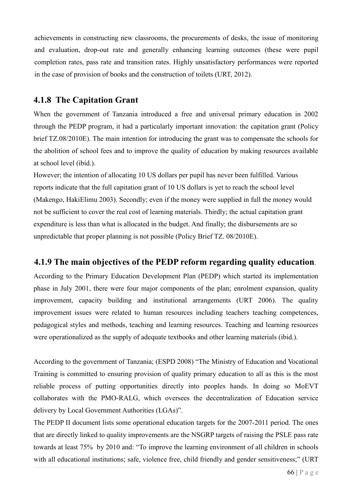achievements in constructing new classrooms, the procurements of desks, the issue of monitoring and evaluation, drop-out rate and generally enhancing learning outcomes (these were pupil completion rates, pass rate and transition rates. Highly unsatisfactory performances were reported in the case of provision of books and the construction of toilets (URT, 2012).

## **4.1.8 The Capitation Grant**

When the government of Tanzania introduced a free and universal primary education in 2002 through the PEDP program, it had a particularly important innovation: the capitation grant (Policy brief TZ.08/2010E). The main intention for introducing the grant was to compensate the schools for the abolition of school fees and to improve the quality of education by making resources available at school level (ibid.).

However; the intention of allocating 10 US dollars per pupil has never been fulfilled. Various reports indicate that the full capitation grant of 10 US dollars is yet to reach the school level (Makengo, HakiElimu 2003). Secondly; even if the money were supplied in full the money would not be sufficient to cover the real cost of learning materials. Thirdly; the actual capitation grant expenditure is less than what is allocated in the budget. And finally; the disbursements are so unpredictable that proper planning is not possible (Policy Brief TZ. 08/2010E).

## **4.1.9 The main objectives of the PEDP reform regarding quality education**.

According to the Primary Education Development Plan (PEDP) which started its implementation phase in July 2001, there were four major components of the plan; enrolment expansion, quality improvement, capacity building and institutional arrangements (URT 2006). The quality improvement issues were related to human resources including teachers teaching competences, pedagogical styles and methods, teaching and learning resources. Teaching and learning resources were operationalized as the supply of adequate textbooks and other learning materials (ibid.).

According to the government of Tanzania; (ESPD 2008) "The Ministry of Education and Vocational Training is committed to ensuring provision of quality primary education to all as this is the most reliable process of putting opportunities directly into peoples hands. In doing so MoEVT collaborates with the PMO-RALG, which oversees the decentralization of Education service delivery by Local Government Authorities (LGAs)".

The PEDP II document lists some operational education targets for the 2007-2011 period. The ones that are directly linked to quality improvements are the NSGRP targets of raising the PSLE pass rate towards at least 75% by 2010 and: "To improve the learning environment of all children in schools with all educational institutions; safe, violence free, child friendly and gender sensitiveness;" (URT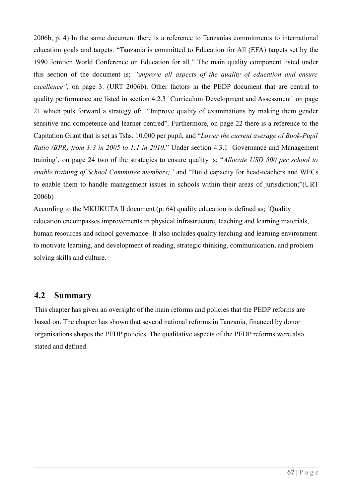2006b, p. 4) In the same document there is a reference to Tanzanias commitments to international education goals and targets. "Tanzania is committed to Education for All (EFA) targets set by the 1990 Jomtien World Conference on Education for all." The main quality component listed under this section of the document is; *"*i*mprove all aspects of the quality of education and ensure excellence",* on page 3. (URT 2006b). Other factors in the PEDP document that are central to quality performance are listed in section 4.2.3 `Curriculum Development and Assessment` on page 21 which puts forward a strategy of: "Improve quality of examinations by making them gender sensitive and competence and learner centred". Furthermore, on page 22 there is a reference to the Capitation Grant that is set as Tshs. 10.000 per pupil, and "*Lower the current average of Book-Pupil Ratio (BPR) from 1:3 in 2005 to 1:1 in 2010.*" Under section 4.3.1 `Governance and Management training`, on page 24 two of the strategies to ensure quality is; "*Allocate USD 500 per school to enable training of School Committee members;"* and "Build capacity for head-teachers and WECs to enable them to handle management issues in schools within their areas of jurisdiction;"(URT 2006b)

According to the MKUKUTA II document (p: 64) quality education is defined as; `Quality education encompasses improvements in physical infrastructure, teaching and learning materials, human resources and school governance- It also includes quality teaching and learning environment to motivate learning, and development of reading, strategic thinking, communication, and problem solving skills and culture.

#### **4.2 Summary**

This chapter has given an oversight of the main reforms and policies that the PEDP reforms are based on. The chapter has shown that several national reforms in Tanzania, financed by donor organisations shapes the PEDP policies. The qualitative aspects of the PEDP reforms were also stated and defined.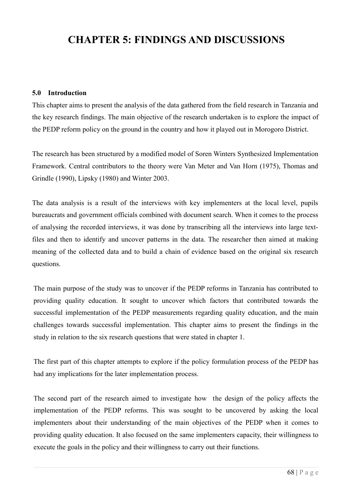## **CHAPTER 5: FINDINGS AND DISCUSSIONS**

#### **5.0 Introduction**

This chapter aims to present the analysis of the data gathered from the field research in Tanzania and the key research findings. The main objective of the research undertaken is to explore the impact of the PEDP reform policy on the ground in the country and how it played out in Morogoro District.

The research has been structured by a modified model of Soren Winters Synthesized Implementation Framework. Central contributors to the theory were Van Meter and Van Horn (1975), Thomas and Grindle (1990), Lipsky (1980) and Winter 2003.

The data analysis is a result of the interviews with key implementers at the local level, pupils bureaucrats and government officials combined with document search. When it comes to the process of analysing the recorded interviews, it was done by transcribing all the interviews into large textfiles and then to identify and uncover patterns in the data. The researcher then aimed at making meaning of the collected data and to build a chain of evidence based on the original six research questions.

The main purpose of the study was to uncover if the PEDP reforms in Tanzania has contributed to providing quality education. It sought to uncover which factors that contributed towards the successful implementation of the PEDP measurements regarding quality education, and the main challenges towards successful implementation. This chapter aims to present the findings in the study in relation to the six research questions that were stated in chapter 1.

The first part of this chapter attempts to explore if the policy formulation process of the PEDP has had any implications for the later implementation process.

The second part of the research aimed to investigate how the design of the policy affects the implementation of the PEDP reforms. This was sought to be uncovered by asking the local implementers about their understanding of the main objectives of the PEDP when it comes to providing quality education. It also focused on the same implementers capacity, their willingness to execute the goals in the policy and their willingness to carry out their functions.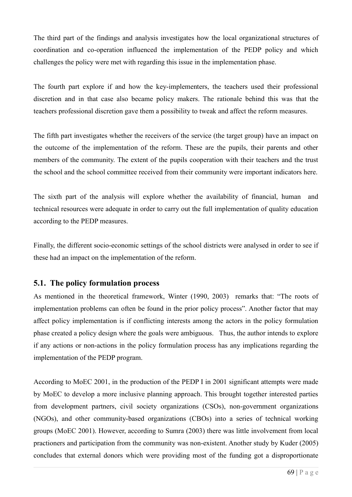The third part of the findings and analysis investigates how the local organizational structures of coordination and co-operation influenced the implementation of the PEDP policy and which challenges the policy were met with regarding this issue in the implementation phase.

The fourth part explore if and how the key-implementers, the teachers used their professional discretion and in that case also became policy makers. The rationale behind this was that the teachers professional discretion gave them a possibility to tweak and affect the reform measures.

The fifth part investigates whether the receivers of the service (the target group) have an impact on the outcome of the implementation of the reform. These are the pupils, their parents and other members of the community. The extent of the pupils cooperation with their teachers and the trust the school and the school committee received from their community were important indicators here.

The sixth part of the analysis will explore whether the availability of financial, human and technical resources were adequate in order to carry out the full implementation of quality education according to the PEDP measures.

Finally, the different socio-economic settings of the school districts were analysed in order to see if these had an impact on the implementation of the reform.

#### **5.1. The policy formulation process**

As mentioned in the theoretical framework, Winter (1990, 2003) remarks that: "The roots of implementation problems can often be found in the prior policy process". Another factor that may affect policy implementation is if conflicting interests among the actors in the policy formulation phase created a policy design where the goals were ambiguous. Thus, the author intends to explore if any actions or non-actions in the policy formulation process has any implications regarding the implementation of the PEDP program.

According to MoEC 2001, in the production of the PEDP I in 2001 significant attempts were made by MoEC to develop a more inclusive planning approach. This brought together interested parties from development partners, civil society organizations (CSOs), non-government organizations (NGOs), and other community-based organizations (CBOs) into a series of technical working groups (MoEC 2001). However, according to Sumra (2003) there was little involvement from local practioners and participation from the community was non-existent. Another study by Kuder (2005) concludes that external donors which were providing most of the funding got a disproportionate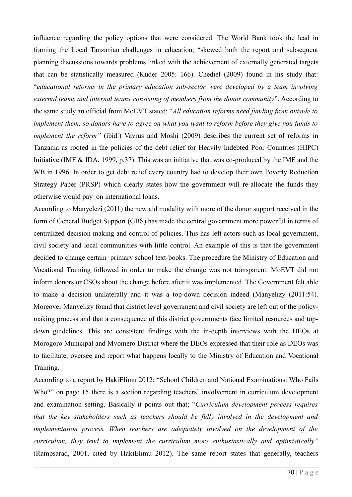influence regarding the policy options that were considered. The World Bank took the lead in framing the Local Tanzanian challenges in education; "skewed both the report and subsequent planning discussions towards problems linked with the achievement of externally generated targets that can be statistically measured (Kuder 2005: 166). Chediel (2009) found in his study that: "*educational reforms in the primary education sub-sector were developed by a team involving external teams and internal teams consisting of members from the donor community*". According to the same study an official from MoEVT stated; "*All education reforms need funding from outside to implement them, so donors have to agree on what you want to reform before they give you funds to implement the reform"* (ibid.) Vavrus and Moshi (2009) describes the current set of reforms in Tanzania as rooted in the policies of the debt relief for Heavily Indebted Poor Countries (HIPC) Initiative (IMF & IDA, 1999, p.37). This was an initiative that was co-produced by the IMF and the WB in 1996. In order to get debt relief every country had to develop their own Poverty Reduction Strategy Paper (PRSP) which clearly states how the government will re-allocate the funds they otherwise would pay on international loans.

According to Manyelezi (2011) the new aid modality with more of the donor support received in the form of General Budget Support (GBS) has made the central government more powerful in terms of centralized decision making and control of policies. This has left actors such as local government, civil society and local communities with little control. An example of this is that the government decided to change certain primary school text-books. The procedure the Ministry of Education and Vocational Training followed in order to make the change was not transparent. MoEVT did not inform donors or CSOs about the change before after it was implemented. The Government felt able to make a decision unilaterally and it was a top-down decision indeed (Manyelizy (2011:54). Moreover Manyelizy found that district level government and civil society are left out of the policymaking process and that a consequence of this district governments face limited resources and topdown guidelines. This are consistent findings with the in-depth interviews with the DEOs at Morogoro Municipal and Mvomero District where the DEOs expressed that their role as DEOs was to facilitate, oversee and report what happens locally to the Ministry of Education and Vocational Training.

According to a report by HakiElimu 2012; "School Children and National Examinations: Who Fails Who?" on page 15 there is a section regarding teachers' involvement in curriculum development and examination setting. Basically it points out that; "*Curriculum development process requires that the key stakeholders such as teachers should be fully involved in the development and implementation process. When teachers are adequately involved on the development of the curriculum, they tend to implement the curriculum more enthusiastically and optimistically"*  (Rampsarad, 2001, cited by HakiElimu 2012). The same report states that generally, teachers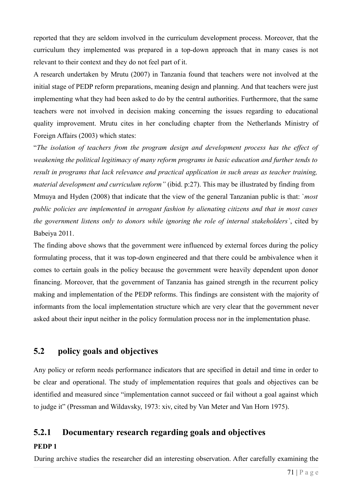reported that they are seldom involved in the curriculum development process. Moreover, that the curriculum they implemented was prepared in a top-down approach that in many cases is not relevant to their context and they do not feel part of it.

A research undertaken by Mrutu (2007) in Tanzania found that teachers were not involved at the initial stage of PEDP reform preparations, meaning design and planning. And that teachers were just implementing what they had been asked to do by the central authorities. Furthermore, that the same teachers were not involved in decision making concerning the issues regarding to educational quality improvement. Mrutu cites in her concluding chapter from the Netherlands Ministry of Foreign Affairs (2003) which states:

"*The isolation of teachers from the program design and development process has the effect of weakening the political legitimacy of many reform programs in basic education and further tends to result in programs that lack relevance and practical application in such areas as teacher training, material development and curriculum reform"* (ibid. p:27). This may be illustrated by finding from Mmuya and Hyden (2008) that indicate that the view of the general Tanzanian public is that: `*most public policies are implemented in arrogant fashion by alienating citizens and that in most cases the government listens only to donors while ignoring the role of internal stakeholders`*, cited by Babeiya 2011.

The finding above shows that the government were influenced by external forces during the policy formulating process, that it was top-down engineered and that there could be ambivalence when it comes to certain goals in the policy because the government were heavily dependent upon donor financing. Moreover, that the government of Tanzania has gained strength in the recurrent policy making and implementation of the PEDP reforms. This findings are consistent with the majority of informants from the local implementation structure which are very clear that the government never asked about their input neither in the policy formulation process nor in the implementation phase.

## **5.2 policy goals and objectives**

Any policy or reform needs performance indicators that are specified in detail and time in order to be clear and operational. The study of implementation requires that goals and objectives can be identified and measured since "implementation cannot succeed or fail without a goal against which to judge it" (Pressman and Wildavsky, 1973: xiv, cited by Van Meter and Van Horn 1975).

## **5.2.1 Documentary research regarding goals and objectives**

#### **PEDP 1**

During archive studies the researcher did an interesting observation. After carefully examining the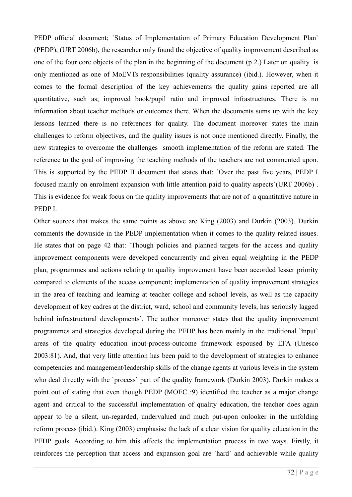PEDP official document; `Status of Implementation of Primary Education Development Plan` (PEDP), (URT 2006b), the researcher only found the objective of quality improvement described as one of the four core objects of the plan in the beginning of the document (p 2.) Later on quality is only mentioned as one of MoEVTs responsibilities (quality assurance) (ibid.). However, when it comes to the formal description of the key achievements the quality gains reported are all quantitative, such as; improved book/pupil ratio and improved infrastructures. There is no information about teacher methods or outcomes there. When the documents sums up with the key lessons learned there is no references for quality. The document moreover states the main challenges to reform objectives, and the quality issues is not once mentioned directly. Finally, the new strategies to overcome the challenges smooth implementation of the reform are stated. The reference to the goal of improving the teaching methods of the teachers are not commented upon. This is supported by the PEDP II document that states that: `Over the past five years, PEDP I focused mainly on enrolment expansion with little attention paid to quality aspects`(URT 2006b) . This is evidence for weak focus on the quality improvements that are not of a quantitative nature in PEDP I.

Other sources that makes the same points as above are King (2003) and Durkin (2003). Durkin comments the downside in the PEDP implementation when it comes to the quality related issues. He states that on page 42 that: `Though policies and planned targets for the access and quality improvement components were developed concurrently and given equal weighting in the PEDP plan, programmes and actions relating to quality improvement have been accorded lesser priority compared to elements of the access component; implementation of quality improvement strategies in the area of teaching and learning at teacher college and school levels, as well as the capacity development of key cadres at the district, ward, school and community levels, has seriously lagged behind infrastructural developments`. The author moreover states that the quality improvement programmes and strategies developed during the PEDP has been mainly in the traditional `ìnput` areas of the quality education input-process-outcome framework espoused by EFA (Unesco 2003:81). And, that very little attention has been paid to the development of strategies to enhance competencies and management/leadership skills of the change agents at various levels in the system who deal directly with the `process` part of the quality framework (Durkin 2003). Durkin makes a point out of stating that even though PEDP (MOEC :9) identified the teacher as a major change agent and critical to the successful implementation of quality education, the teacher does again appear to be a silent, un-regarded, undervalued and much put-upon onlooker in the unfolding reform process (ibid.). King (2003) emphasise the lack of a clear vision for quality education in the PEDP goals. According to him this affects the implementation process in two ways. Firstly, it reinforces the perception that access and expansion goal are `hard` and achievable while quality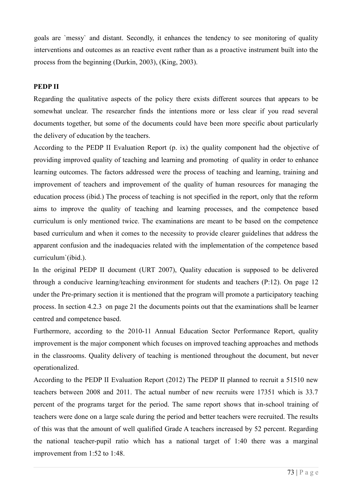goals are `messy` and distant. Secondly, it enhances the tendency to see monitoring of quality interventions and outcomes as an reactive event rather than as a proactive instrument built into the process from the beginning (Durkin, 2003), (King, 2003).

#### **PEDP II**

Regarding the qualitative aspects of the policy there exists different sources that appears to be somewhat unclear. The researcher finds the intentions more or less clear if you read several documents together, but some of the documents could have been more specific about particularly the delivery of education by the teachers.

According to the PEDP II Evaluation Report (p. ix) the quality component had the objective of providing improved quality of teaching and learning and promoting of quality in order to enhance learning outcomes. The factors addressed were the process of teaching and learning, training and improvement of teachers and improvement of the quality of human resources for managing the education process (ibid.) The process of teaching is not specified in the report, only that the reform aims to improve the quality of teaching and learning processes, and the competence based curriculum is only mentioned twice. The examinations are meant to be based on the competence based curriculum and when it comes to the necessity to provide clearer guidelines that address the apparent confusion and the inadequacies related with the implementation of the competence based curriculum`(ibid.).

In the original PEDP II document (URT 2007), Quality education is supposed to be delivered through a conducive learning/teaching environment for students and teachers (P:12). On page 12 under the Pre-primary section it is mentioned that the program will promote a participatory teaching process. In section 4.2.3 on page 21 the documents points out that the examinations shall be learner centred and competence based.

Furthermore, according to the 2010-11 Annual Education Sector Performance Report, quality improvement is the major component which focuses on improved teaching approaches and methods in the classrooms. Quality delivery of teaching is mentioned throughout the document, but never operationalized.

According to the PEDP II Evaluation Report (2012) The PEDP II planned to recruit a 51510 new teachers between 2008 and 2011. The actual number of new recruits were 17351 which is 33.7 percent of the programs target for the period. The same report shows that in-school training of teachers were done on a large scale during the period and better teachers were recruited. The results of this was that the amount of well qualified Grade A teachers increased by 52 percent. Regarding the national teacher-pupil ratio which has a national target of 1:40 there was a marginal improvement from 1:52 to 1:48.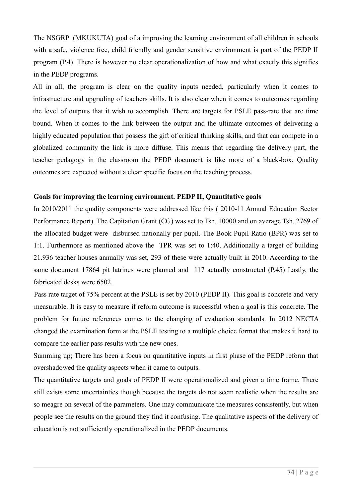The NSGRP (MKUKUTA) goal of a improving the learning environment of all children in schools with a safe, violence free, child friendly and gender sensitive environment is part of the PEDP II program (P.4). There is however no clear operationalization of how and what exactly this signifies in the PEDP programs.

All in all, the program is clear on the quality inputs needed, particularly when it comes to infrastructure and upgrading of teachers skills. It is also clear when it comes to outcomes regarding the level of outputs that it wish to accomplish. There are targets for PSLE pass-rate that are time bound. When it comes to the link between the output and the ultimate outcomes of delivering a highly educated population that possess the gift of critical thinking skills, and that can compete in a globalized community the link is more diffuse. This means that regarding the delivery part, the teacher pedagogy in the classroom the PEDP document is like more of a black-box. Quality outcomes are expected without a clear specific focus on the teaching process.

#### **Goals for improving the learning environment. PEDP II, Quantitative goals**

In 2010/2011 the quality components were addressed like this ( 2010-11 Annual Education Sector Performance Report). The Capitation Grant (CG) was set to Tsh. 10000 and on average Tsh. 2769 of the allocated budget were disbursed nationally per pupil. The Book Pupil Ratio (BPR) was set to 1:1. Furthermore as mentioned above the TPR was set to 1:40. Additionally a target of building 21.936 teacher houses annually was set, 293 of these were actually built in 2010. According to the same document 17864 pit latrines were planned and 117 actually constructed (P.45) Lastly, the fabricated desks were 6502.

Pass rate target of 75% percent at the PSLE is set by 2010 (PEDP II). This goal is concrete and very measurable. It is easy to measure if reform outcome is successful when a goal is this concrete. The problem for future references comes to the changing of evaluation standards. In 2012 NECTA changed the examination form at the PSLE testing to a multiple choice format that makes it hard to compare the earlier pass results with the new ones.

Summing up; There has been a focus on quantitative inputs in first phase of the PEDP reform that overshadowed the quality aspects when it came to outputs.

The quantitative targets and goals of PEDP II were operationalized and given a time frame. There still exists some uncertainties though because the targets do not seem realistic when the results are so meagre on several of the parameters. One may communicate the measures consistently, but when people see the results on the ground they find it confusing. The qualitative aspects of the delivery of education is not sufficiently operationalized in the PEDP documents.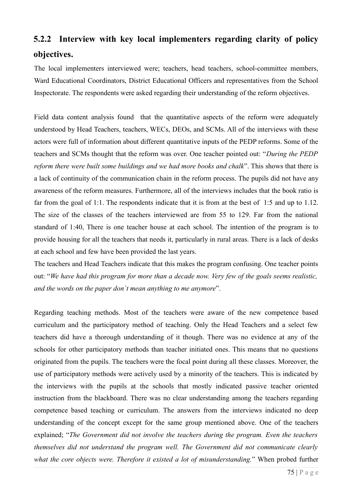# **5.2.2 Interview with key local implementers regarding clarity of policy objectives.**

The local implementers interviewed were; teachers, head teachers, school-committee members, Ward Educational Coordinators, District Educational Officers and representatives from the School Inspectorate. The respondents were asked regarding their understanding of the reform objectives.

Field data content analysis found that the quantitative aspects of the reform were adequately understood by Head Teachers, teachers, WECs, DEOs, and SCMs. All of the interviews with these actors were full of information about different quantitative inputs of the PEDP reforms. Some of the teachers and SCMs thought that the reform was over. One teacher pointed out: "*During the PEDP reform there were built some buildings and we had more books and chalk*". This shows that there is a lack of continuity of the communication chain in the reform process. The pupils did not have any awareness of the reform measures. Furthermore, all of the interviews includes that the book ratio is far from the goal of 1:1. The respondents indicate that it is from at the best of 1:5 and up to 1.12. The size of the classes of the teachers interviewed are from 55 to 129. Far from the national standard of 1:40, There is one teacher house at each school. The intention of the program is to provide housing for all the teachers that needs it, particularly in rural areas. There is a lack of desks at each school and few have been provided the last years.

The teachers and Head Teachers indicate that this makes the program confusing. One teacher points out: "*We have had this program for more than a decade now. Very few of the goals seems realistic, and the words on the paper don`t mean anything to me anymore*".

Regarding teaching methods. Most of the teachers were aware of the new competence based curriculum and the participatory method of teaching. Only the Head Teachers and a select few teachers did have a thorough understanding of it though. There was no evidence at any of the schools for other participatory methods than teacher initiated ones. This means that no questions originated from the pupils. The teachers were the focal point during all these classes. Moreover, the use of participatory methods were actively used by a minority of the teachers. This is indicated by the interviews with the pupils at the schools that mostly indicated passive teacher oriented instruction from the blackboard. There was no clear understanding among the teachers regarding competence based teaching or curriculum. The answers from the interviews indicated no deep understanding of the concept except for the same group mentioned above. One of the teachers explained; "*The Government did not involve the teachers during the program. Even the teachers themselves did not understand the program well. The Government did not communicate clearly what the core objects were. Therefore it existed a lot of misunderstanding.*" When probed further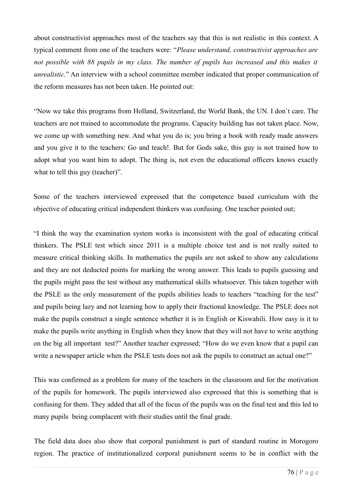about constructivist approaches most of the teachers say that this is not realistic in this context. A typical comment from one of the teachers were: "*Please understand, constructivist approaches are*  not possible with 88 pupils in my class. The number of pupils has increased and this makes it *unrealistic.*" An interview with a school committee member indicated that proper communication of the reform measures has not been taken. He pointed out:

"Now we take this programs from Holland, Switzerland, the World Bank, the UN. I don`t care. The teachers are not trained to accommodate the programs. Capacity building has not taken place. Now, we come up with something new. And what you do is; you bring a book with ready made answers and you give it to the teachers: Go and teach!. But for Gods sake, this guy is not trained how to adopt what you want him to adopt. The thing is, not even the educational officers knows exactly what to tell this guy (teacher)".

Some of the teachers interviewed expressed that the competence based curriculum with the objective of educating critical independent thinkers was confusing. One teacher pointed out;

"I think the way the examination system works is inconsistent with the goal of educating critical thinkers. The PSLE test which since 2011 is a multiple choice test and is not really suited to measure critical thinking skills. In mathematics the pupils are not asked to show any calculations and they are not deducted points for marking the wrong answer. This leads to pupils guessing and the pupils might pass the test without any mathematical skills whatsoever. This taken together with the PSLE as the only measurement of the pupils abilities leads to teachers "teaching for the test" and pupils being lazy and not learning how to apply their fractional knowledge. The PSLE does not make the pupils construct a single sentence whether it is in English or Kiswahili. How easy is it to make the pupils write anything in English when they know that they will not have to write anything on the big all important test?" Another teacher expressed; "How do we even know that a pupil can write a newspaper article when the PSLE tests does not ask the pupils to construct an actual one?"

This was confirmed as a problem for many of the teachers in the classroom and for the motivation of the pupils for homework. The pupils interviewed also expressed that this is something that is confusing for them. They added that all of the focus of the pupils was on the final test and this led to many pupils being complacent with their studies until the final grade.

The field data does also show that corporal punishment is part of standard routine in Morogoro region. The practice of institutionalized corporal punishment seems to be in conflict with the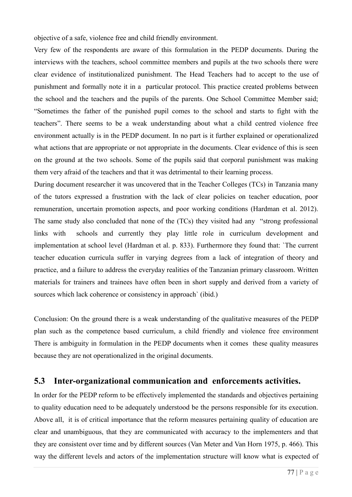objective of a safe, violence free and child friendly environment.

Very few of the respondents are aware of this formulation in the PEDP documents. During the interviews with the teachers, school committee members and pupils at the two schools there were clear evidence of institutionalized punishment. The Head Teachers had to accept to the use of punishment and formally note it in a particular protocol. This practice created problems between the school and the teachers and the pupils of the parents. One School Committee Member said; "Sometimes the father of the punished pupil comes to the school and starts to fight with the teachers". There seems to be a weak understanding about what a child centred violence free environment actually is in the PEDP document. In no part is it further explained or operationalized what actions that are appropriate or not appropriate in the documents. Clear evidence of this is seen on the ground at the two schools. Some of the pupils said that corporal punishment was making them very afraid of the teachers and that it was detrimental to their learning process.

During document researcher it was uncovered that in the Teacher Colleges (TCs) in Tanzania many of the tutors expressed a frustration with the lack of clear policies on teacher education, poor remuneration, uncertain promotion aspects, and poor working conditions (Hardman et al. 2012). The same study also concluded that none of the (TCs) they visited had any "strong professional links with schools and currently they play little role in curriculum development and implementation at school level (Hardman et al. p. 833). Furthermore they found that: `The current teacher education curricula suffer in varying degrees from a lack of integration of theory and practice, and a failure to address the everyday realities of the Tanzanian primary classroom. Written materials for trainers and trainees have often been in short supply and derived from a variety of sources which lack coherence or consistency in approach` (ibid.)

Conclusion: On the ground there is a weak understanding of the qualitative measures of the PEDP plan such as the competence based curriculum, a child friendly and violence free environment There is ambiguity in formulation in the PEDP documents when it comes these quality measures because they are not operationalized in the original documents.

### **5.3 Inter-organizational communication and enforcements activities.**

In order for the PEDP reform to be effectively implemented the standards and objectives pertaining to quality education need to be adequately understood be the persons responsible for its execution. Above all, it is of critical importance that the reform measures pertaining quality of education are clear and unambiguous, that they are communicated with accuracy to the implementers and that they are consistent over time and by different sources (Van Meter and Van Horn 1975, p. 466). This way the different levels and actors of the implementation structure will know what is expected of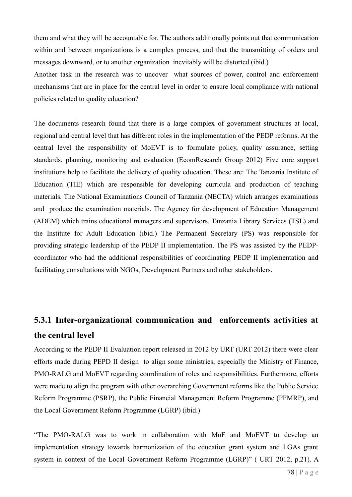them and what they will be accountable for. The authors additionally points out that communication within and between organizations is a complex process, and that the transmitting of orders and messages downward, or to another organization inevitably will be distorted (ibid.)

Another task in the research was to uncover what sources of power, control and enforcement mechanisms that are in place for the central level in order to ensure local compliance with national policies related to quality education?

The documents research found that there is a large complex of government structures at local, regional and central level that has different roles in the implementation of the PEDP reforms. At the central level the responsibility of MoEVT is to formulate policy, quality assurance, setting standards, planning, monitoring and evaluation (EcomResearch Group 2012) Five core support institutions help to facilitate the delivery of quality education. These are: The Tanzania Institute of Education (TIE) which are responsible for developing curricula and production of teaching materials. The National Examinations Council of Tanzania (NECTA) which arranges examinations and produce the examination materials. The Agency for development of Education Management (ADEM) which trains educational managers and supervisors. Tanzania Library Services (TSL) and the Institute for Adult Education (ibid.) The Permanent Secretary (PS) was responsible for providing strategic leadership of the PEDP II implementation. The PS was assisted by the PEDPcoordinator who had the additional responsibilities of coordinating PEDP II implementation and facilitating consultations with NGOs, Development Partners and other stakeholders.

# **5.3.1 Inter-organizational communication and enforcements activities at the central level**

According to the PEDP II Evaluation report released in 2012 by URT (URT 2012) there were clear efforts made during PEPD II design to align some ministries, especially the Ministry of Finance, PMO-RALG and MoEVT regarding coordination of roles and responsibilities. Furthermore, efforts were made to align the program with other overarching Government reforms like the Public Service Reform Programme (PSRP), the Public Financial Management Reform Programme (PFMRP), and the Local Government Reform Programme (LGRP) (ibid.)

"The PMO-RALG was to work in collaboration with MoF and MoEVT to develop an implementation strategy towards harmonization of the education grant system and LGAs grant system in context of the Local Government Reform Programme (LGRP)" ( URT 2012, p.21). A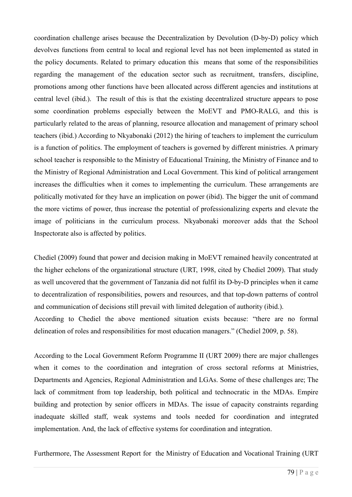coordination challenge arises because the Decentralization by Devolution (D-by-D) policy which devolves functions from central to local and regional level has not been implemented as stated in the policy documents. Related to primary education this means that some of the responsibilities regarding the management of the education sector such as recruitment, transfers, discipline, promotions among other functions have been allocated across different agencies and institutions at central level (ibid.). The result of this is that the existing decentralized structure appears to pose some coordination problems especially between the MoEVT and PMO-RALG, and this is particularly related to the areas of planning, resource allocation and management of primary school teachers (ibid.) According to Nkyabonaki (2012) the hiring of teachers to implement the curriculum is a function of politics. The employment of teachers is governed by different ministries. A primary school teacher is responsible to the Ministry of Educational Training, the Ministry of Finance and to the Ministry of Regional Administration and Local Government. This kind of political arrangement increases the difficulties when it comes to implementing the curriculum. These arrangements are politically motivated for they have an implication on power (ibid). The bigger the unit of command the more victims of power, thus increase the potential of professionalizing experts and elevate the image of politicians in the curriculum process. Nkyabonaki moreover adds that the School Inspectorate also is affected by politics.

Chediel (2009) found that power and decision making in MoEVT remained heavily concentrated at the higher echelons of the organizational structure (URT, 1998, cited by Chediel 2009). That study as well uncovered that the government of Tanzania did not fulfil its D-by-D principles when it came to decentralization of responsibilities, powers and resources, and that top-down patterns of control and communication of decisions still prevail with limited delegation of authority (ibid.). According to Chediel the above mentioned situation exists because: "there are no formal delineation of roles and responsibilities for most education managers." (Chediel 2009, p. 58).

According to the Local Government Reform Programme II (URT 2009) there are major challenges when it comes to the coordination and integration of cross sectoral reforms at Ministries, Departments and Agencies, Regional Administration and LGAs. Some of these challenges are; The lack of commitment from top leadership, both political and technocratic in the MDAs. Empire building and protection by senior officers in MDAs. The issue of capacity constraints regarding inadequate skilled staff, weak systems and tools needed for coordination and integrated implementation. And, the lack of effective systems for coordination and integration.

Furthermore, The Assessment Report for the Ministry of Education and Vocational Training (URT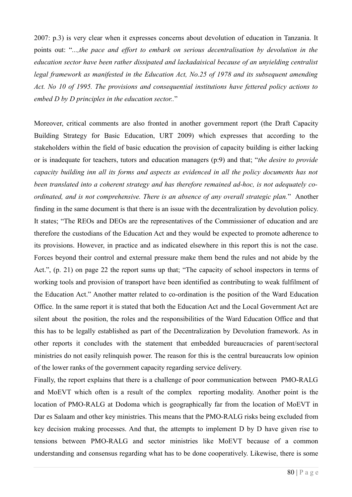2007: p.3) is very clear when it expresses concerns about devolution of education in Tanzania. It points out: "*...,the pace and effort to embark on serious decentralisation by devolution in the education sector have been rather dissipated and lackadaisical because of an unyielding centralist legal framework as manifested in the Education Act, No.25 of 1978 and its subsequent amending Act. No 10 of 1995. The provisions and consequential institutions have fettered policy actions to embed D by D principles in the education sector..*"

Moreover, critical comments are also fronted in another government report (the Draft Capacity Building Strategy for Basic Education, URT 2009) which expresses that according to the stakeholders within the field of basic education the provision of capacity building is either lacking or is inadequate for teachers, tutors and education managers (p:9) and that; "*the desire to provide capacity building inn all its forms and aspects as evidenced in all the policy documents has not been translated into a coherent strategy and has therefore remained ad-hoc, is not adequately coordinated, and is not comprehensive. There is an absence of any overall strategic plan.*" Another finding in the same document is that there is an issue with the decentralization by devolution policy. It states; "The REOs and DEOs are the representatives of the Commissioner of education and are therefore the custodians of the Education Act and they would be expected to promote adherence to its provisions. However, in practice and as indicated elsewhere in this report this is not the case. Forces beyond their control and external pressure make them bend the rules and not abide by the Act.", (p. 21) on page 22 the report sums up that; "The capacity of school inspectors in terms of working tools and provision of transport have been identified as contributing to weak fulfilment of the Education Act." Another matter related to co-ordination is the position of the Ward Education Office. In the same report it is stated that both the Education Act and the Local Government Act are silent about the position, the roles and the responsibilities of the Ward Education Office and that this has to be legally established as part of the Decentralization by Devolution framework. As in other reports it concludes with the statement that embedded bureaucracies of parent/sectoral ministries do not easily relinquish power. The reason for this is the central bureaucrats low opinion of the lower ranks of the government capacity regarding service delivery.

Finally, the report explains that there is a challenge of poor communication between PMO-RALG and MoEVT which often is a result of the complex reporting modality. Another point is the location of PMO-RALG at Dodoma which is geographically far from the location of MoEVT in Dar es Salaam and other key ministries. This means that the PMO-RALG risks being excluded from key decision making processes. And that, the attempts to implement D by D have given rise to tensions between PMO-RALG and sector ministries like MoEVT because of a common understanding and consensus regarding what has to be done cooperatively. Likewise, there is some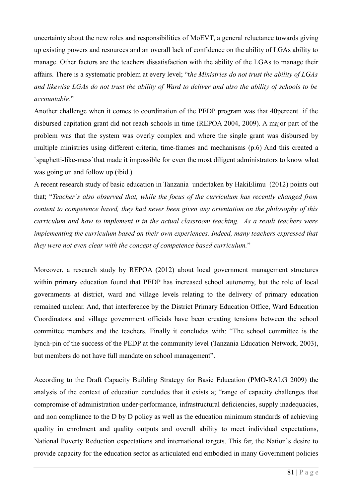uncertainty about the new roles and responsibilities of MoEVT, a general reluctance towards giving up existing powers and resources and an overall lack of confidence on the ability of LGAs ability to manage. Other factors are the teachers dissatisfaction with the ability of the LGAs to manage their affairs. There is a systematic problem at every level; "t*he Ministries do not trust the ability of LGAs and likewise LGAs do not trust the ability of Ward to deliver and also the ability of schools to be accountable.*"

Another challenge when it comes to coordination of the PEDP program was that 40percent if the disbursed capitation grant did not reach schools in time (REPOA 2004, 2009). A major part of the problem was that the system was overly complex and where the single grant was disbursed by multiple ministries using different criteria, time-frames and mechanisms (p.6) And this created a `spaghetti-like-mess`that made it impossible for even the most diligent administrators to know what was going on and follow up (ibid.)

A recent research study of basic education in Tanzania undertaken by HakiElimu (2012) points out that; "*Teacher`s also observed that, while the focus of the curriculum has recently changed from content to competence based, they had never been given any orientation on the philosophy of this curriculum and how to implement it in the actual classroom teaching. As a result teachers were implementing the curriculum based on their own experiences. Indeed, many teachers expressed that they were not even clear with the concept of competence based curriculum.*"

Moreover, a research study by REPOA (2012) about local government management structures within primary education found that PEDP has increased school autonomy, but the role of local governments at district, ward and village levels relating to the delivery of primary education remained unclear. And, that interference by the District Primary Education Office, Ward Education Coordinators and village government officials have been creating tensions between the school committee members and the teachers. Finally it concludes with: "The school committee is the lynch-pin of the success of the PEDP at the community level (Tanzania Education Network, 2003), but members do not have full mandate on school management".

According to the Draft Capacity Building Strategy for Basic Education (PMO-RALG 2009) the analysis of the context of education concludes that it exists a; "range of capacity challenges that compromise of administration under-performance, infrastructural deficiencies, supply inadequacies, and non compliance to the D by D policy as well as the education minimum standards of achieving quality in enrolment and quality outputs and overall ability to meet individual expectations, National Poverty Reduction expectations and international targets. This far, the Nation`s desire to provide capacity for the education sector as articulated end embodied in many Government policies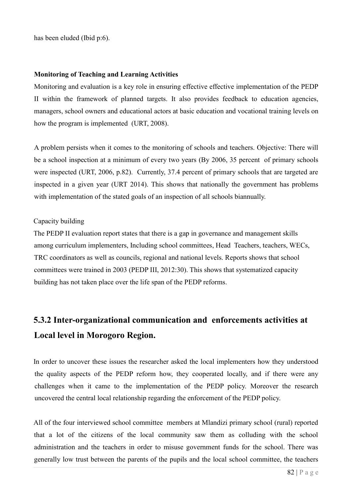has been eluded (Ibid p:6).

#### **Monitoring of Teaching and Learning Activities**

Monitoring and evaluation is a key role in ensuring effective effective implementation of the PEDP II within the framework of planned targets. It also provides feedback to education agencies, managers, school owners and educational actors at basic education and vocational training levels on how the program is implemented (URT, 2008).

A problem persists when it comes to the monitoring of schools and teachers. Objective: There will be a school inspection at a minimum of every two years (By 2006, 35 percent of primary schools were inspected (URT, 2006, p.82). Currently, 37.4 percent of primary schools that are targeted are inspected in a given year (URT 2014). This shows that nationally the government has problems with implementation of the stated goals of an inspection of all schools biannually.

#### Capacity building

The PEDP II evaluation report states that there is a gap in governance and management skills among curriculum implementers, Including school committees, Head Teachers, teachers, WECs, TRC coordinators as well as councils, regional and national levels. Reports shows that school committees were trained in 2003 (PEDP III, 2012:30). This shows that systematized capacity building has not taken place over the life span of the PEDP reforms.

# **5.3.2 Inter-organizational communication and enforcements activities at Local level in Morogoro Region.**

In order to uncover these issues the researcher asked the local implementers how they understood the quality aspects of the PEDP reform how, they cooperated locally, and if there were any challenges when it came to the implementation of the PEDP policy. Moreover the research uncovered the central local relationship regarding the enforcement of the PEDP policy.

All of the four interviewed school committee members at Mlandizi primary school (rural) reported that a lot of the citizens of the local community saw them as colluding with the school administration and the teachers in order to misuse government funds for the school. There was generally low trust between the parents of the pupils and the local school committee, the teachers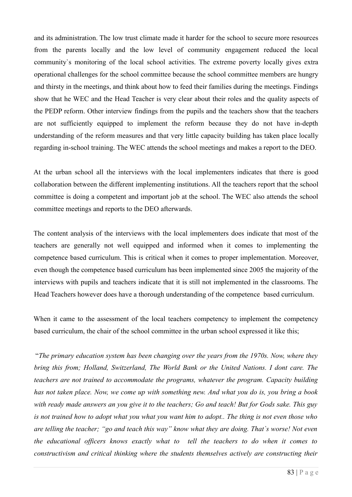and its administration. The low trust climate made it harder for the school to secure more resources from the parents locally and the low level of community engagement reduced the local community`s monitoring of the local school activities. The extreme poverty locally gives extra operational challenges for the school committee because the school committee members are hungry and thirsty in the meetings, and think about how to feed their families during the meetings. Findings show that he WEC and the Head Teacher is very clear about their roles and the quality aspects of the PEDP reform. Other interview findings from the pupils and the teachers show that the teachers are not sufficiently equipped to implement the reform because they do not have in-depth understanding of the reform measures and that very little capacity building has taken place locally regarding in-school training. The WEC attends the school meetings and makes a report to the DEO.

At the urban school all the interviews with the local implementers indicates that there is good collaboration between the different implementing institutions. All the teachers report that the school committee is doing a competent and important job at the school. The WEC also attends the school committee meetings and reports to the DEO afterwards.

The content analysis of the interviews with the local implementers does indicate that most of the teachers are generally not well equipped and informed when it comes to implementing the competence based curriculum. This is critical when it comes to proper implementation. Moreover, even though the competence based curriculum has been implemented since 2005 the majority of the interviews with pupils and teachers indicate that it is still not implemented in the classrooms. The Head Teachers however does have a thorough understanding of the competence based curriculum.

When it came to the assessment of the local teachers competency to implement the competency based curriculum, the chair of the school committee in the urban school expressed it like this;

 "*The primary education system has been changing over the years from the 1970s. Now, where they bring this from; Holland, Switzerland, The World Bank or the United Nations. I dont care. The teachers are not trained to accommodate the programs, whatever the program. Capacity building has not taken place. Now, we come up with something new. And what you do is, you bring a book with ready made answers an you give it to the teachers; Go and teach! But for Gods sake. This guy is not trained how to adopt what you what you want him to adopt.. The thing is not even those who are telling the teacher; "go and teach this way" know what they are doing. That`s worse! Not even the educational officers knows exactly what to tell the teachers to do when it comes to constructivism and critical thinking where the students themselves actively are constructing their*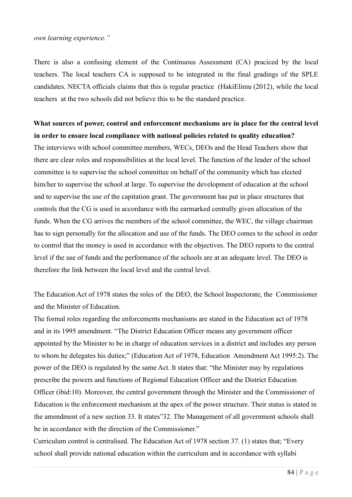#### *own learning experience."*

There is also a confusing element of the Continuous Assessment (CA) praciced by the local teachers. The local teachers CA is supposed to be integrated in the final gradings of the SPLE candidates. NECTA officials claims that this is regular practice (HakiElimu (2012), while the local teachers at the two schools did not believe this to be the standard practice.

**What sources of power, control and enforcement mechanisms are in place for the central level in order to ensure local compliance with national policies related to quality education?** The interviews with school committee members, WECs, DEOs and the Head Teachers show that there are clear roles and responsibilities at the local level. The function of the leader of the school committee is to supervise the school committee on behalf of the community which has elected him/her to supervise the school at large. To supervise the development of education at the school and to supervise the use of the capitation grant. The government has put in place structures that controls that the CG is used in accordance with the earmarked centrally given allocation of the funds. When the CG arrives the members of the school committee, the WEC, the village chairman has to sign personally for the allocation and use of the funds. The DEO comes to the school in order to control that the money is used in accordance with the objectives. The DEO reports to the central level if the use of funds and the performance of the schools are at an adequate level. The DEO is therefore the link between the local level and the central level.

The Education Act of 1978 states the roles of the DEO, the School Inspectorate, the Commissioner and the Minister of Education.

The formal roles regarding the enforcements mechanisms are stated in the Education act of 1978 and in its 1995 amendment. "The District Education Officer means any government officer appointed by the Minister to be in charge of education services in a district and includes any person to whom he delegates his duties;" (Education Act of 1978, Education Amendment Act 1995:2). The power of the DEO is regulated by the same Act. It states that: "the Minister may by regulations prescribe the powers and functions of Regional Education Officer and the District Education Officer (ibid:10). Moreover, the central government through the Minister and the Commissioner of Education is the enforcement mechanism at the apex of the power structure. Their status is stated in the amendment of a new section 33. It states"32. The Management of all government schools shall be in accordance with the direction of the Commissioner."

Curriculum control is centralised. The Education Act of 1978 section 37. (1) states that; "Every school shall provide national education within the curriculum and in accordance with syllabi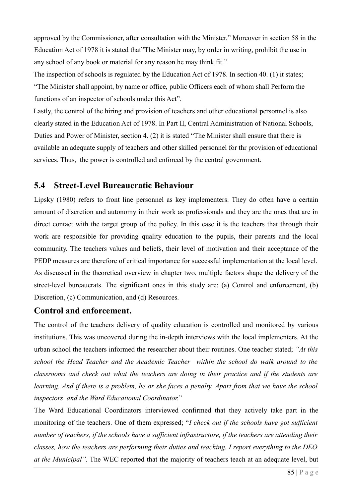approved by the Commissioner, after consultation with the Minister." Moreover in section 58 in the Education Act of 1978 it is stated that"The Minister may, by order in writing, prohibit the use in any school of any book or material for any reason he may think fit."

The inspection of schools is regulated by the Education Act of 1978. In section 40. (1) it states; "The Minister shall appoint, by name or office, public Officers each of whom shall Perform the functions of an inspector of schools under this Act".

Lastly, the control of the hiring and provision of teachers and other educational personnel is also clearly stated in the Education Act of 1978. In Part II, Central Administration of National Schools, Duties and Power of Minister, section 4. (2) it is stated "The Minister shall ensure that there is available an adequate supply of teachers and other skilled personnel for thr provision of educational services. Thus, the power is controlled and enforced by the central government.

### **5.4 Street-Level Bureaucratic Behaviour**

Lipsky (1980) refers to front line personnel as key implementers. They do often have a certain amount of discretion and autonomy in their work as professionals and they are the ones that are in direct contact with the target group of the policy. In this case it is the teachers that through their work are responsible for providing quality education to the pupils, their parents and the local community. The teachers values and beliefs, their level of motivation and their acceptance of the PEDP measures are therefore of critical importance for successful implementation at the local level. As discussed in the theoretical overview in chapter two, multiple factors shape the delivery of the street-level bureaucrats. The significant ones in this study are: (a) Control and enforcement, (b) Discretion, (c) Communication, and (d) Resources.

### **Control and enforcement.**

The control of the teachers delivery of quality education is controlled and monitored by various institutions. This was uncovered during the in-depth interviews with the local implementers. At the urban school the teachers informed the researcher about their routines. One teacher stated; *"At this school the Head Teacher and the Academic Teacher within the school do walk around to the classrooms and check out what the teachers are doing in their practice and if the students are learning. And if there is a problem, he or she faces a penalty. Apart from that we have the school inspectors and the Ward Educational Coordinator.*"

The Ward Educational Coordinators interviewed confirmed that they actively take part in the monitoring of the teachers. One of them expressed; "*I check out if the schools have got sufficient number of teachers, if the schools have a sufficient infrastructure, if the teachers are attending their classes, how the teachers are performing their duties and teaching. I report everything to the DEO at the Municipal"*. The WEC reported that the majority of teachers teach at an adequate level, but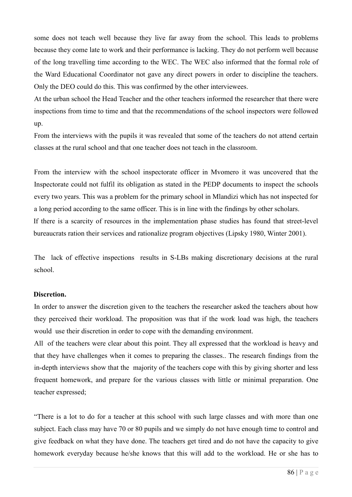some does not teach well because they live far away from the school. This leads to problems because they come late to work and their performance is lacking. They do not perform well because of the long travelling time according to the WEC. The WEC also informed that the formal role of the Ward Educational Coordinator not gave any direct powers in order to discipline the teachers. Only the DEO could do this. This was confirmed by the other interviewees.

At the urban school the Head Teacher and the other teachers informed the researcher that there were inspections from time to time and that the recommendations of the school inspectors were followed up.

From the interviews with the pupils it was revealed that some of the teachers do not attend certain classes at the rural school and that one teacher does not teach in the classroom.

From the interview with the school inspectorate officer in Mvomero it was uncovered that the Inspectorate could not fulfil its obligation as stated in the PEDP documents to inspect the schools every two years. This was a problem for the primary school in Mlandizi which has not inspected for a long period according to the same officer. This is in line with the findings by other scholars. If there is a scarcity of resources in the implementation phase studies has found that street-level bureaucrats ration their services and rationalize program objectives (Lipsky 1980, Winter 2001).

The lack of effective inspections results in S-LBs making discretionary decisions at the rural school.

#### **Discretion.**

In order to answer the discretion given to the teachers the researcher asked the teachers about how they perceived their workload. The proposition was that if the work load was high, the teachers would use their discretion in order to cope with the demanding environment.

All of the teachers were clear about this point. They all expressed that the workload is heavy and that they have challenges when it comes to preparing the classes.. The research findings from the in-depth interviews show that the majority of the teachers cope with this by giving shorter and less frequent homework, and prepare for the various classes with little or minimal preparation. One teacher expressed;

"There is a lot to do for a teacher at this school with such large classes and with more than one subject. Each class may have 70 or 80 pupils and we simply do not have enough time to control and give feedback on what they have done. The teachers get tired and do not have the capacity to give homework everyday because he/she knows that this will add to the workload. He or she has to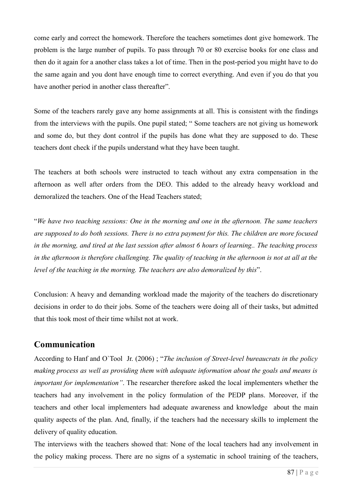come early and correct the homework. Therefore the teachers sometimes dont give homework. The problem is the large number of pupils. To pass through 70 or 80 exercise books for one class and then do it again for a another class takes a lot of time. Then in the post-period you might have to do the same again and you dont have enough time to correct everything. And even if you do that you have another period in another class thereafter".

Some of the teachers rarely gave any home assignments at all. This is consistent with the findings from the interviews with the pupils. One pupil stated; " Some teachers are not giving us homework and some do, but they dont control if the pupils has done what they are supposed to do. These teachers dont check if the pupils understand what they have been taught.

The teachers at both schools were instructed to teach without any extra compensation in the afternoon as well after orders from the DEO. This added to the already heavy workload and demoralized the teachers. One of the Head Teachers stated;

"*We have two teaching sessions: One in the morning and one in the afternoon. The same teachers are supposed to do both sessions. There is no extra payment for this. The children are more focused in the morning, and tired at the last session after almost 6 hours of learning.. The teaching process in the afternoon is therefore challenging. The quality of teaching in the afternoon is not at all at the level of the teaching in the morning. The teachers are also demoralized by this*".

Conclusion: A heavy and demanding workload made the majority of the teachers do discretionary decisions in order to do their jobs. Some of the teachers were doing all of their tasks, but admitted that this took most of their time whilst not at work.

### **Communication**

According to Hanf and O`Tool Jr. (2006) ; "*The inclusion of Street-level bureaucrats in the policy making process as well as providing them with adequate information about the goals and means is important for implementation"*. The researcher therefore asked the local implementers whether the teachers had any involvement in the policy formulation of the PEDP plans. Moreover, if the teachers and other local implementers had adequate awareness and knowledge about the main quality aspects of the plan. And, finally, if the teachers had the necessary skills to implement the delivery of quality education.

The interviews with the teachers showed that: None of the local teachers had any involvement in the policy making process. There are no signs of a systematic in school training of the teachers,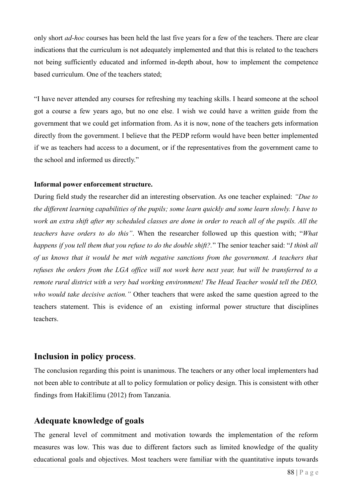only short *ad-hoc* courses has been held the last five years for a few of the teachers. There are clear indications that the curriculum is not adequately implemented and that this is related to the teachers not being sufficiently educated and informed in-depth about, how to implement the competence based curriculum. One of the teachers stated;

"I have never attended any courses for refreshing my teaching skills. I heard someone at the school got a course a few years ago, but no one else. I wish we could have a written guide from the government that we could get information from. As it is now, none of the teachers gets information directly from the government. I believe that the PEDP reform would have been better implemented if we as teachers had access to a document, or if the representatives from the government came to the school and informed us directly."

#### **Informal power enforcement structure.**

During field study the researcher did an interesting observation. As one teacher explained: *"Due to the different learning capabilities of the pupils; some learn quickly and some learn slowly. I have to* work an extra shift after my scheduled classes are done in order to reach all of the pupils. All the *teachers have orders to do this"*. When the researcher followed up this question with; "*What happens if you tell them that you refuse to do the double shift?.*" The senior teacher said: "*I think all of us knows that it would be met with negative sanctions from the government. A teachers that refuses the orders from the LGA office will not work here next year, but will be transferred to a remote rural district with a very bad working environment! The Head Teacher would tell the DEO, who would take decisive action."* Other teachers that were asked the same question agreed to the teachers statement. This is evidence of an existing informal power structure that disciplines teachers.

### **Inclusion in policy process**.

The conclusion regarding this point is unanimous. The teachers or any other local implementers had not been able to contribute at all to policy formulation or policy design. This is consistent with other findings from HakiElimu (2012) from Tanzania.

### **Adequate knowledge of goals**

The general level of commitment and motivation towards the implementation of the reform measures was low. This was due to different factors such as limited knowledge of the quality educational goals and objectives. Most teachers were familiar with the quantitative inputs towards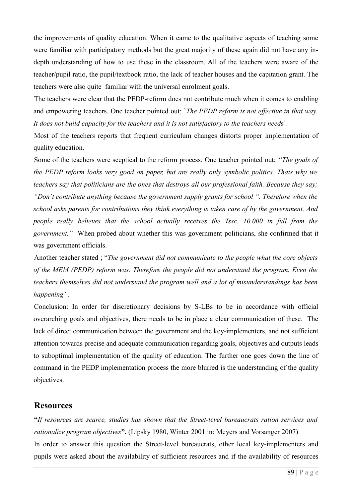the improvements of quality education. When it came to the qualitative aspects of teaching some were familiar with participatory methods but the great majority of these again did not have any indepth understanding of how to use these in the classroom. All of the teachers were aware of the teacher/pupil ratio, the pupil/textbook ratio, the lack of teacher houses and the capitation grant. The teachers were also quite familiar with the universal enrolment goals.

The teachers were clear that the PEDP-reform does not contribute much when it comes to enabling and empowering teachers. One teacher pointed out; `*The PEDP reform is not effective in that way. It does not build capacity for the teachers and it is not satisfactory to the teachers need*s`.

Most of the teachers reports that frequent curriculum changes distorts proper implementation of quality education.

Some of the teachers were sceptical to the reform process. One teacher pointed out; *"The goals of the PEDP reform looks very good on paper, but are really only symbolic politics. Thats why we teachers say that politicians are the ones that destroys all our professional faith. Because they say; "Don`t contribute anything because the government supply grants for school ". Therefore when the school asks parents for contributions they think everything is taken care of by the government. And people really believes that the school actually receives the Tssc. 10.000 in full from the government."* When probed about whether this was government politicians, she confirmed that it was government officials.

Another teacher stated ; "*The government did not communicate to the people what the core objects of the MEM (PEDP) reform was. Therefore the people did not understand the program. Even the teachers themselves did not understand the program well and a lot of misunderstandings has been happening"*.

Conclusion: In order for discretionary decisions by S-LBs to be in accordance with official overarching goals and objectives, there needs to be in place a clear communication of these. The lack of direct communication between the government and the key-implementers, and not sufficient attention towards precise and adequate communication regarding goals, objectives and outputs leads to suboptimal implementation of the quality of education. The further one goes down the line of command in the PEDP implementation process the more blurred is the understanding of the quality objectives.

### **Resources**

**"***If resources are scarce, studies has shown that the Street-level bureaucrats ration services and rationalize program objectives*". (Lipsky 1980, Winter 2001 in: Meyers and Vorsanger 2007) In order to answer this question the Street-level bureaucrats, other local key-implementers and pupils were asked about the availability of sufficient resources and if the availability of resources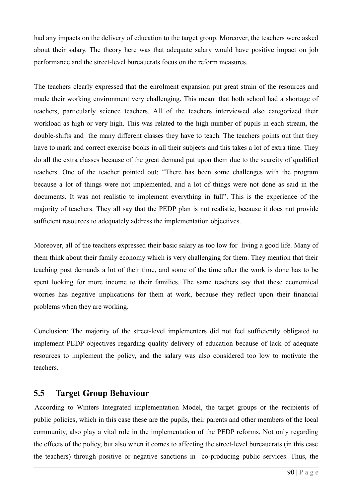had any impacts on the delivery of education to the target group. Moreover, the teachers were asked about their salary. The theory here was that adequate salary would have positive impact on job performance and the street-level bureaucrats focus on the reform measures.

The teachers clearly expressed that the enrolment expansion put great strain of the resources and made their working environment very challenging. This meant that both school had a shortage of teachers, particularly science teachers. All of the teachers interviewed also categorized their workload as high or very high. This was related to the high number of pupils in each stream, the double-shifts and the many different classes they have to teach. The teachers points out that they have to mark and correct exercise books in all their subjects and this takes a lot of extra time. They do all the extra classes because of the great demand put upon them due to the scarcity of qualified teachers. One of the teacher pointed out; "There has been some challenges with the program because a lot of things were not implemented, and a lot of things were not done as said in the documents. It was not realistic to implement everything in full". This is the experience of the majority of teachers. They all say that the PEDP plan is not realistic, because it does not provide sufficient resources to adequately address the implementation objectives.

Moreover, all of the teachers expressed their basic salary as too low for living a good life. Many of them think about their family economy which is very challenging for them. They mention that their teaching post demands a lot of their time, and some of the time after the work is done has to be spent looking for more income to their families. The same teachers say that these economical worries has negative implications for them at work, because they reflect upon their financial problems when they are working.

Conclusion: The majority of the street-level implementers did not feel sufficiently obligated to implement PEDP objectives regarding quality delivery of education because of lack of adequate resources to implement the policy, and the salary was also considered too low to motivate the teachers.

### **5.5 Target Group Behaviour**

According to Winters Integrated implementation Model, the target groups or the recipients of public policies, which in this case these are the pupils, their parents and other members of the local community, also play a vital role in the implementation of the PEDP reforms. Not only regarding the effects of the policy, but also when it comes to affecting the street-level bureaucrats (in this case the teachers) through positive or negative sanctions in co-producing public services. Thus, the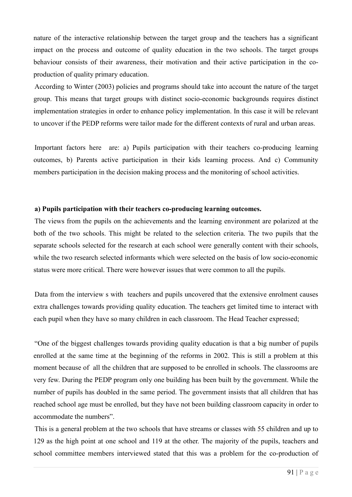nature of the interactive relationship between the target group and the teachers has a significant impact on the process and outcome of quality education in the two schools. The target groups behaviour consists of their awareness, their motivation and their active participation in the coproduction of quality primary education.

According to Winter (2003) policies and programs should take into account the nature of the target group. This means that target groups with distinct socio-economic backgrounds requires distinct implementation strategies in order to enhance policy implementation. In this case it will be relevant to uncover if the PEDP reforms were tailor made for the different contexts of rural and urban areas.

Important factors here are: a) Pupils participation with their teachers co-producing learning outcomes, b) Parents active participation in their kids learning process. And c) Community members participation in the decision making process and the monitoring of school activities.

#### **a) Pupils participation with their teachers co-producing learning outcomes.**

The views from the pupils on the achievements and the learning environment are polarized at the both of the two schools. This might be related to the selection criteria. The two pupils that the separate schools selected for the research at each school were generally content with their schools, while the two research selected informants which were selected on the basis of low socio-economic status were more critical. There were however issues that were common to all the pupils.

Data from the interview s with teachers and pupils uncovered that the extensive enrolment causes extra challenges towards providing quality education. The teachers get limited time to interact with each pupil when they have so many children in each classroom. The Head Teacher expressed;

"One of the biggest challenges towards providing quality education is that a big number of pupils enrolled at the same time at the beginning of the reforms in 2002. This is still a problem at this moment because of all the children that are supposed to be enrolled in schools. The classrooms are very few. During the PEDP program only one building has been built by the government. While the number of pupils has doubled in the same period. The government insists that all children that has reached school age must be enrolled, but they have not been building classroom capacity in order to accommodate the numbers".

This is a general problem at the two schools that have streams or classes with 55 children and up to 129 as the high point at one school and 119 at the other. The majority of the pupils, teachers and school committee members interviewed stated that this was a problem for the co-production of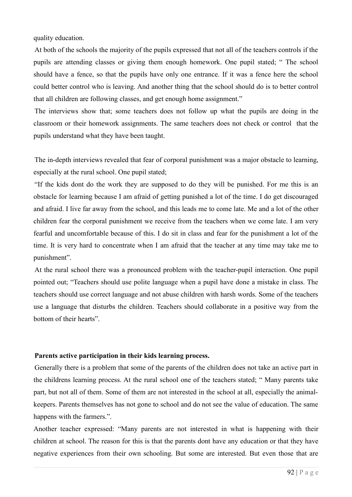quality education.

At both of the schools the majority of the pupils expressed that not all of the teachers controls if the pupils are attending classes or giving them enough homework. One pupil stated; " The school should have a fence, so that the pupils have only one entrance. If it was a fence here the school could better control who is leaving. And another thing that the school should do is to better control that all children are following classes, and get enough home assignment."

The interviews show that; some teachers does not follow up what the pupils are doing in the classroom or their homework assignments. The same teachers does not check or control that the pupils understand what they have been taught.

The in-depth interviews revealed that fear of corporal punishment was a major obstacle to learning, especially at the rural school. One pupil stated;

"If the kids dont do the work they are supposed to do they will be punished. For me this is an obstacle for learning because I am afraid of getting punished a lot of the time. I do get discouraged and afraid. I live far away from the school, and this leads me to come late. Me and a lot of the other children fear the corporal punishment we receive from the teachers when we come late. I am very fearful and uncomfortable because of this. I do sit in class and fear for the punishment a lot of the time. It is very hard to concentrate when I am afraid that the teacher at any time may take me to punishment".

At the rural school there was a pronounced problem with the teacher-pupil interaction. One pupil pointed out; "Teachers should use polite language when a pupil have done a mistake in class. The teachers should use correct language and not abuse children with harsh words. Some of the teachers use a language that disturbs the children. Teachers should collaborate in a positive way from the bottom of their hearts".

#### **Parents active participation in their kids learning process.**

Generally there is a problem that some of the parents of the children does not take an active part in the childrens learning process. At the rural school one of the teachers stated; " Many parents take part, but not all of them. Some of them are not interested in the school at all, especially the animalkeepers. Parents themselves has not gone to school and do not see the value of education. The same happens with the farmers.".

Another teacher expressed: "Many parents are not interested in what is happening with their children at school. The reason for this is that the parents dont have any education or that they have negative experiences from their own schooling. But some are interested. But even those that are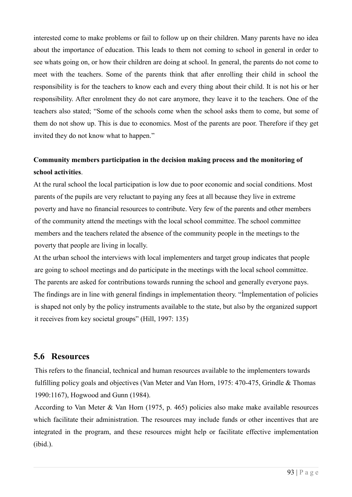interested come to make problems or fail to follow up on their children. Many parents have no idea about the importance of education. This leads to them not coming to school in general in order to see whats going on, or how their children are doing at school. In general, the parents do not come to meet with the teachers. Some of the parents think that after enrolling their child in school the responsibility is for the teachers to know each and every thing about their child. It is not his or her responsibility. After enrolment they do not care anymore, they leave it to the teachers. One of the teachers also stated; "Some of the schools come when the school asks them to come, but some of them do not show up. This is due to economics. Most of the parents are poor. Therefore if they get invited they do not know what to happen."

### **Community members participation in the decision making process and the monitoring of school activities**.

At the rural school the local participation is low due to poor economic and social conditions. Most parents of the pupils are very reluctant to paying any fees at all because they live in extreme poverty and have no financial resources to contribute. Very few of the parents and other members of the community attend the meetings with the local school committee. The school committee members and the teachers related the absence of the community people in the meetings to the poverty that people are living in locally.

At the urban school the interviews with local implementers and target group indicates that people are going to school meetings and do participate in the meetings with the local school committee. The parents are asked for contributions towards running the school and generally everyone pays. The findings are in line with general findings in implementation theory. "Ìmplementation of policies is shaped not only by the policy instruments available to the state, but also by the organized support it receives from key societal groups" (Hill, 1997: 135)

### **5.6 Resources**

This refers to the financial, technical and human resources available to the implementers towards fulfilling policy goals and objectives (Van Meter and Van Horn, 1975: 470-475, Grindle & Thomas 1990:1167), Hogwood and Gunn (1984).

According to Van Meter & Van Horn (1975, p. 465) policies also make make available resources which facilitate their administration. The resources may include funds or other incentives that are integrated in the program, and these resources might help or facilitate effective implementation (ibid.).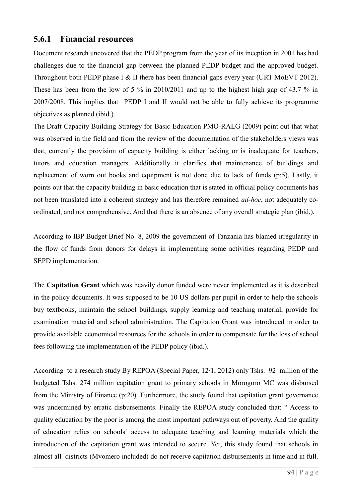### **5.6.1 Financial resources**

Document research uncovered that the PEDP program from the year of its inception in 2001 has had challenges due to the financial gap between the planned PEDP budget and the approved budget. Throughout both PEDP phase I & II there has been financial gaps every year (URT MoEVT 2012). These has been from the low of 5 % in 2010/2011 and up to the highest high gap of 43.7 % in 2007/2008. This implies that PEDP I and II would not be able to fully achieve its programme objectives as planned (ibid.).

The Draft Capacity Building Strategy for Basic Education PMO-RALG (2009) point out that what was observed in the field and from the review of the documentation of the stakeholders views was that, currently the provision of capacity building is either lacking or is inadequate for teachers, tutors and education managers. Additionally it clarifies that maintenance of buildings and replacement of worn out books and equipment is not done due to lack of funds (p:5). Lastly, it points out that the capacity building in basic education that is stated in official policy documents has not been translated into a coherent strategy and has therefore remained *ad-hoc*, not adequately coordinated, and not comprehensive. And that there is an absence of any overall strategic plan (ibid.).

According to IBP Budget Brief No. 8, 2009 the government of Tanzania has blamed irregularity in the flow of funds from donors for delays in implementing some activities regarding PEDP and SEPD implementation.

The **Capitation Grant** which was heavily donor funded were never implemented as it is described in the policy documents. It was supposed to be 10 US dollars per pupil in order to help the schools buy textbooks, maintain the school buildings, supply learning and teaching material, provide for examination material and school administration. The Capitation Grant was introduced in order to provide available economical resources for the schools in order to compensate for the loss of school fees following the implementation of the PEDP policy (ibid.).

According to a research study By REPOA (Special Paper, 12/1, 2012) only Tshs. 92 million of the budgeted Tshs. 274 million capitation grant to primary schools in Morogoro MC was disbursed from the Ministry of Finance (p:20). Furthermore, the study found that capitation grant governance was undermined by erratic disbursements. Finally the REPOA study concluded that: " Access to quality education by the poor is among the most important pathways out of poverty. And the quality of education relies on schools` access to adequate teaching and learning materials which the introduction of the capitation grant was intended to secure. Yet, this study found that schools in almost all districts (Mvomero included) do not receive capitation disbursements in time and in full.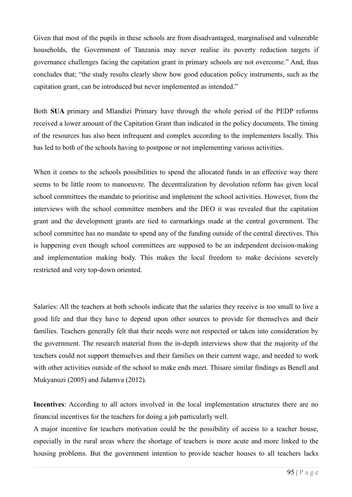Given that most of the pupils in these schools are from disadvantaged, marginalised and vulnerable households, the Government of Tanzania may never realise its poverty reduction targets if governance challenges facing the capitation grant in primary schools are not overcome." And, thus concludes that; "the study results clearly show how good education policy instruments, such as the capitation grant, can be introduced but never implemented as intended."

Both **SUA** primary and Mlandizi Primary have through the whole period of the PEDP reforms received a lower amount of the Capitation Grant than indicated in the policy documents. The timing of the resources has also been infrequent and complex according to the implementers locally. This has led to both of the schools having to postpone or not implementing various activities.

When it comes to the schools possibilities to spend the allocated funds in an effective way there seems to be little room to manoeuvre. The decentralization by devolution reform has given local school committees the mandate to prioritise and implement the school activities. However, from the interviews with the school committee members and the DEO it was revealed that the capitation grant and the development grants are tied to earmarkings made at the central government. The school committee has no mandate to spend any of the funding outside of the central directives. This is happening even though school committees are supposed to be an independent decision-making and implementation making body. This makes the local freedom to make decisions severely restricted and very top-down oriented.

Salaries: All the teachers at both schools indicate that the salaries they receive is too small to live a good life and that they have to depend upon other sources to provide for themselves and their families. Teachers generally felt that their needs were not respected or taken into consideration by the government. The research material from the in-depth interviews show that the majority of the teachers could not support themselves and their families on their current wage, and needed to work with other activities outside of the school to make ends meet. Thisare similar findings as Benell and Mukyanuzi (2005) and Jidamva (2012).

**Incentives**: According to all actors involved in the local implementation structures there are no financial incentives for the teachers for doing a job particularly well.

A major incentive for teachers motivation could be the possibility of access to a teacher house, especially in the rural areas where the shortage of teachers is more acute and more linked to the housing problems. But the government intention to provide teacher houses to all teachers lacks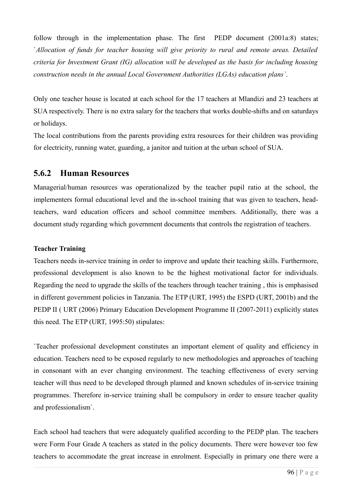follow through in the implementation phase. The first PEDP document (2001a:8) states; `*Allocation of funds for teacher housing will give priority to rural and remote areas. Detailed criteria for Investment Grant (IG) allocation will be developed as the basis for including housing construction needs in the annual Local Government Authorities (LGAs) education plans`*.

Only one teacher house is located at each school for the 17 teachers at Mlandizi and 23 teachers at SUA respectively. There is no extra salary for the teachers that works double-shifts and on saturdays or holidays.

The local contributions from the parents providing extra resources for their children was providing for electricity, running water, guarding, a janitor and tuition at the urban school of SUA.

### **5.6.2 Human Resources**

Managerial/human resources was operationalized by the teacher pupil ratio at the school, the implementers formal educational level and the in-school training that was given to teachers, headteachers, ward education officers and school committee members. Additionally, there was a document study regarding which government documents that controls the registration of teachers.

### **Teacher Training**

Teachers needs in-service training in order to improve and update their teaching skills. Furthermore, professional development is also known to be the highest motivational factor for individuals. Regarding the need to upgrade the skills of the teachers through teacher training , this is emphasised in different government policies in Tanzania. The ETP (URT, 1995) the ESPD (URT, 2001b) and the PEDP II ( URT (2006) Primary Education Development Programme II (2007-2011) explicitly states this need. The ETP (URT, 1995:50) stipulates:

`Teacher professional development constitutes an important element of quality and efficiency in education. Teachers need to be exposed regularly to new methodologies and approaches of teaching in consonant with an ever changing environment. The teaching effectiveness of every serving teacher will thus need to be developed through planned and known schedules of in-service training programmes. Therefore in-service training shall be compulsory in order to ensure teacher quality and professionalism`.

Each school had teachers that were adequately qualified according to the PEDP plan. The teachers were Form Four Grade A teachers as stated in the policy documents. There were however too few teachers to accommodate the great increase in enrolment. Especially in primary one there were a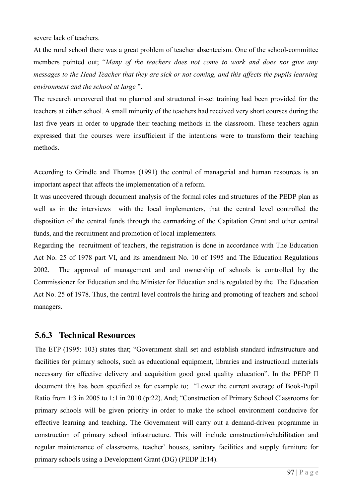severe lack of teachers.

At the rural school there was a great problem of teacher absenteeism. One of the school-committee members pointed out; "*Many of the teachers does not come to work and does not give any messages to the Head Teacher that they are sick or not coming, and this affects the pupils learning environment and the school at large* ".

The research uncovered that no planned and structured in-set training had been provided for the teachers at either school. A small minority of the teachers had received very short courses during the last five years in order to upgrade their teaching methods in the classroom. These teachers again expressed that the courses were insufficient if the intentions were to transform their teaching methods.

According to Grindle and Thomas (1991) the control of managerial and human resources is an important aspect that affects the implementation of a reform.

It was uncovered through document analysis of the formal roles and structures of the PEDP plan as well as in the interviews with the local implementers, that the central level controlled the disposition of the central funds through the earmarking of the Capitation Grant and other central funds, and the recruitment and promotion of local implementers.

Regarding the recruitment of teachers, the registration is done in accordance with The Education Act No. 25 of 1978 part VI, and its amendment No. 10 of 1995 and The Education Regulations 2002. The approval of management and and ownership of schools is controlled by the Commissioner for Education and the Minister for Education and is regulated by the The Education Act No. 25 of 1978. Thus, the central level controls the hiring and promoting of teachers and school managers.

### **5.6.3 Technical Resources**

The ETP (1995: 103) states that; "Government shall set and establish standard infrastructure and facilities for primary schools, such as educational equipment, libraries and instructional materials necessary for effective delivery and acquisition good good quality education". In the PEDP II document this has been specified as for example to; "Lower the current average of Book-Pupil Ratio from 1:3 in 2005 to 1:1 in 2010 (p:22). And; "Construction of Primary School Classrooms for primary schools will be given priority in order to make the school environment conducive for effective learning and teaching. The Government will carry out a demand-driven programme in construction of primary school infrastructure. This will include construction/rehabilitation and regular maintenance of classrooms, teacher` houses, sanitary facilities and supply furniture for primary schools using a Development Grant (DG) (PEDP II:14).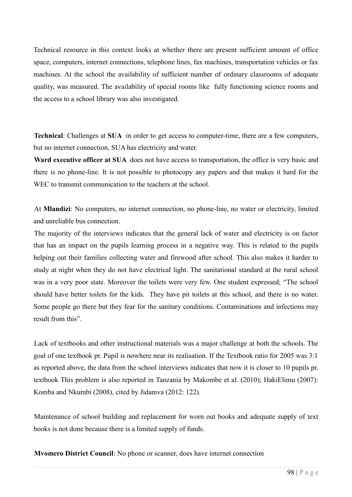Technical resource in this context looks at whether there are present sufficient amount of office space, computers, internet connections, telephone lines, fax machines, transportation vehicles or fax machines. At the school the availability of sufficient number of ordinary classrooms of adequate quality, was measured. The availability of special rooms like fully functioning science rooms and the access to a school library was also investigated.

**Technical**: Challenges at **SUA** in order to get access to computer-time, there are a few computers, but no internet connection, SUA has electricity and water.

**Ward executive officer at SUA** does not have access to transportation, the office is very basic and there is no phone-line. It is not possible to photocopy any papers and that makes it hard for the WEC to transmit communication to the teachers at the school.

At **Mlandizi**: No computers, no internet connection, no phone-line, no water or electricity, limited and unreliable bus connection.

The majority of the interviews indicates that the general lack of water and electricity is on factor that has an impact on the pupils learning process in a negative way. This is related to the pupils helping out their families collecting water and firewood after school. This also makes it harder to study at night when they do not have electrical light. The sanitational standard at the rural school was in a very poor state. Moreover the toilets were very few. One student expressed; "The school should have better toilets for the kids. They have pit toilets at this school, and there is no water. Some people go there but they fear for the sanitary conditions. Contaminations and infections may result from this".

Lack of textbooks and other instructional materials was a major challenge at both the schools. The goal of one textbook pr. Pupil is nowhere near its realisation. If the Textbook ratio for 2005 was 3:1 as reported above, the data from the school interviews indicates that now it is closer to 10 pupils pr. textbook This problem is also reported in Tanzania by Makombe et al. (2010); HakiElimu (2007): Komba and Nkumbi (2008), cited by Jidamva (2012: 122).

Maintenance of school building and replacement for worn out books and adequate supply of text books is not done because there is a limited supply of funds.

**Mvomero District Council**: No phone or scanner, does have internet connection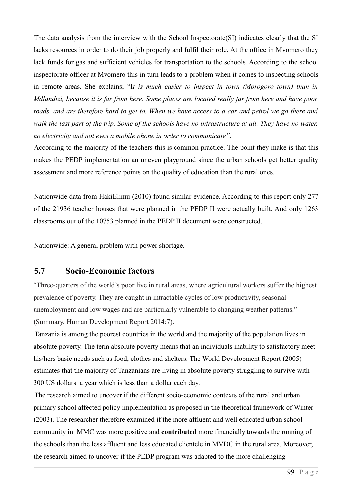The data analysis from the interview with the School Inspectorate(SI) indicates clearly that the SI lacks resources in order to do their job properly and fulfil their role. At the office in Mvomero they lack funds for gas and sufficient vehicles for transportation to the schools. According to the school inspectorate officer at Mvomero this in turn leads to a problem when it comes to inspecting schools in remote areas. She explains; "I*t is much easier to inspect in town (Morogoro town) than in Mdlandizi, because it is far from here. Some places are located really far from here and have poor*  roads, and are therefore hard to get to. When we have access to a car and petrol we go there and *walk the last part of the trip. Some of the schools have no infrastructure at all. They have no water, no electricity and not even a mobile phone in order to communicate"*.

According to the majority of the teachers this is common practice. The point they make is that this makes the PEDP implementation an uneven playground since the urban schools get better quality assessment and more reference points on the quality of education than the rural ones.

Nationwide data from HakiElimu (2010) found similar evidence. According to this report only 277 of the 21936 teacher houses that were planned in the PEDP II were actually built. And only 1263 classrooms out of the 10753 planned in the PEDP II document were constructed.

Nationwide: A general problem with power shortage.

### **5.7 Socio-Economic factors**

"Three-quarters of the world's poor live in rural areas, where agricultural workers suffer the highest prevalence of poverty. They are caught in intractable cycles of low productivity, seasonal unemployment and low wages and are particularly vulnerable to changing weather patterns." (Summary, Human Development Report 2014:7).

Tanzania is among the poorest countries in the world and the majority of the population lives in absolute poverty. The term absolute poverty means that an individuals inability to satisfactory meet his/hers basic needs such as food, clothes and shelters. The World Development Report (2005) estimates that the majority of Tanzanians are living in absolute poverty struggling to survive with 300 US dollars a year which is less than a dollar each day.

The research aimed to uncover if the different socio-economic contexts of the rural and urban primary school affected policy implementation as proposed in the theoretical framework of Winter (2003). The researcher therefore examined if the more affluent and well educated urban school community in MMC was more positive and **contributed** more financially towards the running of the schools than the less affluent and less educated clientele in MVDC in the rural area. Moreover, the research aimed to uncover if the PEDP program was adapted to the more challenging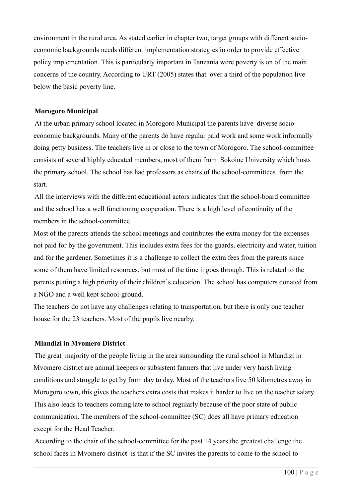environment in the rural area. As stated earlier in chapter two, target groups with different socioeconomic backgrounds needs different implementation strategies in order to provide effective policy implementation. This is particularly important in Tanzania were poverty is on of the main concerns of the country. According to URT (2005) states that over a third of the population live below the basic poverty line.

#### **Morogoro Municipal**

At the urban primary school located in Morogoro Municipal the parents have diverse socioeconomic backgrounds. Many of the parents do have regular paid work and some work informally doing petty business. The teachers live in or close to the town of Morogoro. The school-committee consists of several highly educated members, most of them from Sokoine University which hosts the primary school. The school has had professors as chairs of the school-committees from the start.

All the interviews with the different educational actors indicates that the school-board committee and the school has a well functioning cooperation. There is a high level of continuity of the members in the school-committee.

Most of the parents attends the school meetings and contributes the extra money for the expenses not paid for by the government. This includes extra fees for the guards, electricity and water, tuition and for the gardener. Sometimes it is a challenge to collect the extra fees from the parents since some of them have limited resources, but most of the time it goes through. This is related to the parents putting a high priority of their children`s education. The school has computers donated from a NGO and a well kept school-ground.

The teachers do not have any challenges relating to transportation, but there is only one teacher house for the 23 teachers. Most of the pupils live nearby.

#### **Mlandizi in Mvomero District**

The great majority of the people living in the area surrounding the rural school in Mlandizi in Mvomero district are animal keepers or subsistent farmers that live under very harsh living conditions and struggle to get by from day to day. Most of the teachers live 50 kilometres away in Morogoro town, this gives the teachers extra costs that makes it harder to live on the teacher salary. This also leads to teachers coming late to school regularly because of the poor state of public communication. The members of the school-committee (SC) does all have primary education except for the Head Teacher.

According to the chair of the school-committee for the past 14 years the greatest challenge the school faces in Mvomero distric**t** is that if the SC invites the parents to come to the school to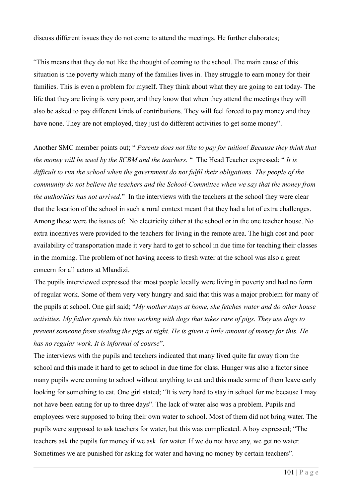discuss different issues they do not come to attend the meetings. He further elaborates;

"This means that they do not like the thought of coming to the school. The main cause of this situation is the poverty which many of the families lives in. They struggle to earn money for their families. This is even a problem for myself. They think about what they are going to eat today- The life that they are living is very poor, and they know that when they attend the meetings they will also be asked to pay different kinds of contributions. They will feel forced to pay money and they have none. They are not employed, they just do different activities to get some money".

Another SMC member points out; " *Parents does not like to pay for tuition! Because they think that the money will be used by the SCBM and the teachers.* " The Head Teacher expressed; " *It is difficult to run the school when the government do not fulfil their obligations. The people of the community do not believe the teachers and the School-Committee when we say that the money from the authorities has not arrived.*" In the interviews with the teachers at the school they were clear that the location of the school in such a rural context meant that they had a lot of extra challenges. Among these were the issues of: No electricity either at the school or in the one teacher house. No extra incentives were provided to the teachers for living in the remote area. The high cost and poor availability of transportation made it very hard to get to school in due time for teaching their classes in the morning. The problem of not having access to fresh water at the school was also a great concern for all actors at Mlandizi.

The pupils interviewed expressed that most people locally were living in poverty and had no form of regular work. Some of them very very hungry and said that this was a major problem for many of the pupils at school. One girl said; "*My mother stays at home, she fetches water and do other house activities. My father spends his time working with dogs that takes care of pigs. They use dogs to prevent someone from stealing the pigs at night. He is given a little amount of money for this. He has no regular work. It is informal of course*".

The interviews with the pupils and teachers indicated that many lived quite far away from the school and this made it hard to get to school in due time for class. Hunger was also a factor since many pupils were coming to school without anything to eat and this made some of them leave early looking for something to eat. One girl stated; "It is very hard to stay in school for me because I may not have been eating for up to three days". The lack of water also was a problem. Pupils and employees were supposed to bring their own water to school. Most of them did not bring water. The pupils were supposed to ask teachers for water, but this was complicated. A boy expressed; "The teachers ask the pupils for money if we ask for water. If we do not have any, we get no water. Sometimes we are punished for asking for water and having no money by certain teachers".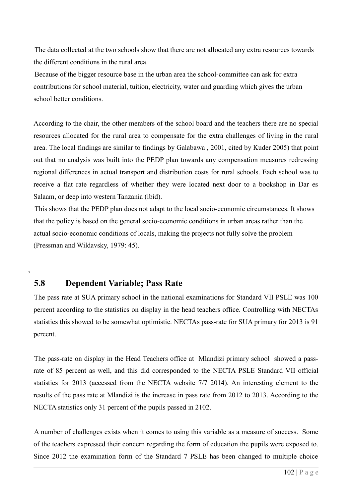The data collected at the two schools show that there are not allocated any extra resources towards the different conditions in the rural area.

Because of the bigger resource base in the urban area the school-committee can ask for extra contributions for school material, tuition, electricity, water and guarding which gives the urban school better conditions.

According to the chair, the other members of the school board and the teachers there are no special resources allocated for the rural area to compensate for the extra challenges of living in the rural area. The local findings are similar to findings by Galabawa , 2001, cited by Kuder 2005) that point out that no analysis was built into the PEDP plan towards any compensation measures redressing regional differences in actual transport and distribution costs for rural schools. Each school was to receive a flat rate regardless of whether they were located next door to a bookshop in Dar es Salaam, or deep into western Tanzania (ibid).

This shows that the PEDP plan does not adapt to the local socio-economic circumstances. It shows that the policy is based on the general socio-economic conditions in urban areas rather than the actual socio-economic conditions of locals, making the projects not fully solve the problem (Pressman and Wildavsky, 1979: 45).

### **5.8 Dependent Variable; Pass Rate**

,

The pass rate at SUA primary school in the national examinations for Standard VII PSLE was 100 percent according to the statistics on display in the head teachers office. Controlling with NECTAs statistics this showed to be somewhat optimistic. NECTAs pass-rate for SUA primary for 2013 is 91 percent.

The pass-rate on display in the Head Teachers office at Mlandizi primary school showed a passrate of 85 percent as well, and this did corresponded to the NECTA PSLE Standard VII official statistics for 2013 (accessed from the NECTA website 7/7 2014). An interesting element to the results of the pass rate at Mlandizi is the increase in pass rate from 2012 to 2013. According to the NECTA statistics only 31 percent of the pupils passed in 2102.

A number of challenges exists when it comes to using this variable as a measure of success. Some of the teachers expressed their concern regarding the form of education the pupils were exposed to. Since 2012 the examination form of the Standard 7 PSLE has been changed to multiple choice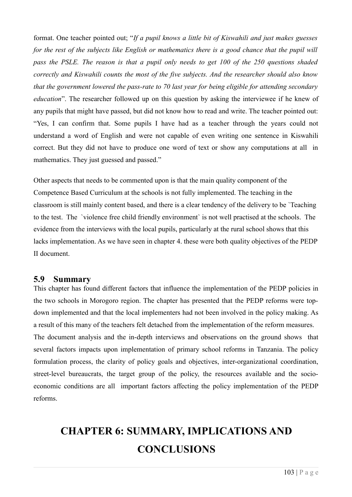format. One teacher pointed out; "*If a pupil knows a little bit of Kiswahili and just makes guesses for the rest of the subjects like English or mathematics there is a good chance that the pupil will pass the PSLE. The reason is that a pupil only needs to get 100 of the 250 questions shaded correctly and Kiswahili counts the most of the five subjects. And the researcher should also know that the government lowered the pass-rate to 70 last year for being eligible for attending secondary education*". The researcher followed up on this question by asking the interviewee if he knew of any pupils that might have passed, but did not know how to read and write. The teacher pointed out: "Yes, I can confirm that. Some pupils I have had as a teacher through the years could not understand a word of English and were not capable of even writing one sentence in Kiswahili correct. But they did not have to produce one word of text or show any computations at all in mathematics. They just guessed and passed."

Other aspects that needs to be commented upon is that the main quality component of the Competence Based Curriculum at the schools is not fully implemented. The teaching in the classroom is still mainly content based, and there is a clear tendency of the delivery to be `Teaching to the test. The `violence free child friendly environment` is not well practised at the schools. The evidence from the interviews with the local pupils, particularly at the rural school shows that this lacks implementation. As we have seen in chapter 4. these were both quality objectives of the PEDP II document.

### **5.9 Summary**

This chapter has found different factors that influence the implementation of the PEDP policies in the two schools in Morogoro region. The chapter has presented that the PEDP reforms were topdown implemented and that the local implementers had not been involved in the policy making. As a result of this many of the teachers felt detached from the implementation of the reform measures. The document analysis and the in-depth interviews and observations on the ground shows that several factors impacts upon implementation of primary school reforms in Tanzania. The policy formulation process, the clarity of policy goals and objectives, inter-organizational coordination, street-level bureaucrats, the target group of the policy, the resources available and the socioeconomic conditions are all important factors affecting the policy implementation of the PEDP reforms.

# **CHAPTER 6: SUMMARY, IMPLICATIONS AND CONCLUSIONS**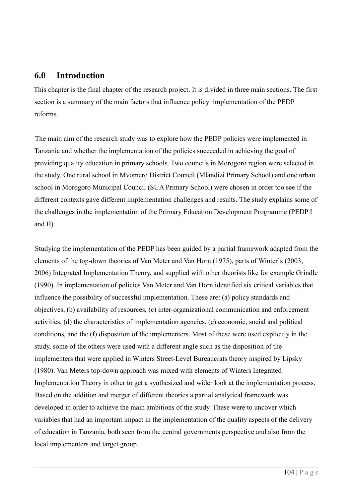### **6.0 Introduction**

This chapter is the final chapter of the research project. It is divided in three main sections. The first section is a summary of the main factors that influence policy implementation of the PEDP reforms.

The main aim of the research study was to explore how the PEDP policies were implemented in Tanzania and whether the implementation of the policies succeeded in achieving the goal of providing quality education in primary schools. Two councils in Morogoro region were selected in the study. One rural school in Mvomero District Council (Mlandizi Primary School) and one urban school in Morogoro Municipal Council (SUA Primary School) were chosen in order too see if the different contexts gave different implementation challenges and results. The study explains some of the challenges in the implementation of the Primary Education Development Programme (PEDP I and II).

Studying the implementation of the PEDP has been guided by a partial framework adapted from the elements of the top-down theories of Van Meter and Van Horn (1975), parts of Winter`s (2003, 2006) Integrated Implementation Theory, and supplied with other theorists like for example Grindle (1990). In implementation of policies Van Meter and Van Horn identified six critical variables that influence the possibility of successful implementation. These are: (a) policy standards and objectives, (b) availability of resources, (c) inter-organizational communication and enforcement activities, (d) the characteristics of implementation agencies, (e) economic, social and political conditions, and the (f) disposition of the implementers. Most of these were used explicitly in the study, some of the others were used with a different angle such as the disposition of the implementers that were applied in Winters Street-Level Bureaucrats theory inspired by Lipsky (1980). Van Meters top-down approach was mixed with elements of Winters Integrated Implementation Theory in other to get a synthesized and wider look at the implementation process. Based on the addition and merger of different theories a partial analytical framework was developed in order to achieve the main ambitions of the study. These were to uncover which variables that had an important impact in the implementation of the quality aspects of the delivery of education in Tanzania, both seen from the central governments perspective and also from the local implementers and target group.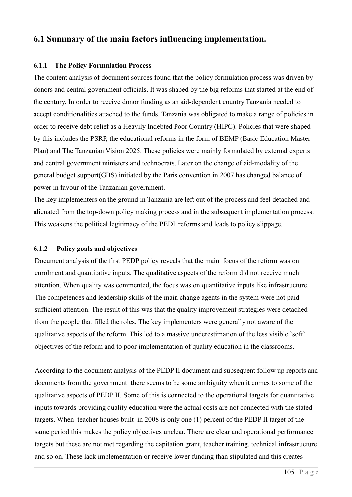### **6.1 Summary of the main factors influencing implementation.**

### **6.1.1 The Policy Formulation Process**

The content analysis of document sources found that the policy formulation process was driven by donors and central government officials. It was shaped by the big reforms that started at the end of the century. In order to receive donor funding as an aid-dependent country Tanzania needed to accept conditionalities attached to the funds. Tanzania was obligated to make a range of policies in order to receive debt relief as a Heavily Indebted Poor Country (HIPC). Policies that were shaped by this includes the PSRP, the educational reforms in the form of BEMP (Basic Education Master Plan) and The Tanzanian Vision 2025. These policies were mainly formulated by external experts and central government ministers and technocrats. Later on the change of aid-modality of the general budget support(GBS) initiated by the Paris convention in 2007 has changed balance of power in favour of the Tanzanian government.

The key implementers on the ground in Tanzania are left out of the process and feel detached and alienated from the top-down policy making process and in the subsequent implementation process. This weakens the political legitimacy of the PEDP reforms and leads to policy slippage.

### **6.1.2 Policy goals and objectives**

Document analysis of the first PEDP policy reveals that the main focus of the reform was on enrolment and quantitative inputs. The qualitative aspects of the reform did not receive much attention. When quality was commented, the focus was on quantitative inputs like infrastructure. The competences and leadership skills of the main change agents in the system were not paid sufficient attention. The result of this was that the quality improvement strategies were detached from the people that filled the roles. The key implementers were generally not aware of the qualitative aspects of the reform. This led to a massive underestimation of the less visible `soft` objectives of the reform and to poor implementation of quality education in the classrooms.

According to the document analysis of the PEDP II document and subsequent follow up reports and documents from the government there seems to be some ambiguity when it comes to some of the qualitative aspects of PEDP II. Some of this is connected to the operational targets for quantitative inputs towards providing quality education were the actual costs are not connected with the stated targets. When teacher houses built in 2008 is only one (1) percent of the PEDP II target of the same period this makes the policy objectives unclear. There are clear and operational performance targets but these are not met regarding the capitation grant, teacher training, technical infrastructure and so on. These lack implementation or receive lower funding than stipulated and this creates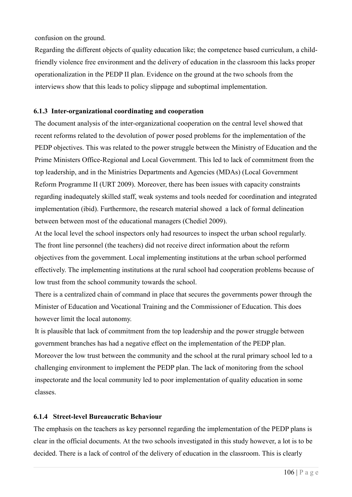confusion on the ground.

Regarding the different objects of quality education like; the competence based curriculum, a childfriendly violence free environment and the delivery of education in the classroom this lacks proper operationalization in the PEDP II plan. Evidence on the ground at the two schools from the interviews show that this leads to policy slippage and suboptimal implementation.

### **6.1.3 Inter-organizational coordinating and cooperation**

The document analysis of the inter-organizational cooperation on the central level showed that recent reforms related to the devolution of power posed problems for the implementation of the PEDP objectives. This was related to the power struggle between the Ministry of Education and the Prime Ministers Office-Regional and Local Government. This led to lack of commitment from the top leadership, and in the Ministries Departments and Agencies (MDAs) (Local Government Reform Programme II (URT 2009). Moreover, there has been issues with capacity constraints regarding inadequately skilled staff, weak systems and tools needed for coordination and integrated implementation (ibid). Furthermore, the research material showed a lack of formal delineation between between most of the educational managers (Chediel 2009).

At the local level the school inspectors only had resources to inspect the urban school regularly. The front line personnel (the teachers) did not receive direct information about the reform objectives from the government. Local implementing institutions at the urban school performed effectively. The implementing institutions at the rural school had cooperation problems because of low trust from the school community towards the school.

There is a centralized chain of command in place that secures the governments power through the Minister of Education and Vocational Training and the Commissioner of Education. This does however limit the local autonomy.

It is plausible that lack of commitment from the top leadership and the power struggle between government branches has had a negative effect on the implementation of the PEDP plan. Moreover the low trust between the community and the school at the rural primary school led to a challenging environment to implement the PEDP plan. The lack of monitoring from the school inspectorate and the local community led to poor implementation of quality education in some classes.

### **6.1.4 Street-level Bureaucratic Behaviour**

The emphasis on the teachers as key personnel regarding the implementation of the PEDP plans is clear in the official documents. At the two schools investigated in this study however, a lot is to be decided. There is a lack of control of the delivery of education in the classroom. This is clearly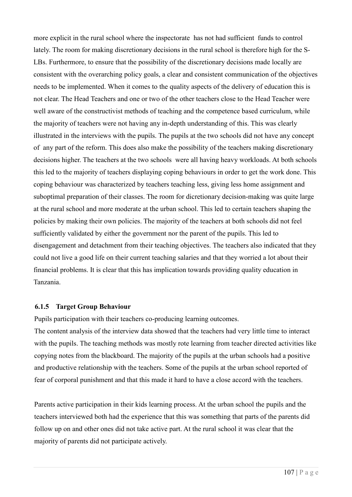more explicit in the rural school where the inspectorate has not had sufficient funds to control lately. The room for making discretionary decisions in the rural school is therefore high for the S-LBs. Furthermore, to ensure that the possibility of the discretionary decisions made locally are consistent with the overarching policy goals, a clear and consistent communication of the objectives needs to be implemented. When it comes to the quality aspects of the delivery of education this is not clear. The Head Teachers and one or two of the other teachers close to the Head Teacher were well aware of the constructivist methods of teaching and the competence based curriculum, while the majority of teachers were not having any in-depth understanding of this. This was clearly illustrated in the interviews with the pupils. The pupils at the two schools did not have any concept of any part of the reform. This does also make the possibility of the teachers making discretionary decisions higher. The teachers at the two schools were all having heavy workloads. At both schools this led to the majority of teachers displaying coping behaviours in order to get the work done. This coping behaviour was characterized by teachers teaching less, giving less home assignment and suboptimal preparation of their classes. The room for dicretionary decision-making was quite large at the rural school and more moderate at the urban school. This led to certain teachers shaping the policies by making their own policies. The majority of the teachers at both schools did not feel sufficiently validated by either the government nor the parent of the pupils. This led to disengagement and detachment from their teaching objectives. The teachers also indicated that they could not live a good life on their current teaching salaries and that they worried a lot about their financial problems. It is clear that this has implication towards providing quality education in Tanzania.

#### **6.1.5 Target Group Behaviour**

Pupils participation with their teachers co-producing learning outcomes.

The content analysis of the interview data showed that the teachers had very little time to interact with the pupils. The teaching methods was mostly rote learning from teacher directed activities like copying notes from the blackboard. The majority of the pupils at the urban schools had a positive and productive relationship with the teachers. Some of the pupils at the urban school reported of fear of corporal punishment and that this made it hard to have a close accord with the teachers.

Parents active participation in their kids learning process. At the urban school the pupils and the teachers interviewed both had the experience that this was something that parts of the parents did follow up on and other ones did not take active part. At the rural school it was clear that the majority of parents did not participate actively.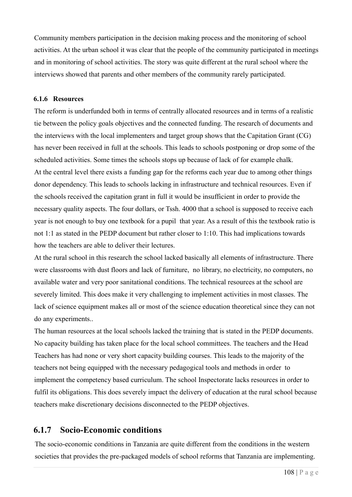Community members participation in the decision making process and the monitoring of school activities. At the urban school it was clear that the people of the community participated in meetings and in monitoring of school activities. The story was quite different at the rural school where the interviews showed that parents and other members of the community rarely participated.

#### **6.1.6 Resources**

The reform is underfunded both in terms of centrally allocated resources and in terms of a realistic tie between the policy goals objectives and the connected funding. The research of documents and the interviews with the local implementers and target group shows that the Capitation Grant (CG) has never been received in full at the schools. This leads to schools postponing or drop some of the scheduled activities. Some times the schools stops up because of lack of for example chalk. At the central level there exists a funding gap for the reforms each year due to among other things donor dependency. This leads to schools lacking in infrastructure and technical resources. Even if the schools received the capitation grant in full it would be insufficient in order to provide the necessary quality aspects. The four dollars, or Tssh. 4000 that a school is supposed to receive each year is not enough to buy one textbook for a pupil that year. As a result of this the textbook ratio is not 1:1 as stated in the PEDP document but rather closer to 1:10. This had implications towards how the teachers are able to deliver their lectures.

At the rural school in this research the school lacked basically all elements of infrastructure. There were classrooms with dust floors and lack of furniture, no library, no electricity, no computers, no available water and very poor sanitational conditions. The technical resources at the school are severely limited. This does make it very challenging to implement activities in most classes. The lack of science equipment makes all or most of the science education theoretical since they can not do any experiments..

The human resources at the local schools lacked the training that is stated in the PEDP documents. No capacity building has taken place for the local school committees. The teachers and the Head Teachers has had none or very short capacity building courses. This leads to the majority of the teachers not being equipped with the necessary pedagogical tools and methods in order to implement the competency based curriculum. The school Inspectorate lacks resources in order to fulfil its obligations. This does severely impact the delivery of education at the rural school because teachers make discretionary decisions disconnected to the PEDP objectives.

### **6.1.7 Socio-Economic conditions**

The socio-economic conditions in Tanzania are quite different from the conditions in the western societies that provides the pre-packaged models of school reforms that Tanzania are implementing.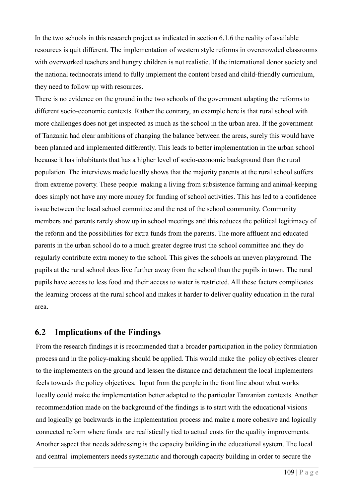In the two schools in this research project as indicated in section 6.1.6 the reality of available resources is quit different. The implementation of western style reforms in overcrowded classrooms with overworked teachers and hungry children is not realistic. If the international donor society and the national technocrats intend to fully implement the content based and child-friendly curriculum, they need to follow up with resources.

There is no evidence on the ground in the two schools of the government adapting the reforms to different socio-economic contexts. Rather the contrary, an example here is that rural school with more challenges does not get inspected as much as the school in the urban area. If the government of Tanzania had clear ambitions of changing the balance between the areas, surely this would have been planned and implemented differently. This leads to better implementation in the urban school because it has inhabitants that has a higher level of socio-economic background than the rural population. The interviews made locally shows that the majority parents at the rural school suffers from extreme poverty. These people making a living from subsistence farming and animal-keeping does simply not have any more money for funding of school activities. This has led to a confidence issue between the local school committee and the rest of the school community. Community members and parents rarely show up in school meetings and this reduces the political legitimacy of the reform and the possibilities for extra funds from the parents. The more affluent and educated parents in the urban school do to a much greater degree trust the school committee and they do regularly contribute extra money to the school. This gives the schools an uneven playground. The pupils at the rural school does live further away from the school than the pupils in town. The rural pupils have access to less food and their access to water is restricted. All these factors complicates the learning process at the rural school and makes it harder to deliver quality education in the rural area.

### **6.2 Implications of the Findings**

From the research findings it is recommended that a broader participation in the policy formulation process and in the policy-making should be applied. This would make the policy objectives clearer to the implementers on the ground and lessen the distance and detachment the local implementers feels towards the policy objectives. Input from the people in the front line about what works locally could make the implementation better adapted to the particular Tanzanian contexts. Another recommendation made on the background of the findings is to start with the educational visions and logically go backwards in the implementation process and make a more cohesive and logically connected reform where funds are realistically tied to actual costs for the quality improvements. Another aspect that needs addressing is the capacity building in the educational system. The local and central implementers needs systematic and thorough capacity building in order to secure the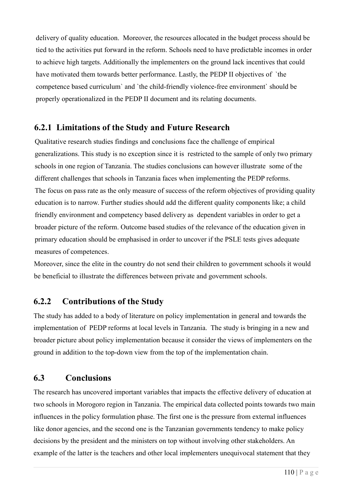delivery of quality education. Moreover, the resources allocated in the budget process should be tied to the activities put forward in the reform. Schools need to have predictable incomes in order to achieve high targets. Additionally the implementers on the ground lack incentives that could have motivated them towards better performance. Lastly, the PEDP II objectives of `the competence based curriculum` and `the child-friendly violence-free environment` should be properly operationalized in the PEDP II document and its relating documents.

## **6.2.1 Limitations of the Study and Future Research**

Qualitative research studies findings and conclusions face the challenge of empirical generalizations. This study is no exception since it is restricted to the sample of only two primary schools in one region of Tanzania. The studies conclusions can however illustrate some of the different challenges that schools in Tanzania faces when implementing the PEDP reforms. The focus on pass rate as the only measure of success of the reform objectives of providing quality education is to narrow. Further studies should add the different quality components like; a child friendly environment and competency based delivery as dependent variables in order to get a broader picture of the reform. Outcome based studies of the relevance of the education given in primary education should be emphasised in order to uncover if the PSLE tests gives adequate measures of competences.

Moreover, since the elite in the country do not send their children to government schools it would be beneficial to illustrate the differences between private and government schools.

# **6.2.2 Contributions of the Study**

The study has added to a body of literature on policy implementation in general and towards the implementation of PEDP reforms at local levels in Tanzania. The study is bringing in a new and broader picture about policy implementation because it consider the views of implementers on the ground in addition to the top-down view from the top of the implementation chain.

# **6.3 Conclusions**

The research has uncovered important variables that impacts the effective delivery of education at two schools in Morogoro region in Tanzania. The empirical data collected points towards two main influences in the policy formulation phase. The first one is the pressure from external influences like donor agencies, and the second one is the Tanzanian governments tendency to make policy decisions by the president and the ministers on top without involving other stakeholders. An example of the latter is the teachers and other local implementers unequivocal statement that they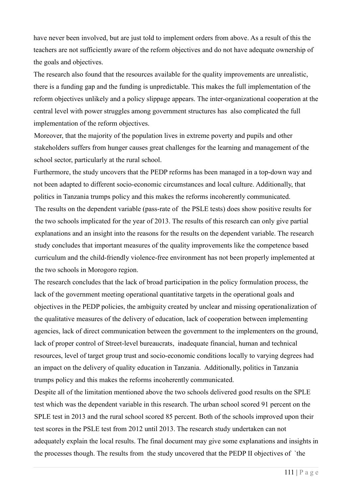have never been involved, but are just told to implement orders from above. As a result of this the teachers are not sufficiently aware of the reform objectives and do not have adequate ownership of the goals and objectives.

The research also found that the resources available for the quality improvements are unrealistic, there is a funding gap and the funding is unpredictable. This makes the full implementation of the reform objectives unlikely and a policy slippage appears. The inter-organizational cooperation at the central level with power struggles among government structures has also complicated the full implementation of the reform objectives.

Moreover, that the majority of the population lives in extreme poverty and pupils and other stakeholders suffers from hunger causes great challenges for the learning and management of the school sector, particularly at the rural school.

Furthermore, the study uncovers that the PEDP reforms has been managed in a top-down way and not been adapted to different socio-economic circumstances and local culture. Additionally, that politics in Tanzania trumps policy and this makes the reforms incoherently communicated. The results on the dependent variable (pass-rate of the PSLE tests) does show positive results for the two schools implicated for the year of 2013. The results of this research can only give partial explanations and an insight into the reasons for the results on the dependent variable. The research study concludes that important measures of the quality improvements like the competence based curriculum and the child-friendly violence-free environment has not been properly implemented at the two schools in Morogoro region.

The research concludes that the lack of broad participation in the policy formulation process, the lack of the government meeting operational quantitative targets in the operational goals and objectives in the PEDP policies, the ambiguity created by unclear and missing operationalization of the qualitative measures of the delivery of education, lack of cooperation between implementing agencies, lack of direct communication between the government to the implementers on the ground, lack of proper control of Street-level bureaucrats, inadequate financial, human and technical resources, level of target group trust and socio-economic conditions locally to varying degrees had an impact on the delivery of quality education in Tanzania. Additionally, politics in Tanzania trumps policy and this makes the reforms incoherently communicated.

Despite all of the limitation mentioned above the two schools delivered good results on the SPLE test which was the dependent variable in this research. The urban school scored 91 percent on the SPLE test in 2013 and the rural school scored 85 percent. Both of the schools improved upon their test scores in the PSLE test from 2012 until 2013. The research study undertaken can not adequately explain the local results. The final document may give some explanations and insights in the processes though. The results from the study uncovered that the PEDP II objectives of `the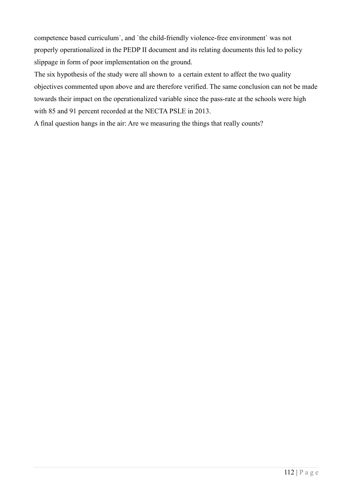competence based curriculum`, and `the child-friendly violence-free environment` was not properly operationalized in the PEDP II document and its relating documents this led to policy slippage in form of poor implementation on the ground.

The six hypothesis of the study were all shown to a certain extent to affect the two quality objectives commented upon above and are therefore verified. The same conclusion can not be made towards their impact on the operationalized variable since the pass-rate at the schools were high with 85 and 91 percent recorded at the NECTA PSLE in 2013.

A final question hangs in the air: Are we measuring the things that really counts?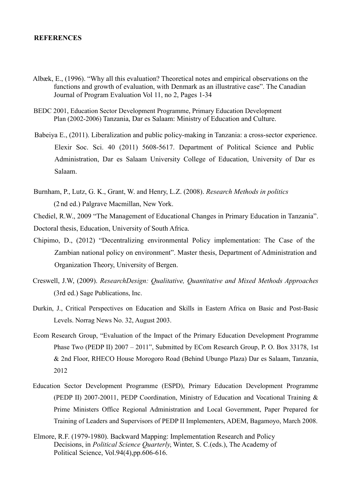#### **REFERENCES**

- Albæk, E., (1996). "Why all this evaluation? Theoretical notes and empirical observations on the functions and growth of evaluation, with Denmark as an illustrative case". The Canadian Journal of Program Evaluation Vol 11, no 2, Pages 1-34
- BEDC 2001, Education Sector Development Programme, Primary Education Development Plan (2002-2006) Tanzania, Dar es Salaam: Ministry of Education and Culture.
- Babeiya E., (2011). Liberalization and public policy-making in Tanzania: a cross-sector experience. Elexir Soc. Sci. 40 (2011) 5608-5617. Department of Political Science and Public Administration, Dar es Salaam University College of Education, University of Dar es Salaam.
- Burnham, P., Lutz, G. K., Grant, W. and Henry, L.Z. (2008). *Research Methods in politics* (2 nd ed.) Palgrave Macmillan, New York.

Chediel, R.W., 2009 "The Management of Educational Changes in Primary Education in Tanzania". Doctoral thesis, Education, University of South Africa.

- Chipimo, D., (2012) "Decentralizing environmental Policy implementation: The Case of the Zambian national policy on environment". Master thesis, Department of Administration and Organization Theory, University of Bergen.
- Creswell, J.W, (2009). *ResearchDesign: Qualitative, Quantitative and Mixed Methods Approaches*  (3rd ed.) Sage Publications, Inc.
- Durkin, J., Critical Perspectives on Education and Skills in Eastern Africa on Basic and Post-Basic Levels. Norrag News No. 32, August 2003.
- Ecom Research Group, "Evaluation of the Impact of the Primary Education Development Programme Phase Two (PEDP II) 2007 – 2011", Submitted by ECom Research Group, P. O. Box 33178, 1st & 2nd Floor, RHECO House Morogoro Road (Behind Ubungo Plaza) Dar es Salaam, Tanzania, 2012
- Education Sector Development Programme (ESPD), Primary Education Development Programme (PEDP II) 2007-20011, PEDP Coordination, Ministry of Education and Vocational Training & Prime Ministers Office Regional Administration and Local Government, Paper Prepared for Training of Leaders and Supervisors of PEDP II Implementers, ADEM, Bagamoyo, March 2008.
- Elmore, R.F. (1979-1980). Backward Mapping: Implementation Research and Policy Decisions, in *Political Science Quarterly*, Winter, S. C.(eds.), The Academy of Political Science, Vol.94(4),pp.606-616.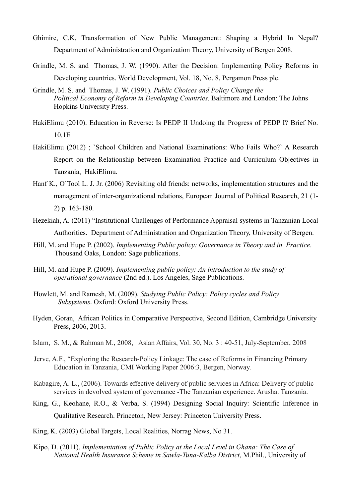- Ghimire, C.K, Transformation of New Public Management: Shaping a Hybrid In Nepal? Department of Administration and Organization Theory, University of Bergen 2008.
- Grindle, M. S. and Thomas, J. W. (1990). After the Decision: Implementing Policy Reforms in Developing countries. World Development, Vol. 18, No. 8, Pergamon Press plc.
- Grindle, M. S. and Thomas, J. W. (1991). *Public Choices and Policy Change the Political Economy of Reform in Developing Countries*. Baltimore and London: The Johns Hopkins University Press.
- HakiElimu (2010). Education in Reverse: Is PEDP II Undoing thr Progress of PEDP I? Brief No. 10.1E
- HakiElimu (2012) ; `School Children and National Examinations: Who Fails Who?` A Research Report on the Relationship between Examination Practice and Curriculum Objectives in Tanzania, HakiElimu.
- Hanf K., O`Tool L. J. Jr. (2006) Revisiting old friends: networks, implementation structures and the management of inter-organizational relations, European Journal of Political Research, 21 (1- 2) p. 163-180.
- Hezekiah, A. (2011) "Institutional Challenges of Performance Appraisal systems in Tanzanian Local Authorities. Department of Administration and Organization Theory, University of Bergen.
- Hill, M. and Hupe P. (2002). *Implementing Public policy: Governance in Theory and in Practice*. Thousand Oaks, London: Sage publications.
- Hill, M. and Hupe P. (2009). *Implementing public policy: An introduction to the study of operational governance* (2nd ed.). Los Angeles, Sage Publications.
- Howlett, M. and Ramesh, M. (2009). *Studying Public Policy: Policy cycles and Policy Subsystems*. Oxford: Oxford University Press.
- Hyden, Goran, African Politics in Comparative Perspective, Second Edition, Cambridge University Press, 2006, 2013.
- Islam, S. M., & Rahman M., 2008, Asian Affairs, Vol. 30, No. 3 : 40-51, July-September, 2008
- Jerve, A.F., "Exploring the Research-Policy Linkage: The case of Reforms in Financing Primary Education in Tanzania, CMI Working Paper 2006:3, Bergen, Norway.
- Kabagire, A. L., (2006). Towards effective delivery of public services in Africa: Delivery of public services in devolved system of governance -The Tanzanian experience. Arusha. Tanzania.
- King, G., Keohane, R.O., & Verba, S. (1994) Designing Social Inquiry: Scientific Inference in Qualitative Research. Princeton, New Jersey: Princeton University Press.
- King, K. (2003) Global Targets, Local Realities, Norrag News, No 31.
- Kipo, D. (2011). *Implementation of Public Policy at the Local Level in Ghana: The Case of National Health Insurance Scheme in Sawla-Tuna-Kalba District*, M.Phil., University of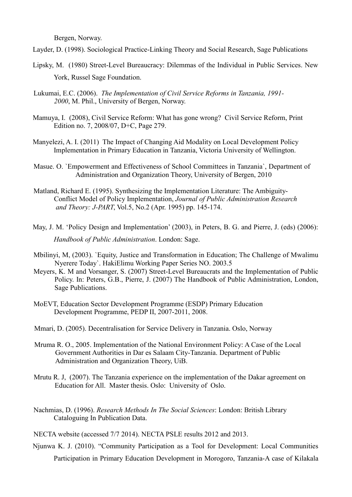Bergen, Norway.

Layder, D. (1998). Sociological Practice-Linking Theory and Social Research, Sage Publications

- Lipsky, M. (1980) Street-Level Bureaucracy: Dilemmas of the Individual in Public Services. New York, Russel Sage Foundation.
- Lukumai, E.C. (2006). *The Implementation of Civil Service Reforms in Tanzania, 1991- 2000*, M. Phil., University of Bergen, Norway.
- Mamuya, I. (2008), Civil Service Reform: What has gone wrong? Civil Service Reform, Print Edition no. 7, 2008/07, D+C, Page 279.
- Manyelezi, A. I. (2011) The Impact of Changing Aid Modality on Local Development Policy Implementation in Primary Education in Tanzania, Victoria University of Wellington.
- Masue. O. `Empowerment and Effectiveness of School Committees in Tanzania`, Department of Administration and Organization Theory, University of Bergen, 2010
- Matland, Richard E. (1995). Synthesizing the Implementation Literature: The Ambiguity-Conflict Model of Policy Implementation, *Journal of Public Administration Research and Theory: J-PART*, Vol.5, No.2 (Apr. 1995) pp. 145-174.
- May, J. M. 'Policy Design and Implementation' (2003), in Peters, B. G. and Pierre, J. (eds) (2006): *Handbook of Public Administration*. London: Sage.
- Mbilinyi, M, (2003). `Equity, Justice and Transformation in Education; The Challenge of Mwalimu Nyerere Today`. HakiElimu Working Paper Series NO. 2003.5
- Meyers, K. M and Vorsanger, S. (2007) Street-Level Bureaucrats and the Implementation of Public Policy. In: Peters, G.B., Pierre, J. (2007) The Handbook of Public Administration, London, Sage Publications.
- MoEVT, Education Sector Development Programme (ESDP) Primary Education Development Programme, PEDP II, 2007-2011, 2008.
- Mmari, D. (2005). Decentralisation for Service Delivery in Tanzania. Oslo, Norway
- Mruma R. O., 2005. Implementation of the National Environment Policy: A Case of the Local Government Authorities in Dar es Salaam City-Tanzania. Department of Public Administration and Organization Theory, UiB.
- Mrutu R. J, (2007). The Tanzania experience on the implementation of the Dakar agreement on Education for All. Master thesis. Oslo: University of Oslo.
- Nachmias, D. (1996). *Research Methods In The Social Sciences*: London: British Library Cataloguing In Publication Data.
- NECTA website (accessed 7/7 2014). NECTA PSLE results 2012 and 2013.
- Njunwa K. J. (2010). "Community Participation as a Tool for Development: Local Communities Participation in Primary Education Development in Morogoro, Tanzania-A case of Kilakala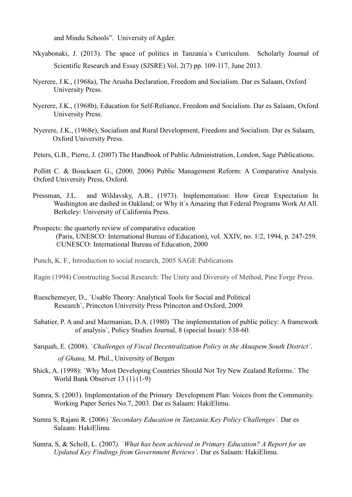and Mindu Schools". University of Agder.

- Nkyabonaki, J. (2013). The space of politics in Tanzania`s Curriculum. Scholarly Journal of Scientific Research and Essay (SJSRE) Vol. 2(7) pp. 109-117, June 2013.
- Nyerere, J.K., (1968a), The Arusha Declaration, Freedom and Socialism. Dar es Salaam, Oxford University Press.
- Nyerere, J.K., (1968b), Education for Self-Reliance, Freedom and Socialism. Dar es Salaam, Oxford University Press.
- Nyerere, J.K., (1968e), Socialism and Rural Development, Freedom and Socialism. Dar es Salaam, Oxford University Press.

Peters, G.B., Pierre, J. (2007) The Handbook of Public Administration, London, Sage Publications.

Pollitt C. & Bouckaert G., (2000, 2006) Public Management Reform: A Comparative Analysis. Oxford University Press, Oxford.

- Pressman, J.L. and Wildavsky, A.B., (1973). Implementation: How Great Expectation In Washington are dashed in Oakland; or Why it`s Amazing that Federal Programs Work At All. Berkeley: University of California Press.
- Prospects: the quarterly review of comparative education (Paris, UNESCO: International Bureau of Education), vol. XXIV, no. 1/2, 1994, p. 247-259. ©UNESCO: International Bureau of Education, 2000
- Punch, K. F., Introduction to social research, 2005 SAGE Publications
- Ragin (1994) Constructing Social Research: The Unity and Diversity of Method, Pine Forge Press.
- Rueschemeyer, D., `Usable Theory: Analytical Tools for Social and Political Research`, Princeton University Press Princeton and Oxford, 2009.
- Sabatier, P. A and and Mazmanian, D.A. (1980) `The implementation of public policy: A framework of analysis`, Policy Studies Journal, 8 (special Issue): 538-60.
- Sarquah, E. (2008). `*Challenges of Fiscal Decentralization Policy in the Akuapem South District`*. *of Ghana,* M. Phil., University of Bergen
- Shick, A. (1998): `Why Most Developing Countries Should Not Try New Zealand Reforms.` The World Bank Observer 13 (1) (1-9)
- Sumra, S. (2003). Implementation of the Primary Development Plan: Voices from the Community. Working Paper Series No.7, 2003. Dar es Salaam: HakiElimu.
- Sumra S, Rajani R. (2006) `*Secondary Education in Tanzania:Key Policy Challenges`.* Dar es Salaam: HakiElimu
- Sumra, S, & Scholl, L. (2007*). `What has been achieved in Primary Education? A Report for an Updated Key Findings from Government Reviews`.* Dar es Salaam: HakiElimu.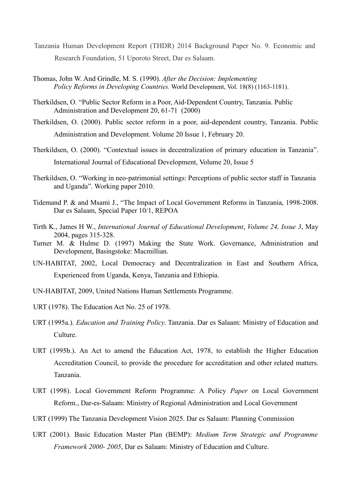- Tanzania Human Development Report (THDR) 2014 Background Paper No. 9. Economic and Research Foundation, 51 Uporoto Street, Dar es Salaam.
- Thomas, John W. And Grindle, M. S. (1990). *After the Decision: Implementing Policy Reforms in Developing Countries.* World Development, Vol. 18(8) (1163-1181).
- Therkildsen, O. "Public Sector Reform in a Poor, Aid-Dependent Country, Tanzania. Public Administration and Development 20, 61-71 (2000)
- Therkildsen, O. (2000). Public sector reform in a poor, aid-dependent country, Tanzania. Public Administration and Development. Volume 20 Issue 1, February 20.
- Therkildsen, O. (2000). "Contextual issues in decentralization of primary education in Tanzania". International Journal of Educational Development, Volume 20, Issue 5
- Therkildsen, O. "Working in neo-patrimonial settings: Perceptions of public sector staff in Tanzania and Uganda". Working paper 2010.
- Tidemand P. & and Msami J., "The Impact of Local Government Reforms in Tanzania, 1998-2008. Dar es Salaam, Special Paper 10/1, REPOA
- Tirth K., James H W., *International Journal of Educational Development*, *Volume 24, Issue 3*, May 2004, pages 315-328.
- Turner M. & Hulme D. (1997) Making the State Work. Governance, Administration and Development, Basingstoke: Macmillian.
- UN-HABITAT, 2002, Local Democracy and Decentralization in East and Southern Africa, Experienced from Uganda, Kenya, Tanzania and Ethiopia.
- UN-HABITAT, 2009, United Nations Human Settlements Programme.
- URT (1978). The Education Act No. 25 of 1978.
- URT (1995a.). *Education and Training Policy*. Tanzania. Dar es Salaam: Ministry of Education and Culture.
- URT (1995b.). An Act to amend the Education Act, 1978, to establish the Higher Education Accreditation Council, to provide the procedure for accreditation and other related matters. Tanzania.
- URT (1998). Local Government Reform Programme: A Policy *Paper* on Local Government Reform., Dar-es-Salaam: Ministry of Regional Administration and Local Government
- URT (1999) The Tanzania Development Vision 2025. Dar es Salaam: Planning Commission
- URT (2001). Basic Education Master Plan (BEMP): *Medium Term Strategic and Programme Framework 2000- 2005*, Dar es Salaam: Ministry of Education and Culture.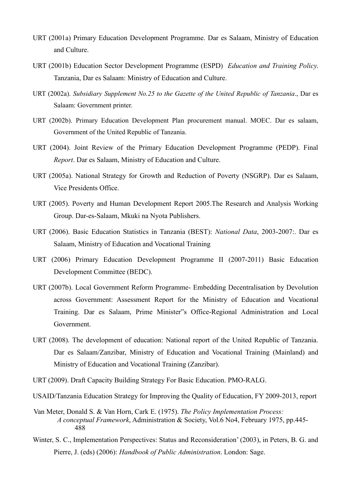- URT (2001a) Primary Education Development Programme. Dar es Salaam, Ministry of Education and Culture.
- URT (2001b) Education Sector Development Programme (ESPD) *Education and Training Policy*. Tanzania, Dar es Salaam: Ministry of Education and Culture.
- URT (2002a). *Subsidiary Supplement No.25 to the Gazette of the United Republic of Tanzania*., Dar es Salaam: Government printer.
- URT (2002b). Primary Education Development Plan procurement manual. MOEC. Dar es salaam, Government of the United Republic of Tanzania.
- URT (2004). Joint Review of the Primary Education Development Programme (PEDP). Final *Report*. Dar es Salaam, Ministry of Education and Culture.
- URT (2005a). National Strategy for Growth and Reduction of Poverty (NSGRP). Dar es Salaam, Vice Presidents Office.
- URT (2005). Poverty and Human Development Report 2005.The Research and Analysis Working Group. Dar-es-Salaam, Mkuki na Nyota Publishers.
- URT (2006). Basic Education Statistics in Tanzania (BEST): *National Data*, 2003-2007:. Dar es Salaam, Ministry of Education and Vocational Training
- URT (2006) Primary Education Development Programme II (2007-2011) Basic Education Development Committee (BEDC).
- URT (2007b). Local Government Reform Programme- Embedding Decentralisation by Devolution across Government: Assessment Report for the Ministry of Education and Vocational Training. Dar es Salaam, Prime Minister"s Office-Regional Administration and Local Government.
- URT (2008). The development of education: National report of the United Republic of Tanzania. Dar es Salaam/Zanzibar, Ministry of Education and Vocational Training (Mainland) and Ministry of Education and Vocational Training (Zanzibar).
- URT (2009). Draft Capacity Building Strategy For Basic Education. PMO-RALG.
- USAID/Tanzania Education Strategy for Improving the Quality of Education, FY 2009-2013, report
- Van Meter, Donald S. & Van Horn, Cark E. (1975). *The Policy Implementation Process: A conceptual Framework*, Administration & Society, Vol.6 No4, February 1975, pp.445- 488
- Winter, S. C., Implementation Perspectives: Status and Reconsideration' (2003), in Peters, B. G. and Pierre, J. (eds) (2006): *Handbook of Public Administration*. London: Sage.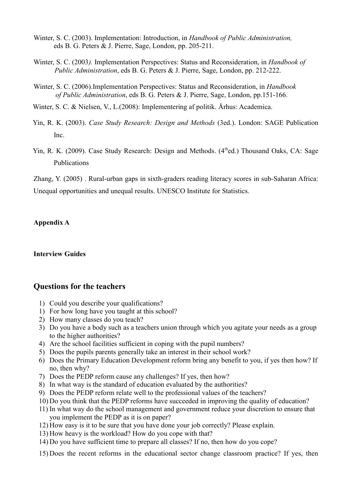- Winter, S. C. (2003). Implementation: Introduction, in *Handbook of Public Administration,* eds B. G. Peters & J. Pierre, Sage, London, pp. 205-211.
- Winter, S. C. (2003*).* Implementation Perspectives: Status and Reconsideration, in *Handbook of Public Administration*, eds B. G. Peters & J. Pierre, Sage, London, pp. 212-222.
- Winter, S. C. (2006).Implementation Perspectives: Status and Reconsideration, in *Handbook of Public Administration*, eds B. G. Peters & J. Pierre, Sage, London, pp.151-166.
- Winter, S. C. & Nielsen, V., L.(2008): Implementering af politik. Århus: Academica.
- Yin, R. K. (2003). *Case Study Research: Design and Methods* (3ed.). London: SAGE Publication Inc.
- Yin, R. K. (2009). Case Study Research: Design and Methods. (4<sup>th</sup>ed.) Thousand Oaks, CA: Sage Publications

Zhang, Y. (2005) . Rural-urban gaps in sixth-graders reading literacy scores in sub-Saharan Africa: Unequal opportunities and unequal results. UNESCO Institute for Statistics.

### **Appendix A**

#### **Interview Guides**

### **Questions for the teachers**

- 1) Could you describe your qualifications?
- 1) For how long have you taught at this school?
- 2) How many classes do you teach?
- 3) Do you have a body such as a teachers union through which you agitate your needs as a group to the higher authorities?
- 4) Are the school facilities sufficient in coping with the pupil numbers?
- 5) Does the pupils parents generally take an interest in their school work?
- 6) Does the Primary Education Development reform bring any benefit to you, if yes then how? If no, then why?
- 7) Does the PEDP reform cause any challenges? If yes, then how?
- 8) In what way is the standard of education evaluated by the authorities?
- 9) Does the PEDP reform relate well to the professional values of the teachers?
- 10) Do you think that the PEDP reforms have succeeded in improving the quality of education?
- 11) In what way do the school management and government reduce your discretion to ensure that you implement the PEDP as it is on paper?
- 12) How easy is it to be sure that you have done your job correctly? Please explain.
- 13) How heavy is the workload? How do you cope with that?
- 14) Do you have sufficient time to prepare all classes? If no, then how do you cope?
- 15) Does the recent reforms in the educational sector change classroom practice? If yes, then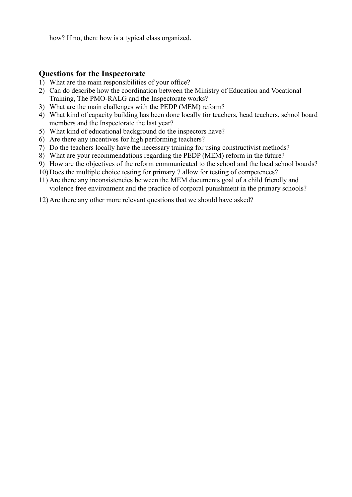how? If no, then: how is a typical class organized.

### **Questions for the Inspectorate**

- 1) What are the main responsibilities of your office?
- 2) Can do describe how the coordination between the Ministry of Education and Vocational Training, The PMO-RALG and the Inspectorate works?
- 3) What are the main challenges with the PEDP (MEM) reform?
- 4) What kind of capacity building has been done locally for teachers, head teachers, school board members and the Inspectorate the last year?
- 5) What kind of educational background do the inspectors have?
- 6) Are there any incentives for high performing teachers?
- 7) Do the teachers locally have the necessary training for using constructivist methods?
- 8) What are your recommendations regarding the PEDP (MEM) reform in the future?
- 9) How are the objectives of the reform communicated to the school and the local school boards?
- 10) Does the multiple choice testing for primary 7 allow for testing of competences?
- 11) Are there any inconsistencies between the MEM documents goal of a child friendly and violence free environment and the practice of corporal punishment in the primary schools?
- 12) Are there any other more relevant questions that we should have asked?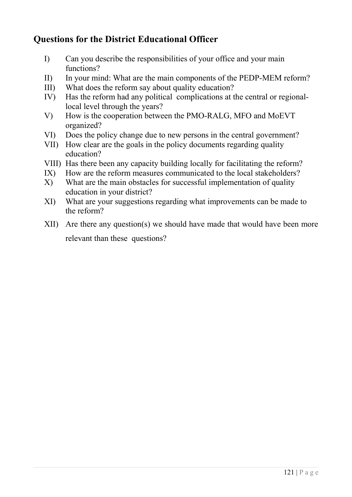# **Questions for the District Educational Officer**

- I) Can you describe the responsibilities of your office and your main functions?
- II) In your mind: What are the main components of the PEDP-MEM reform?
- III) What does the reform say about quality education?
- IV) Has the reform had any political complications at the central or regionallocal level through the years?
- V) How is the cooperation between the PMO-RALG, MFO and MoEVT organized?
- VI) Does the policy change due to new persons in the central government?
- VII) How clear are the goals in the policy documents regarding quality education?
- VIII) Has there been any capacity building locally for facilitating the reform?
- IX) How are the reform measures communicated to the local stakeholders?
- X) What are the main obstacles for successful implementation of quality education in your district?
- XI) What are your suggestions regarding what improvements can be made to the reform?
- XII) Are there any question(s) we should have made that would have been more relevant than these questions?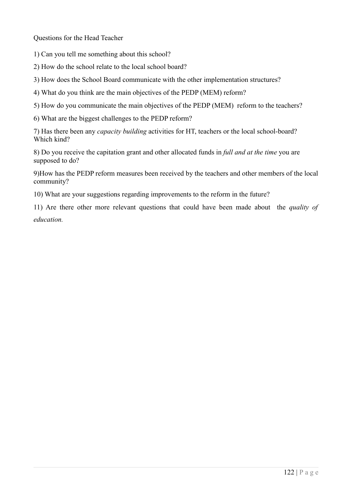Questions for the Head Teacher

1) Can you tell me something about this school?

2) How do the school relate to the local school board?

3) How does the School Board communicate with the other implementation structures?

4) What do you think are the main objectives of the PEDP (MEM) reform?

5) How do you communicate the main objectives of the PEDP (MEM) reform to the teachers?

6) What are the biggest challenges to the PEDP reform?

7) Has there been any *capacity building* activities for HT, teachers or the local school-board? Which kind?

8) Do you receive the capitation grant and other allocated funds in *full and at the time* you are supposed to do?

9)How has the PEDP reform measures been received by the teachers and other members of the local community?

10) What are your suggestions regarding improvements to the reform in the future?

11) Are there other more relevant questions that could have been made about the *quality of education.*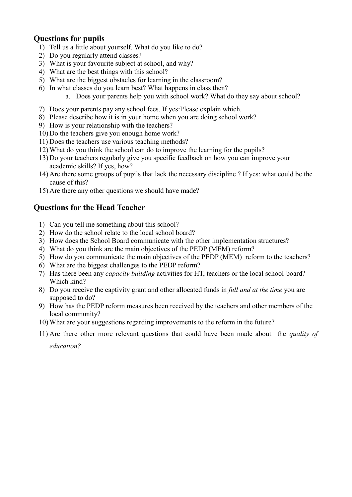## **Questions for pupils**

- 1) Tell us a little about yourself. What do you like to do?
- 2) Do you regularly attend classes?
- 3) What is your favourite subject at school, and why?
- 4) What are the best things with this school?
- 5) What are the biggest obstacles for learning in the classroom?
- 6) In what classes do you learn best? What happens in class then?
	- a. Does your parents help you with school work? What do they say about school?
- 7) Does your parents pay any school fees. If yes:Please explain which.
- 8) Please describe how it is in your home when you are doing school work?
- 9) How is your relationship with the teachers?
- 10) Do the teachers give you enough home work?
- 11) Does the teachers use various teaching methods?
- 12) What do you think the school can do to improve the learning for the pupils?
- 13) Do your teachers regularly give you specific feedback on how you can improve your academic skills? If yes, how?
- 14) Are there some groups of pupils that lack the necessary discipline ? If yes: what could be the cause of this?
- 15) Are there any other questions we should have made?

### **Questions for the Head Teacher**

- 1) Can you tell me something about this school?
- 2) How do the school relate to the local school board?
- 3) How does the School Board communicate with the other implementation structures?
- 4) What do you think are the main objectives of the PEDP (MEM) reform?
- 5) How do you communicate the main objectives of the PEDP (MEM) reform to the teachers?
- 6) What are the biggest challenges to the PEDP reform?
- 7) Has there been any *capacity building* activities for HT, teachers or the local school-board? Which kind?
- 8) Do you receive the captivity grant and other allocated funds in *full and at the time* you are supposed to do?
- 9) How has the PEDP reform measures been received by the teachers and other members of the local community?
- 10) What are your suggestions regarding improvements to the reform in the future?
- 11) Are there other more relevant questions that could have been made about the *quality of education?*